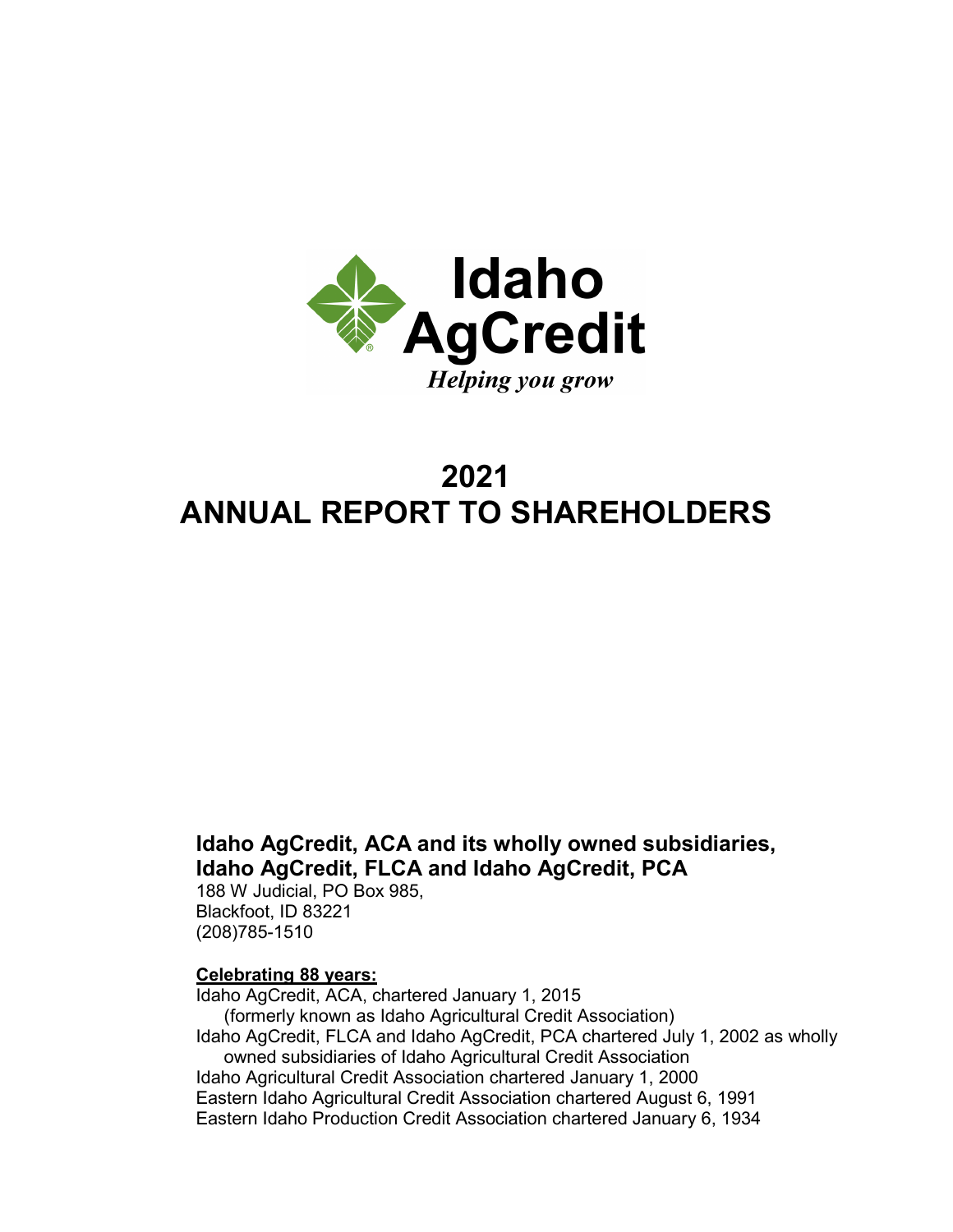

# **2021 ANNUAL REPORT TO SHAREHOLDERS**

## **Idaho AgCredit, ACA and its wholly owned subsidiaries, Idaho AgCredit, FLCA and Idaho AgCredit, PCA**

188 W Judicial, PO Box 985, Blackfoot, ID 83221 (208)785-1510

## **Celebrating 88 years:**

Idaho AgCredit, ACA, chartered January 1, 2015 (formerly known as Idaho Agricultural Credit Association) Idaho AgCredit, FLCA and Idaho AgCredit, PCA chartered July 1, 2002 as wholly owned subsidiaries of Idaho Agricultural Credit Association Idaho Agricultural Credit Association chartered January 1, 2000 Eastern Idaho Agricultural Credit Association chartered August 6, 1991 Eastern Idaho Production Credit Association chartered January 6, 1934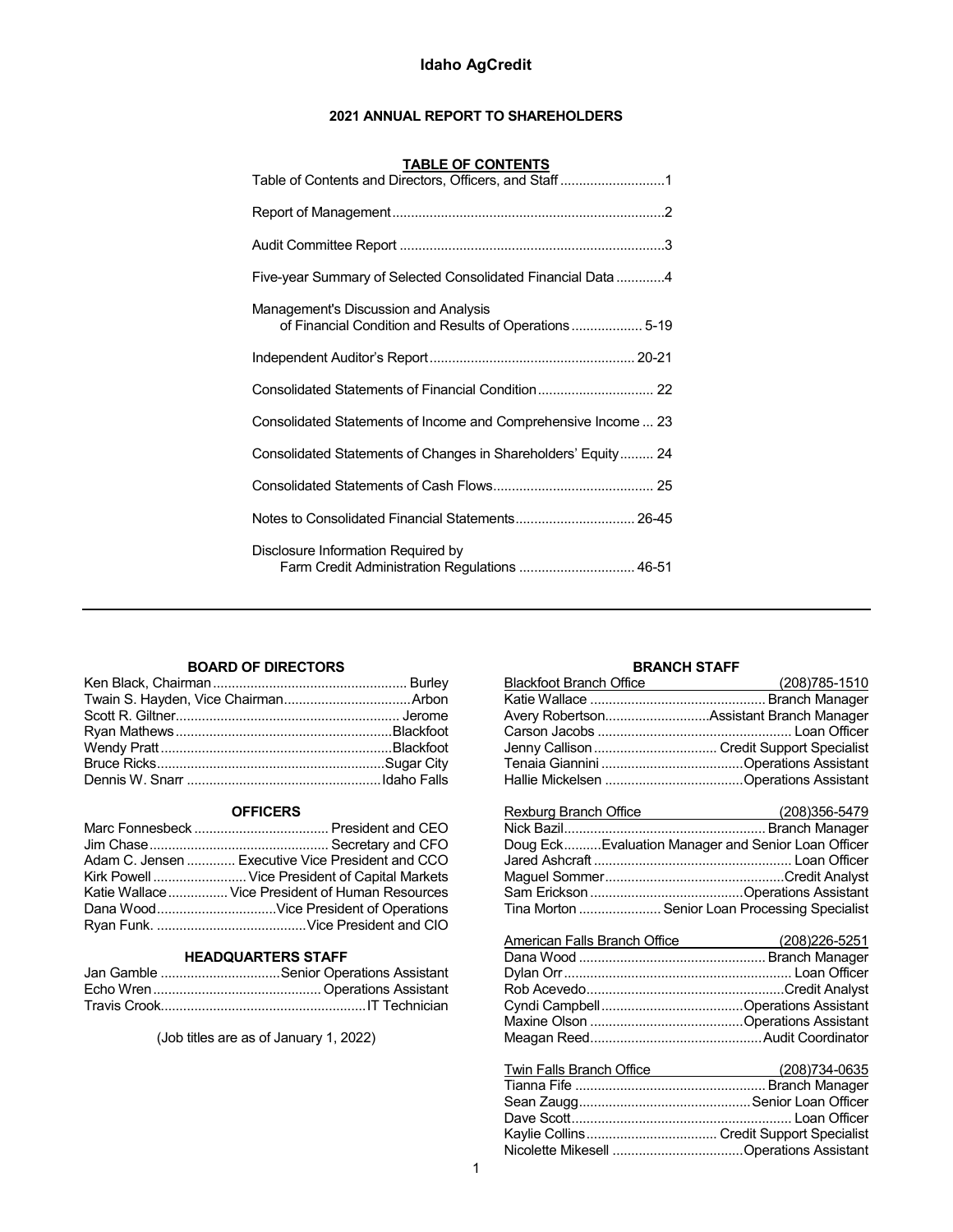## **2021 ANNUAL REPORT TO SHAREHOLDERS**

| <b>TABLE OF CONTENTS</b><br>Table of Contents and Directors, Officers, and Staff1             |
|-----------------------------------------------------------------------------------------------|
|                                                                                               |
|                                                                                               |
| Five-year Summary of Selected Consolidated Financial Data 4                                   |
| Management's Discussion and Analysis<br>of Financial Condition and Results of Operations 5-19 |
|                                                                                               |
|                                                                                               |
| Consolidated Statements of Income and Comprehensive Income  23                                |
| Consolidated Statements of Changes in Shareholders' Equity 24                                 |
|                                                                                               |
| Notes to Consolidated Financial Statements 26-45                                              |
| Disclosure Information Required by<br>Farm Credit Administration Regulations  46-51           |

## **BOARD OF DIRECTORS**

## **OFFICERS**

| Adam C. Jensen  Executive Vice President and CCO |
|--------------------------------------------------|
| Kirk Powell  Vice President of Capital Markets   |
| Katie Wallace  Vice President of Human Resources |
|                                                  |
|                                                  |

## **HEADQUARTERS STAFF**

| Jan Gamble Senior Operations Assistant |
|----------------------------------------|
|                                        |
|                                        |

(Job titles are as of January 1, 2022)

## **BRANCH STAFF**

| <b>BRANCH STAFF</b>                                |  |
|----------------------------------------------------|--|
| Blackfoot Branch Office (208)785-1510              |  |
|                                                    |  |
| Avery RobertsonAssistant Branch Manager            |  |
|                                                    |  |
| Jenny Callison  Credit Support Specialist          |  |
|                                                    |  |
|                                                    |  |
|                                                    |  |
|                                                    |  |
| Doug EckEvaluation Manager and Senior Loan Officer |  |
|                                                    |  |
|                                                    |  |
|                                                    |  |
| Tina Morton  Senior Loan Processing Specialist     |  |
|                                                    |  |
|                                                    |  |
|                                                    |  |
|                                                    |  |
|                                                    |  |
|                                                    |  |
|                                                    |  |
|                                                    |  |
| Tuin Follo Pranoh Office (200)724 0625             |  |

| I WIN Falls Branch Office | <u>2003/1</u> 34-0035 ( <u>2003)</u> |
|---------------------------|--------------------------------------|
|                           |                                      |
|                           |                                      |
|                           |                                      |
|                           |                                      |
|                           |                                      |
|                           |                                      |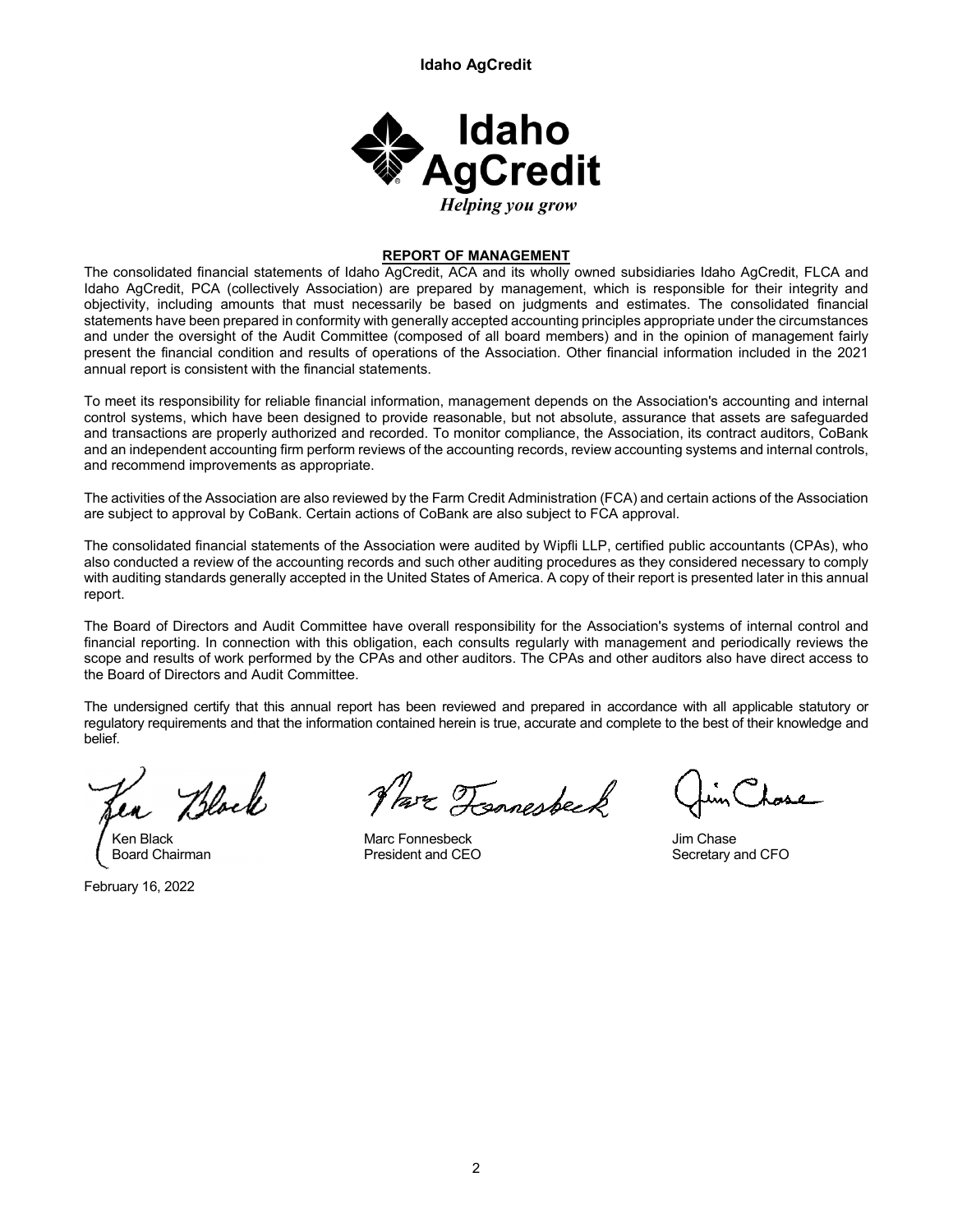

## **REPORT OF MANAGEMENT**

The consolidated financial statements of Idaho AgCredit, ACA and its wholly owned subsidiaries Idaho AgCredit, FLCA and Idaho AgCredit, PCA (collectively Association) are prepared by management, which is responsible for their integrity and objectivity, including amounts that must necessarily be based on judgments and estimates. The consolidated financial statements have been prepared in conformity with generally accepted accounting principles appropriate under the circumstances and under the oversight of the Audit Committee (composed of all board members) and in the opinion of management fairly present the financial condition and results of operations of the Association. Other financial information included in the 2021 annual report is consistent with the financial statements.

To meet its responsibility for reliable financial information, management depends on the Association's accounting and internal control systems, which have been designed to provide reasonable, but not absolute, assurance that assets are safeguarded and transactions are properly authorized and recorded. To monitor compliance, the Association, its contract auditors, CoBank and an independent accounting firm perform reviews of the accounting records, review accounting systems and internal controls, and recommend improvements as appropriate.

The activities of the Association are also reviewed by the Farm Credit Administration (FCA) and certain actions of the Association are subject to approval by CoBank. Certain actions of CoBank are also subject to FCA approval.

The consolidated financial statements of the Association were audited by Wipfli LLP, certified public accountants (CPAs), who also conducted a review of the accounting records and such other auditing procedures as they considered necessary to comply with auditing standards generally accepted in the United States of America. A copy of their report is presented later in this annual report.

The Board of Directors and Audit Committee have overall responsibility for the Association's systems of internal control and financial reporting. In connection with this obligation, each consults regularly with management and periodically reviews the scope and results of work performed by the CPAs and other auditors. The CPAs and other auditors also have direct access to the Board of Directors and Audit Committee.

The undersigned certify that this annual report has been reviewed and prepared in accordance with all applicable statutory or regulatory requirements and that the information contained herein is true, accurate and complete to the best of their knowledge and belief.

Black

February 16, 2022

Par Tonnesbeck

Ken Black Marc Fonnesbeck Marc Fonnesbeck Marc Fonnesbeck Jim Chase

Board Chairman **President and CEO** Secretary and CFO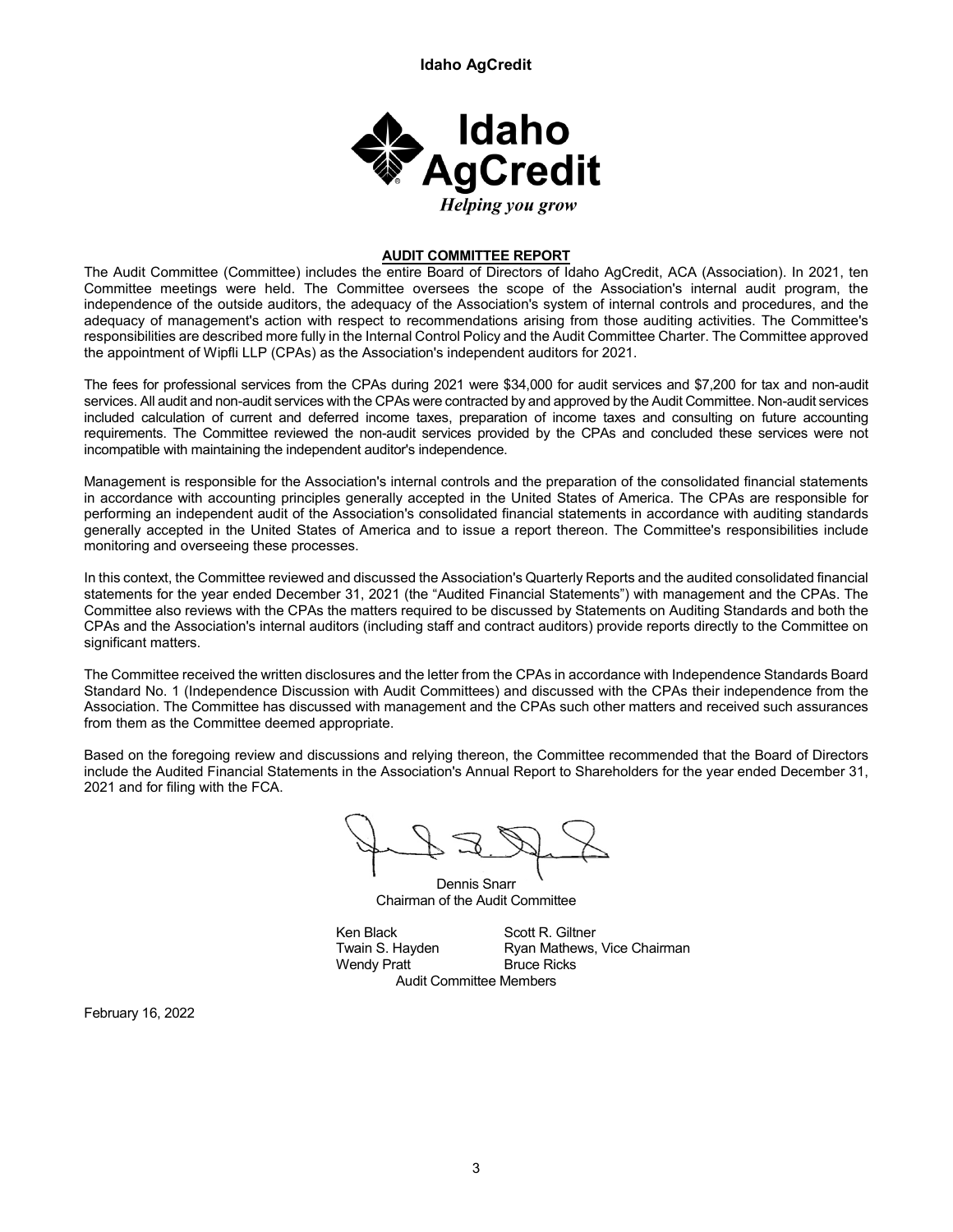

## **AUDIT COMMITTEE REPORT**

The Audit Committee (Committee) includes the entire Board of Directors of Idaho AgCredit, ACA (Association). In 2021, ten Committee meetings were held. The Committee oversees the scope of the Association's internal audit program, the independence of the outside auditors, the adequacy of the Association's system of internal controls and procedures, and the adequacy of management's action with respect to recommendations arising from those auditing activities. The Committee's responsibilities are described more fully in the Internal Control Policy and the Audit Committee Charter. The Committee approved the appointment of Wipfli LLP (CPAs) as the Association's independent auditors for 2021.

The fees for professional services from the CPAs during 2021 were \$34,000 for audit services and \$7,200 for tax and non-audit services. All audit and non-audit services with the CPAs were contracted by and approved by the Audit Committee. Non-audit services included calculation of current and deferred income taxes, preparation of income taxes and consulting on future accounting requirements. The Committee reviewed the non-audit services provided by the CPAs and concluded these services were not incompatible with maintaining the independent auditor's independence.

Management is responsible for the Association's internal controls and the preparation of the consolidated financial statements in accordance with accounting principles generally accepted in the United States of America. The CPAs are responsible for performing an independent audit of the Association's consolidated financial statements in accordance with auditing standards generally accepted in the United States of America and to issue a report thereon. The Committee's responsibilities include monitoring and overseeing these processes.

In this context, the Committee reviewed and discussed the Association's Quarterly Reports and the audited consolidated financial statements for the year ended December 31, 2021 (the "Audited Financial Statements") with management and the CPAs. The Committee also reviews with the CPAs the matters required to be discussed by Statements on Auditing Standards and both the CPAs and the Association's internal auditors (including staff and contract auditors) provide reports directly to the Committee on significant matters.

The Committee received the written disclosures and the letter from the CPAs in accordance with Independence Standards Board Standard No. 1 (Independence Discussion with Audit Committees) and discussed with the CPAs their independence from the Association. The Committee has discussed with management and the CPAs such other matters and received such assurances from them as the Committee deemed appropriate.

Based on the foregoing review and discussions and relying thereon, the Committee recommended that the Board of Directors include the Audited Financial Statements in the Association's Annual Report to Shareholders for the year ended December 31, 2021 and for filing with the FCA.

Dennis Snarr Chairman of the Audit Committee

Ken Black Scott R. Giltner<br>Twain S. Hayden Ryan Mathews, Wendy Pratt Bruce Ricks

Ryan Mathews, Vice Chairman Audit Committee Members

February 16, 2022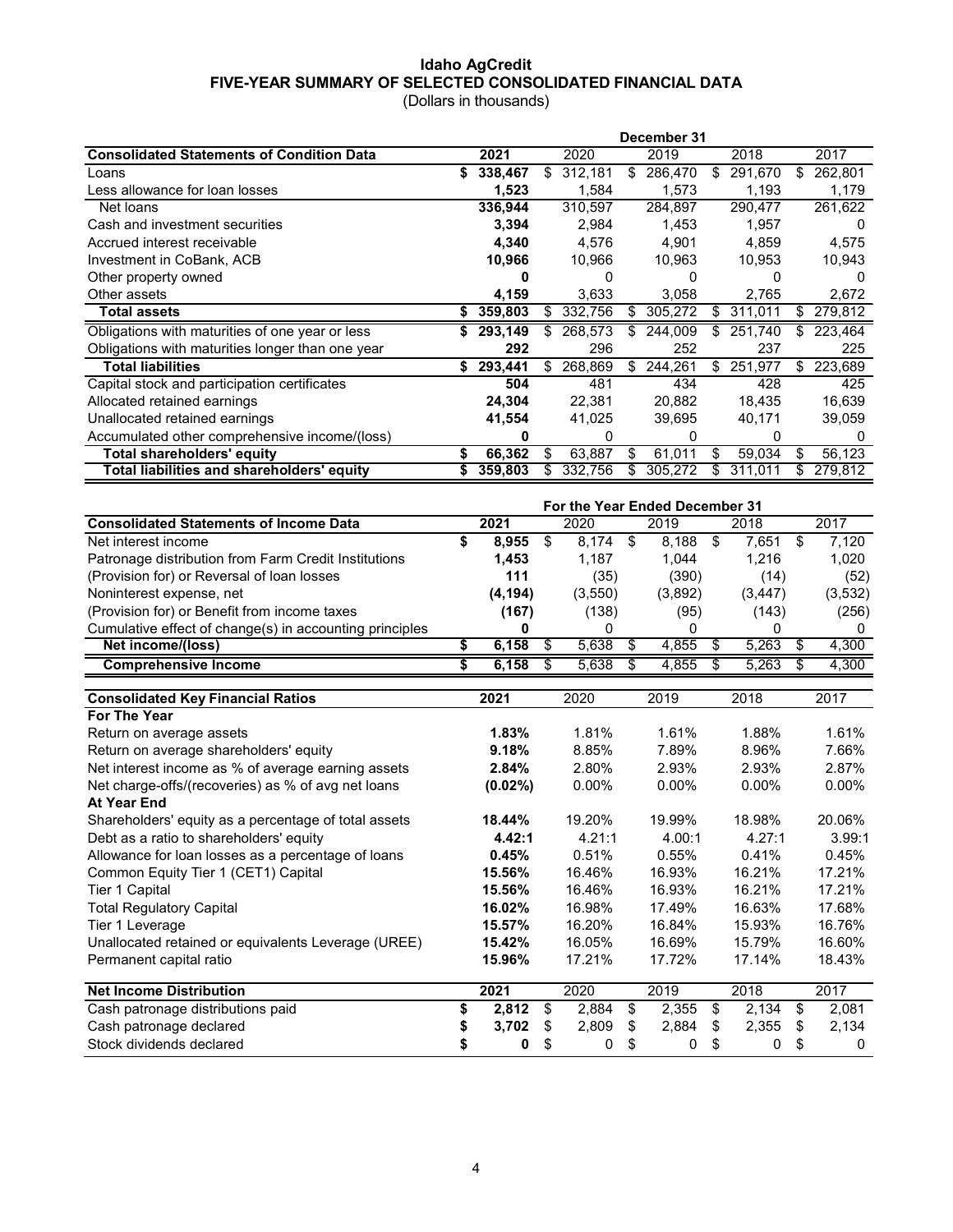## **Idaho AgCredit FIVE-YEAR SUMMARY OF SELECTED CONSOLIDATED FINANCIAL DATA** (Dollars in thousands)

|                                                  | December 31 |         |    |         |    |         |     |         |     |              |
|--------------------------------------------------|-------------|---------|----|---------|----|---------|-----|---------|-----|--------------|
| <b>Consolidated Statements of Condition Data</b> |             | 2021    |    | 2020    |    | 2019    |     | 2018    |     | 2017         |
| Loans                                            |             | 338,467 | S. | 312,181 |    | 286,470 |     | 291,670 |     | 262,801      |
| Less allowance for loan losses                   |             | 1,523   |    | 1,584   |    | 1,573   |     | 1,193   |     | 1,179        |
| Net loans                                        |             | 336,944 |    | 310,597 |    | 284,897 |     | 290,477 |     | 261,622      |
| Cash and investment securities                   |             | 3,394   |    | 2,984   |    | 1,453   |     | 1,957   |     | $\mathbf{0}$ |
| Accrued interest receivable                      |             | 4,340   |    | 4,576   |    | 4,901   |     | 4,859   |     | 4,575        |
| Investment in CoBank, ACB                        |             | 10,966  |    | 10,966  |    | 10,963  |     | 10,953  |     | 10,943       |
| Other property owned                             |             |         |    |         |    |         |     |         |     |              |
| Other assets                                     |             | 4,159   |    | 3,633   |    | 3,058   |     | 2,765   |     | 2,672        |
| <b>Total assets</b>                              |             | 359,803 |    | 332,756 |    | 305,272 |     | 311,011 |     | 279,812      |
| Obligations with maturities of one year or less  |             | 293,149 |    | 268,573 |    | 244,009 |     | 251,740 |     | 223,464      |
| Obligations with maturities longer than one year |             | 292     |    | 296     |    | 252     |     | 237     |     | 225          |
| <b>Total liabilities</b>                         | S           | 293,441 | S. | 268,869 | S. | 244.261 | \$. | 251,977 | \$. | 223,689      |
| Capital stock and participation certificates     |             | 504     |    | 481     |    | 434     |     | 428     |     | 425          |
| Allocated retained earnings                      |             | 24,304  |    | 22,381  |    | 20,882  |     | 18,435  |     | 16,639       |
| Unallocated retained earnings                    |             | 41,554  |    | 41,025  |    | 39,695  |     | 40,171  |     | 39,059       |
| Accumulated other comprehensive income/(loss)    |             |         |    | 0       |    | 0       |     | O       |     | O            |
| Total shareholders' equity                       |             | 66,362  | S  | 63,887  |    | 61,011  |     | 59,034  |     | 56,123       |
| Total liabilities and shareholders' equity       |             | 359,803 |    | 332.756 |    | 305,272 |     | 311.011 |     | 279.812      |

|                                                         | For the Year Ended December 31 |          |  |         |  |         |  |          |  |         |  |
|---------------------------------------------------------|--------------------------------|----------|--|---------|--|---------|--|----------|--|---------|--|
| <b>Consolidated Statements of Income Data</b>           | 2021                           |          |  | 2020    |  | 2019    |  | 2018     |  | 2017    |  |
| Net interest income                                     |                                | 8,955    |  | 8.174   |  | 8.188   |  | 7.651    |  | 7.120   |  |
| Patronage distribution from Farm Credit Institutions    |                                | 1.453    |  | 1.187   |  | 1.044   |  | 1.216    |  | 1.020   |  |
| (Provision for) or Reversal of loan losses              |                                | 111      |  | (35)    |  | (390)   |  | (14)     |  | (52)    |  |
| Noninterest expense, net                                |                                | (4, 194) |  | (3,550) |  | (3,892) |  | (3, 447) |  | (3,532) |  |
| (Provision for) or Benefit from income taxes            |                                | (167)    |  | (138)   |  | (95)    |  | (143)    |  | (256)   |  |
| Cumulative effect of change(s) in accounting principles |                                |          |  |         |  | O       |  |          |  |         |  |
| Net income/(loss)                                       |                                | 6.158    |  | 5.638   |  | 4.855   |  | 5,263    |  | 4,300   |  |
| <b>Comprehensive Income</b>                             |                                | 6.158    |  | 5.638   |  | 4.855   |  | 5.263    |  | 4,300   |  |

| <b>Consolidated Key Financial Ratios</b>             | 2021        |    | 2020     | 2019        | 2018        | 2017        |
|------------------------------------------------------|-------------|----|----------|-------------|-------------|-------------|
| For The Year                                         |             |    |          |             |             |             |
| Return on average assets                             | 1.83%       |    | 1.81%    | 1.61%       | 1.88%       | 1.61%       |
| Return on average shareholders' equity               | 9.18%       |    | 8.85%    | 7.89%       | 8.96%       | 7.66%       |
| Net interest income as % of average earning assets   | 2.84%       |    | 2.80%    | 2.93%       | 2.93%       | 2.87%       |
| Net charge-offs/(recoveries) as % of avg net loans   | $(0.02\%)$  |    | $0.00\%$ | $0.00\%$    | $0.00\%$    | $0.00\%$    |
| At Year End                                          |             |    |          |             |             |             |
| Shareholders' equity as a percentage of total assets | 18.44%      |    | 19.20%   | 19.99%      | 18.98%      | 20.06%      |
| Debt as a ratio to shareholders' equity              | 4.42:1      |    | 4.21:1   | 4.00:1      | 4.27:1      | 3.99:1      |
| Allowance for loan losses as a percentage of loans   | 0.45%       |    | 0.51%    | 0.55%       | 0.41%       | 0.45%       |
| Common Equity Tier 1 (CET1) Capital                  | 15.56%      |    | 16.46%   | 16.93%      | 16.21%      | 17.21%      |
| Tier 1 Capital                                       | 15.56%      |    | 16.46%   | 16.93%      | 16.21%      | 17.21%      |
| <b>Total Regulatory Capital</b>                      | 16.02%      |    | 16.98%   | 17.49%      | 16.63%      | 17.68%      |
| Tier 1 Leverage                                      | 15.57%      |    | 16.20%   | 16.84%      | 15.93%      | 16.76%      |
| Unallocated retained or equivalents Leverage (UREE)  | 15.42%      |    | 16.05%   | 16.69%      | 15.79%      | 16.60%      |
| Permanent capital ratio                              | 15.96%      |    | 17.21%   | 17.72%      | 17.14%      | 18.43%      |
| <b>Net Income Distribution</b>                       | 2021        |    | 2020     | 2019        | 2018        | 2017        |
| Cash patronage distributions paid                    | \$<br>2,812 | \$ | 2,884    | \$<br>2,355 | \$<br>2,134 | \$<br>2,081 |
| Cash patronage declared                              | \$<br>3,702 | S  | 2,809    | \$<br>2,884 | \$<br>2,355 | \$<br>2,134 |
| Stock dividends declared                             | 0           |    | 0        | \$<br>0     | \$<br>0     | \$<br>0     |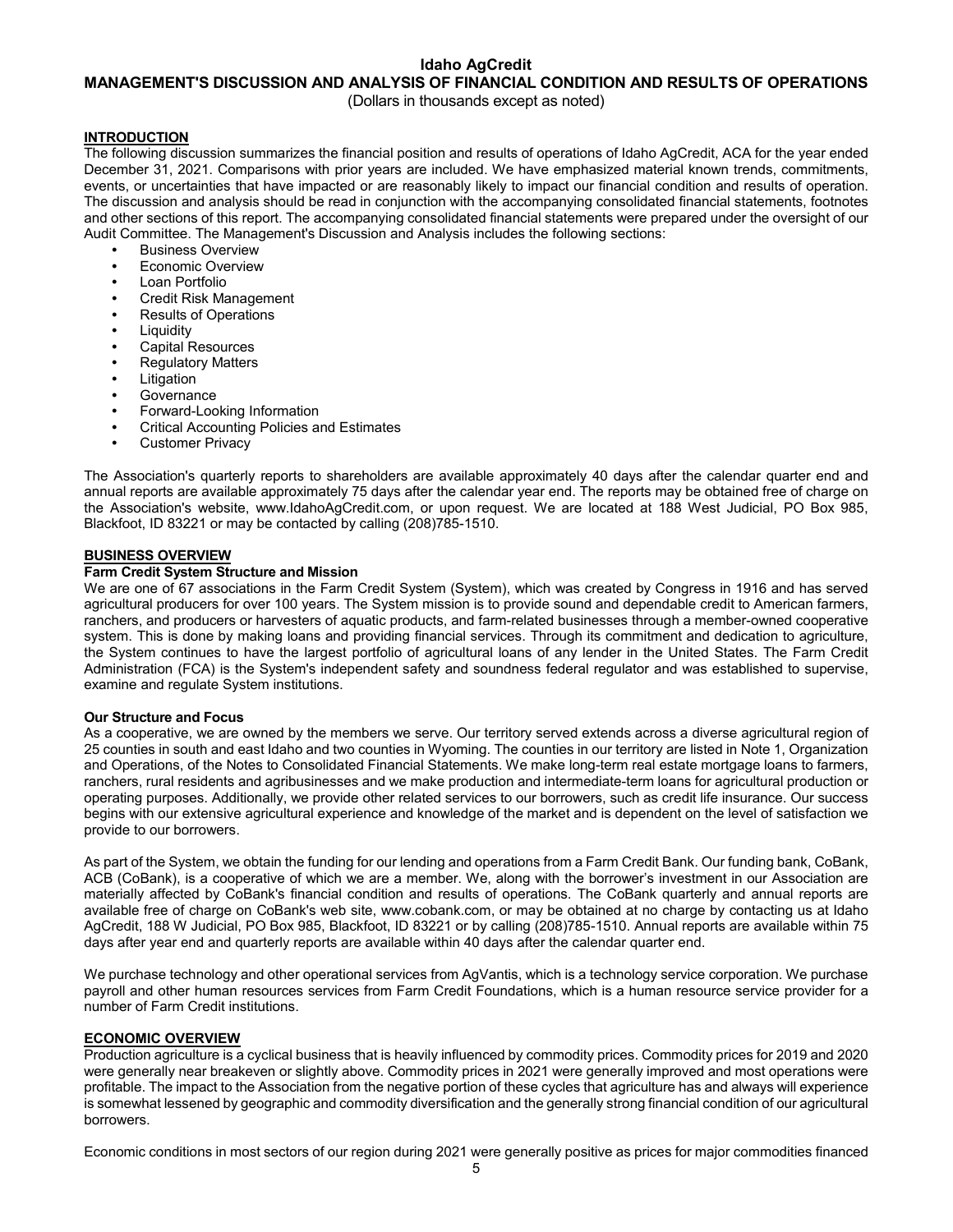## **MANAGEMENT'S DISCUSSION AND ANALYSIS OF FINANCIAL CONDITION AND RESULTS OF OPERATIONS**

(Dollars in thousands except as noted)

## **INTRODUCTION**

The following discussion summarizes the financial position and results of operations of Idaho AgCredit, ACA for the year ended December 31, 2021. Comparisons with prior years are included. We have emphasized material known trends, commitments, events, or uncertainties that have impacted or are reasonably likely to impact our financial condition and results of operation. The discussion and analysis should be read in conjunction with the accompanying consolidated financial statements, footnotes and other sections of this report. The accompanying consolidated financial statements were prepared under the oversight of our Audit Committee. The Management's Discussion and Analysis includes the following sections:

- **•** Business Overview
- **•** Economic Overview
- **•** Loan Portfolio
- **•** Credit Risk Management
- **•** Results of Operations
- **•** Liquidity
- **•** Capital Resources
- **•** Regulatory Matters
- **•** Litigation
- **•** Governance
- **•** Forward-Looking Information
- **•** Critical Accounting Policies and Estimates
- **•** Customer Privacy

The Association's quarterly reports to shareholders are available approximately 40 days after the calendar quarter end and annual reports are available approximately 75 days after the calendar year end. The reports may be obtained free of charge on the Association's website, www.IdahoAgCredit.com, or upon request. We are located at 188 West Judicial, PO Box 985, Blackfoot, ID 83221 or may be contacted by calling (208)785-1510.

## **BUSINESS OVERVIEW**

## **Farm Credit System Structure and Mission**

We are one of 67 associations in the Farm Credit System (System), which was created by Congress in 1916 and has served agricultural producers for over 100 years. The System mission is to provide sound and dependable credit to American farmers, ranchers, and producers or harvesters of aquatic products, and farm-related businesses through a member-owned cooperative system. This is done by making loans and providing financial services. Through its commitment and dedication to agriculture, the System continues to have the largest portfolio of agricultural loans of any lender in the United States. The Farm Credit Administration (FCA) is the System's independent safety and soundness federal regulator and was established to supervise, examine and regulate System institutions.

## **Our Structure and Focus**

As a cooperative, we are owned by the members we serve. Our territory served extends across a diverse agricultural region of 25 counties in south and east Idaho and two counties in Wyoming. The counties in our territory are listed in Note 1, Organization and Operations, of the Notes to Consolidated Financial Statements. We make long-term real estate mortgage loans to farmers, ranchers, rural residents and agribusinesses and we make production and intermediate-term loans for agricultural production or operating purposes. Additionally, we provide other related services to our borrowers, such as credit life insurance. Our success begins with our extensive agricultural experience and knowledge of the market and is dependent on the level of satisfaction we provide to our borrowers.

As part of the System, we obtain the funding for our lending and operations from a Farm Credit Bank. Our funding bank, CoBank, ACB (CoBank), is a cooperative of which we are a member. We, along with the borrower's investment in our Association are materially affected by CoBank's financial condition and results of operations. The CoBank quarterly and annual reports are available free of charge on CoBank's web site, www.cobank.com, or may be obtained at no charge by contacting us at Idaho AgCredit, 188 W Judicial, PO Box 985, Blackfoot, ID 83221 or by calling (208)785-1510. Annual reports are available within 75 days after year end and quarterly reports are available within 40 days after the calendar quarter end.

We purchase technology and other operational services from AgVantis, which is a technology service corporation. We purchase payroll and other human resources services from Farm Credit Foundations, which is a human resource service provider for a number of Farm Credit institutions.

## **ECONOMIC OVERVIEW**

Production agriculture is a cyclical business that is heavily influenced by commodity prices. Commodity prices for 2019 and 2020 were generally near breakeven or slightly above. Commodity prices in 2021 were generally improved and most operations were profitable. The impact to the Association from the negative portion of these cycles that agriculture has and always will experience is somewhat lessened by geographic and commodity diversification and the generally strong financial condition of our agricultural borrowers.

Economic conditions in most sectors of our region during 2021 were generally positive as prices for major commodities financed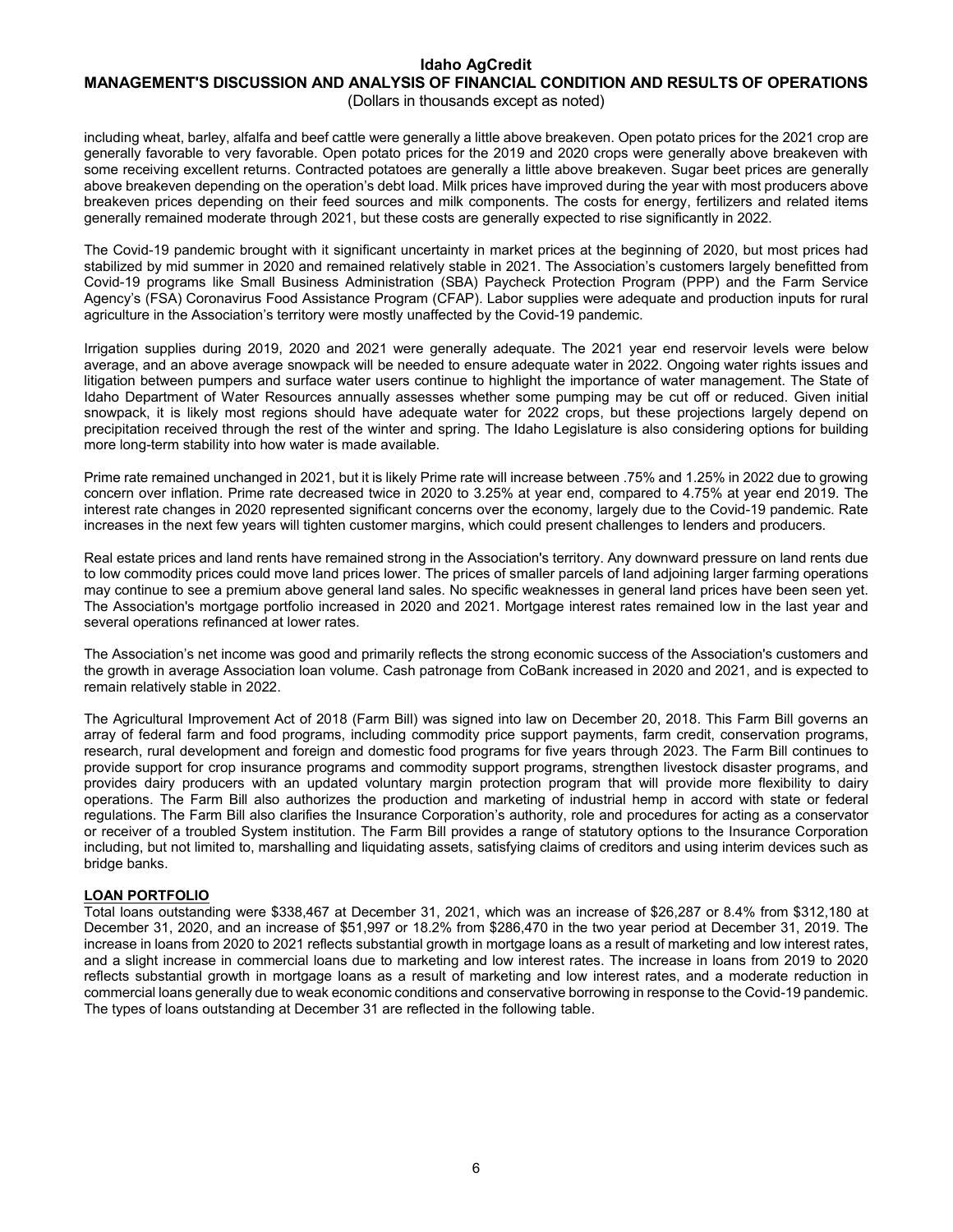## **MANAGEMENT'S DISCUSSION AND ANALYSIS OF FINANCIAL CONDITION AND RESULTS OF OPERATIONS** (Dollars in thousands except as noted)

including wheat, barley, alfalfa and beef cattle were generally a little above breakeven. Open potato prices for the 2021 crop are generally favorable to very favorable. Open potato prices for the 2019 and 2020 crops were generally above breakeven with some receiving excellent returns. Contracted potatoes are generally a little above breakeven. Sugar beet prices are generally above breakeven depending on the operation's debt load. Milk prices have improved during the year with most producers above breakeven prices depending on their feed sources and milk components. The costs for energy, fertilizers and related items generally remained moderate through 2021, but these costs are generally expected to rise significantly in 2022.

The Covid-19 pandemic brought with it significant uncertainty in market prices at the beginning of 2020, but most prices had stabilized by mid summer in 2020 and remained relatively stable in 2021. The Association's customers largely benefitted from Covid-19 programs like Small Business Administration (SBA) Paycheck Protection Program (PPP) and the Farm Service Agency's (FSA) Coronavirus Food Assistance Program (CFAP). Labor supplies were adequate and production inputs for rural agriculture in the Association's territory were mostly unaffected by the Covid-19 pandemic.

Irrigation supplies during 2019, 2020 and 2021 were generally adequate. The 2021 year end reservoir levels were below average, and an above average snowpack will be needed to ensure adequate water in 2022. Ongoing water rights issues and litigation between pumpers and surface water users continue to highlight the importance of water management. The State of Idaho Department of Water Resources annually assesses whether some pumping may be cut off or reduced. Given initial snowpack, it is likely most regions should have adequate water for 2022 crops, but these projections largely depend on precipitation received through the rest of the winter and spring. The Idaho Legislature is also considering options for building more long-term stability into how water is made available.

Prime rate remained unchanged in 2021, but it is likely Prime rate will increase between .75% and 1.25% in 2022 due to growing concern over inflation. Prime rate decreased twice in 2020 to 3.25% at year end, compared to 4.75% at year end 2019. The interest rate changes in 2020 represented significant concerns over the economy, largely due to the Covid-19 pandemic. Rate increases in the next few years will tighten customer margins, which could present challenges to lenders and producers.

Real estate prices and land rents have remained strong in the Association's territory. Any downward pressure on land rents due to low commodity prices could move land prices lower. The prices of smaller parcels of land adjoining larger farming operations may continue to see a premium above general land sales. No specific weaknesses in general land prices have been seen yet. The Association's mortgage portfolio increased in 2020 and 2021. Mortgage interest rates remained low in the last year and several operations refinanced at lower rates.

The Association's net income was good and primarily reflects the strong economic success of the Association's customers and the growth in average Association loan volume. Cash patronage from CoBank increased in 2020 and 2021, and is expected to remain relatively stable in 2022.

The Agricultural Improvement Act of 2018 (Farm Bill) was signed into law on December 20, 2018. This Farm Bill governs an array of federal farm and food programs, including commodity price support payments, farm credit, conservation programs, research, rural development and foreign and domestic food programs for five years through 2023. The Farm Bill continues to provide support for crop insurance programs and commodity support programs, strengthen livestock disaster programs, and provides dairy producers with an updated voluntary margin protection program that will provide more flexibility to dairy operations. The Farm Bill also authorizes the production and marketing of industrial hemp in accord with state or federal regulations. The Farm Bill also clarifies the Insurance Corporation's authority, role and procedures for acting as a conservator or receiver of a troubled System institution. The Farm Bill provides a range of statutory options to the Insurance Corporation including, but not limited to, marshalling and liquidating assets, satisfying claims of creditors and using interim devices such as bridge banks.

## **LOAN PORTFOLIO**

Total loans outstanding were \$338,467 at December 31, 2021, which was an increase of \$26,287 or 8.4% from \$312,180 at December 31, 2020, and an increase of \$51,997 or 18.2% from \$286,470 in the two year period at December 31, 2019. The increase in loans from 2020 to 2021 reflects substantial growth in mortgage loans as a result of marketing and low interest rates, and a slight increase in commercial loans due to marketing and low interest rates. The increase in loans from 2019 to 2020 reflects substantial growth in mortgage loans as a result of marketing and low interest rates, and a moderate reduction in commercial loans generally due to weak economic conditions and conservative borrowing in response to the Covid-19 pandemic. The types of loans outstanding at December 31 are reflected in the following table.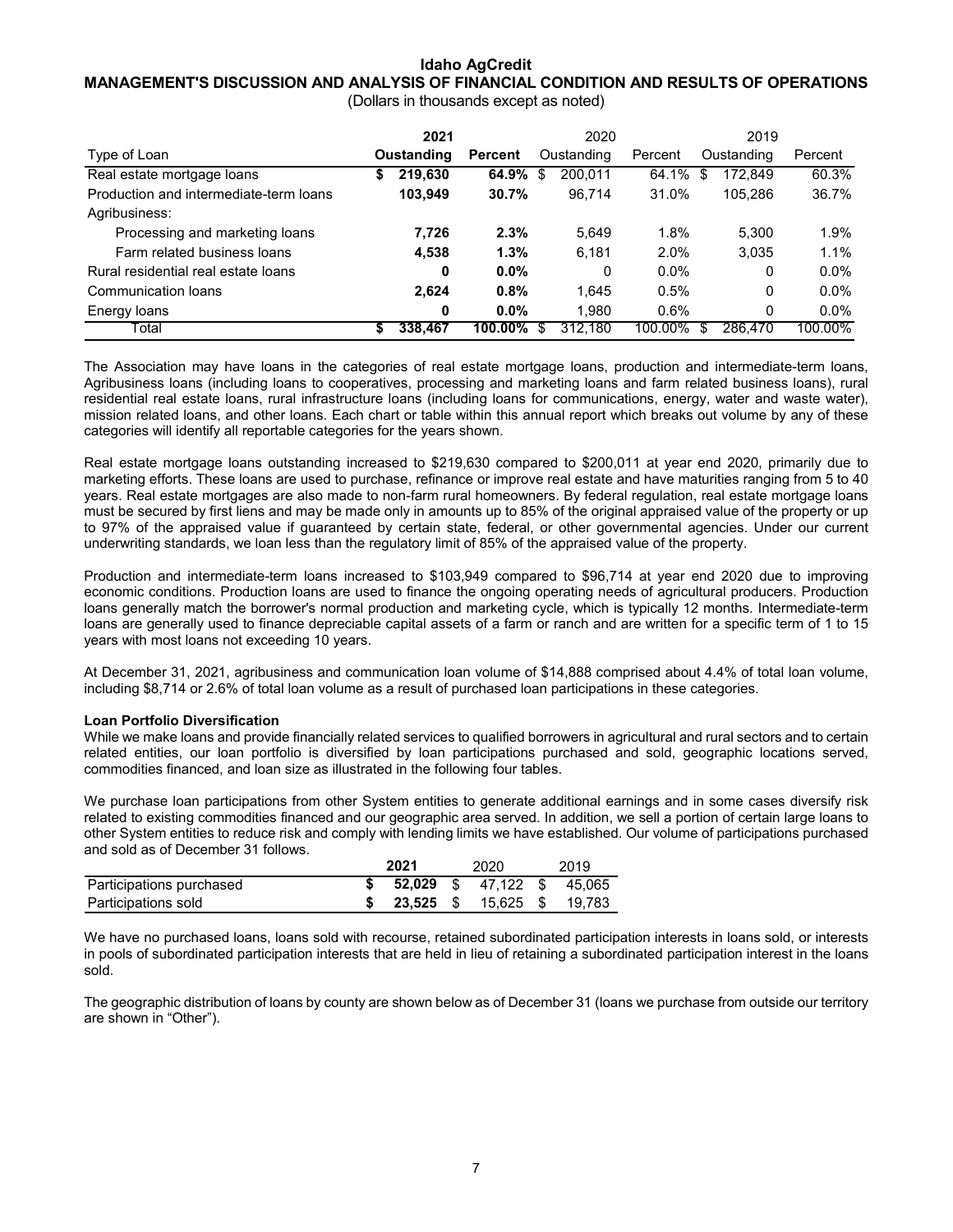## **MANAGEMENT'S DISCUSSION AND ANALYSIS OF FINANCIAL CONDITION AND RESULTS OF OPERATIONS**

(Dollars in thousands except as noted)

|                                        |            | 2021    |            | 2020 |         |         | 2019 |         |            |         |  |            |         |
|----------------------------------------|------------|---------|------------|------|---------|---------|------|---------|------------|---------|--|------------|---------|
| Type of Loan                           | Oustanding |         |            |      | Percent |         |      |         | Oustanding | Percent |  | Oustanding | Percent |
| Real estate mortgage loans             | \$         | 219.630 | 64.9%      | \$   | 200,011 | 64.1%   | S    | 172.849 | 60.3%      |         |  |            |         |
| Production and intermediate-term loans |            | 103.949 | 30.7%      |      | 96.714  | 31.0%   |      | 105.286 | 36.7%      |         |  |            |         |
| Agribusiness:                          |            |         |            |      |         |         |      |         |            |         |  |            |         |
| Processing and marketing loans         |            | 7,726   | 2.3%       |      | 5,649   | 1.8%    |      | 5.300   | 1.9%       |         |  |            |         |
| Farm related business loans            |            | 4,538   | 1.3%       |      | 6,181   | 2.0%    |      | 3,035   | 1.1%       |         |  |            |         |
| Rural residential real estate loans    |            | 0       | $0.0\%$    |      | 0       | $0.0\%$ |      | 0       | $0.0\%$    |         |  |            |         |
| Communication loans                    |            | 2.624   | 0.8%       |      | 1.645   | 0.5%    |      | 0       | $0.0\%$    |         |  |            |         |
| Energy loans                           |            | 0       | $0.0\%$    |      | 1.980   | 0.6%    |      | 0       | $0.0\%$    |         |  |            |         |
| Гоtal                                  | S          | 338,467 | $100.00\%$ | S    | 312.180 | 100.00% | S    | 286,470 | 100.00%    |         |  |            |         |

The Association may have loans in the categories of real estate mortgage loans, production and intermediate-term loans, Agribusiness loans (including loans to cooperatives, processing and marketing loans and farm related business loans), rural residential real estate loans, rural infrastructure loans (including loans for communications, energy, water and waste water), mission related loans, and other loans. Each chart or table within this annual report which breaks out volume by any of these categories will identify all reportable categories for the years shown.

Real estate mortgage loans outstanding increased to \$219,630 compared to \$200,011 at year end 2020, primarily due to marketing efforts. These loans are used to purchase, refinance or improve real estate and have maturities ranging from 5 to 40 years. Real estate mortgages are also made to non-farm rural homeowners. By federal regulation, real estate mortgage loans must be secured by first liens and may be made only in amounts up to 85% of the original appraised value of the property or up to 97% of the appraised value if guaranteed by certain state, federal, or other governmental agencies. Under our current underwriting standards, we loan less than the regulatory limit of 85% of the appraised value of the property.

Production and intermediate-term loans increased to \$103,949 compared to \$96,714 at year end 2020 due to improving economic conditions. Production loans are used to finance the ongoing operating needs of agricultural producers. Production loans generally match the borrower's normal production and marketing cycle, which is typically 12 months. Intermediate-term loans are generally used to finance depreciable capital assets of a farm or ranch and are written for a specific term of 1 to 15 years with most loans not exceeding 10 years.

At December 31, 2021, agribusiness and communication loan volume of \$14,888 comprised about 4.4% of total loan volume, including \$8,714 or 2.6% of total loan volume as a result of purchased loan participations in these categories.

## **Loan Portfolio Diversification**

While we make loans and provide financially related services to qualified borrowers in agricultural and rural sectors and to certain related entities, our loan portfolio is diversified by loan participations purchased and sold, geographic locations served, commodities financed, and loan size as illustrated in the following four tables.

We purchase loan participations from other System entities to generate additional earnings and in some cases diversify risk related to existing commodities financed and our geographic area served. In addition, we sell a portion of certain large loans to other System entities to reduce risk and comply with lending limits we have established. Our volume of participations purchased and sold as of December 31 follows.

|                          | 2021 | 2020                              | 2019 |
|--------------------------|------|-----------------------------------|------|
| Participations purchased |      | <b>52.029</b> \$ 47.122 \$ 45.065 |      |
| Participations sold      |      | <b>23.525</b> \$ 15.625 \$ 19.783 |      |

We have no purchased loans, loans sold with recourse, retained subordinated participation interests in loans sold, or interests in pools of subordinated participation interests that are held in lieu of retaining a subordinated participation interest in the loans sold.

The geographic distribution of loans by county are shown below as of December 31 (loans we purchase from outside our territory are shown in "Other").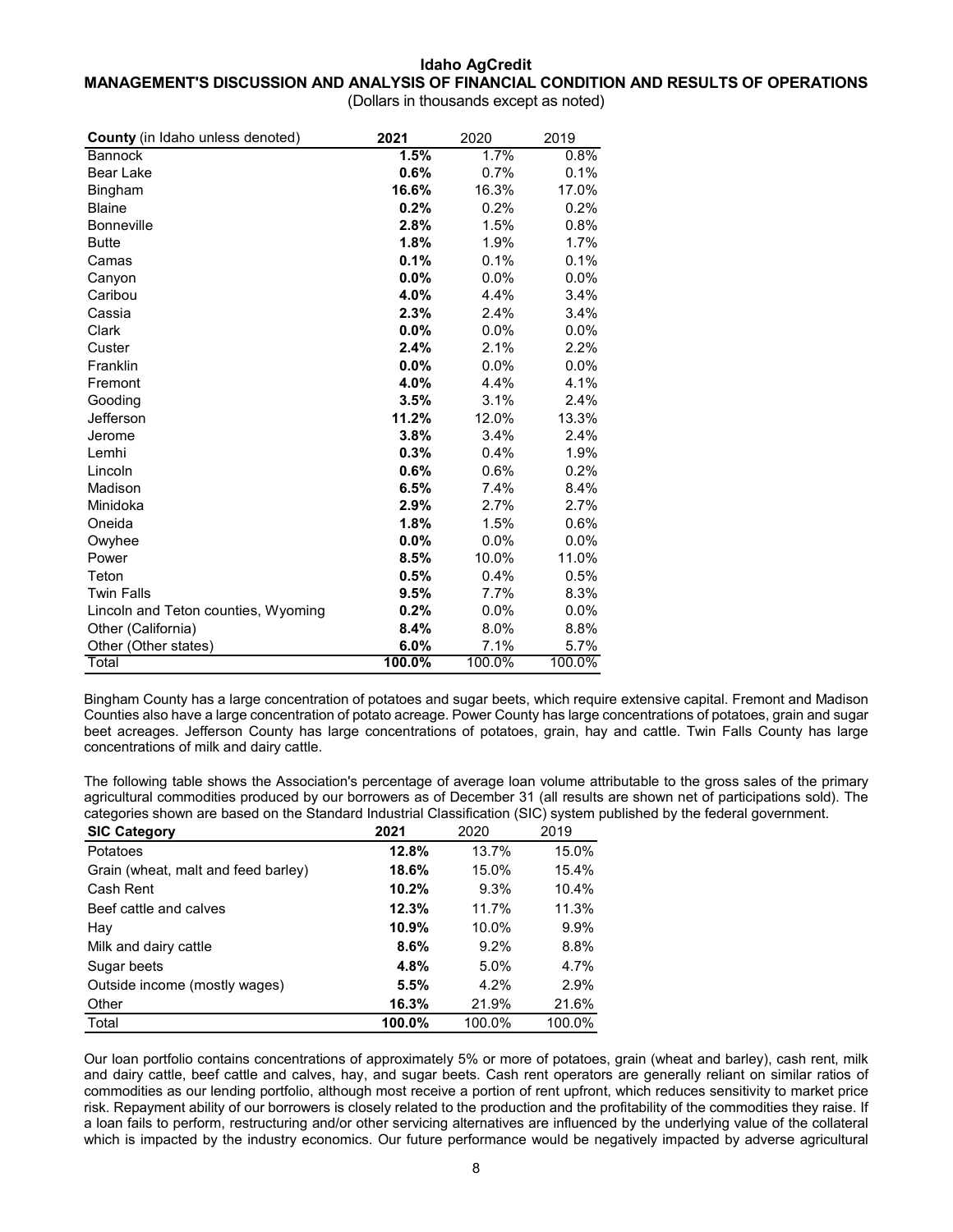## **Idaho AgCredit MANAGEMENT'S DISCUSSION AND ANALYSIS OF FINANCIAL CONDITION AND RESULTS OF OPERATIONS** (Dollars in thousands except as noted)

| <b>County</b> (in Idaho unless denoted) | 2021   | 2020   | 2019   |
|-----------------------------------------|--------|--------|--------|
| <b>Bannock</b>                          | 1.5%   | 1.7%   | 0.8%   |
| <b>Bear Lake</b>                        | 0.6%   | 0.7%   | 0.1%   |
| Bingham                                 | 16.6%  | 16.3%  | 17.0%  |
| <b>Blaine</b>                           | 0.2%   | 0.2%   | 0.2%   |
| <b>Bonneville</b>                       | 2.8%   | 1.5%   | 0.8%   |
| <b>Butte</b>                            | 1.8%   | 1.9%   | 1.7%   |
| Camas                                   | 0.1%   | 0.1%   | 0.1%   |
| Canyon                                  | 0.0%   | 0.0%   | 0.0%   |
| Caribou                                 | 4.0%   | 4.4%   | 3.4%   |
| Cassia                                  | 2.3%   | 2.4%   | 3.4%   |
| Clark                                   | 0.0%   | 0.0%   | 0.0%   |
| Custer                                  | 2.4%   | 2.1%   | 2.2%   |
| Franklin                                | 0.0%   | 0.0%   | 0.0%   |
| Fremont                                 | 4.0%   | 4.4%   | 4.1%   |
| Gooding                                 | 3.5%   | 3.1%   | 2.4%   |
| Jefferson                               | 11.2%  | 12.0%  | 13.3%  |
| Jerome                                  | 3.8%   | 3.4%   | 2.4%   |
| Lemhi                                   | 0.3%   | 0.4%   | 1.9%   |
| Lincoln                                 | 0.6%   | 0.6%   | 0.2%   |
| Madison                                 | 6.5%   | 7.4%   | 8.4%   |
| Minidoka                                | 2.9%   | 2.7%   | 2.7%   |
| Oneida                                  | 1.8%   | 1.5%   | 0.6%   |
| Owyhee                                  | 0.0%   | 0.0%   | 0.0%   |
| Power                                   | 8.5%   | 10.0%  | 11.0%  |
| Teton                                   | 0.5%   | 0.4%   | 0.5%   |
| <b>Twin Falls</b>                       | 9.5%   | 7.7%   | 8.3%   |
| Lincoln and Teton counties, Wyoming     | 0.2%   | 0.0%   | 0.0%   |
| Other (California)                      | 8.4%   | 8.0%   | 8.8%   |
| Other (Other states)                    | 6.0%   | 7.1%   | 5.7%   |
| Total                                   | 100.0% | 100.0% | 100.0% |

Bingham County has a large concentration of potatoes and sugar beets, which require extensive capital. Fremont and Madison Counties also have a large concentration of potato acreage. Power County has large concentrations of potatoes, grain and sugar beet acreages. Jefferson County has large concentrations of potatoes, grain, hay and cattle. Twin Falls County has large concentrations of milk and dairy cattle.

The following table shows the Association's percentage of average loan volume attributable to the gross sales of the primary agricultural commodities produced by our borrowers as of December 31 (all results are shown net of participations sold). The categories shown are based on the Standard Industrial Classification (SIC) system published by the federal government.

| <b>SIC Category</b>                 | 2021   | 2020    | 2019   |
|-------------------------------------|--------|---------|--------|
| Potatoes                            | 12.8%  | 13.7%   | 15.0%  |
| Grain (wheat, malt and feed barley) | 18.6%  | 15.0%   | 15.4%  |
| Cash Rent                           | 10.2%  | $9.3\%$ | 10.4%  |
| Beef cattle and calves              | 12.3%  | 11.7%   | 11.3%  |
| Hay                                 | 10.9%  | 10.0%   | 9.9%   |
| Milk and dairy cattle               | 8.6%   | $9.2\%$ | 8.8%   |
| Sugar beets                         | 4.8%   | 5.0%    | 4.7%   |
| Outside income (mostly wages)       | 5.5%   | 4.2%    | 2.9%   |
| Other                               | 16.3%  | 21.9%   | 21.6%  |
| Total                               | 100.0% | 100.0%  | 100.0% |

Our loan portfolio contains concentrations of approximately 5% or more of potatoes, grain (wheat and barley), cash rent, milk and dairy cattle, beef cattle and calves, hay, and sugar beets. Cash rent operators are generally reliant on similar ratios of commodities as our lending portfolio, although most receive a portion of rent upfront, which reduces sensitivity to market price risk. Repayment ability of our borrowers is closely related to the production and the profitability of the commodities they raise. If a loan fails to perform, restructuring and/or other servicing alternatives are influenced by the underlying value of the collateral which is impacted by the industry economics. Our future performance would be negatively impacted by adverse agricultural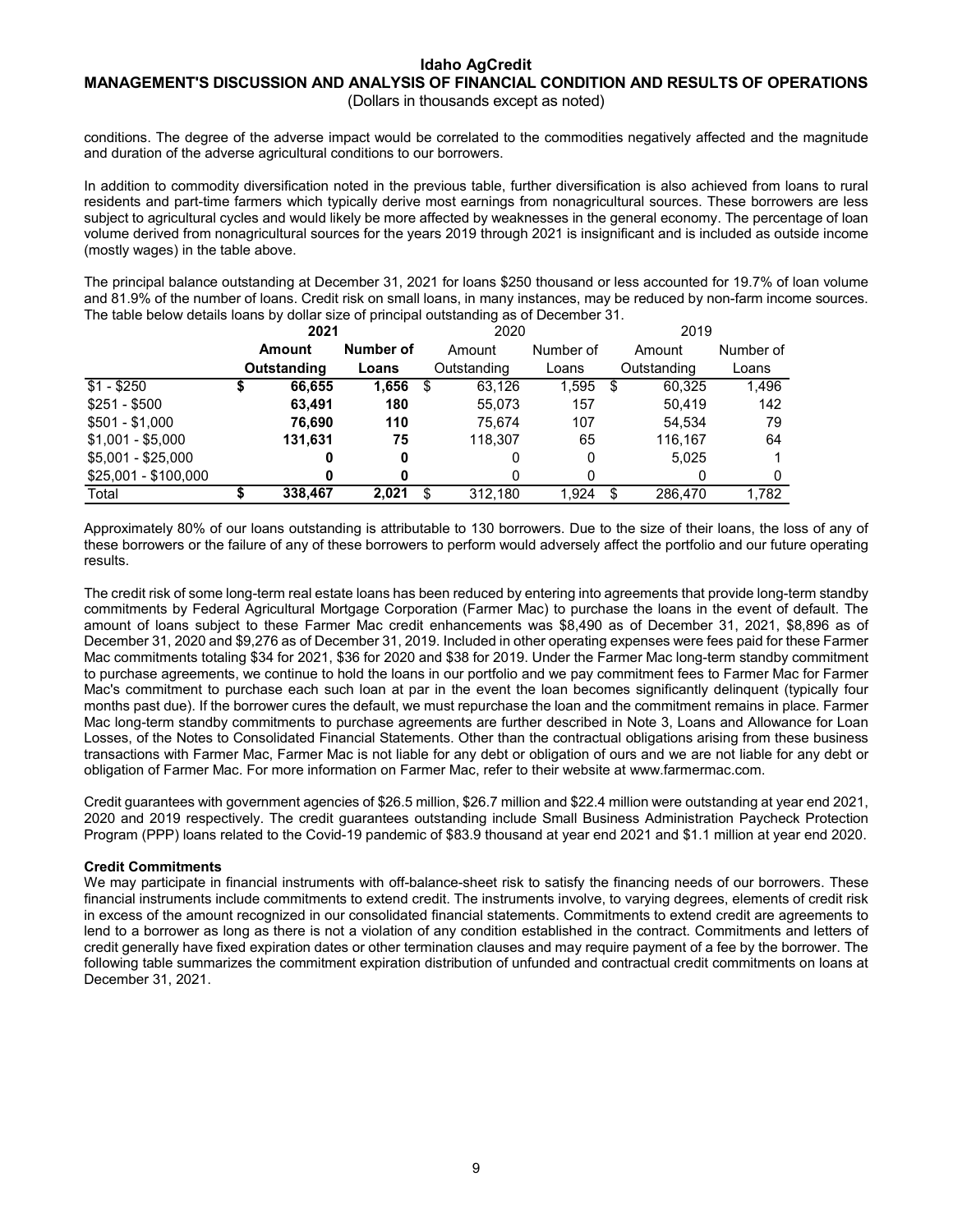## **MANAGEMENT'S DISCUSSION AND ANALYSIS OF FINANCIAL CONDITION AND RESULTS OF OPERATIONS** (Dollars in thousands except as noted)

conditions. The degree of the adverse impact would be correlated to the commodities negatively affected and the magnitude and duration of the adverse agricultural conditions to our borrowers.

In addition to commodity diversification noted in the previous table, further diversification is also achieved from loans to rural residents and part-time farmers which typically derive most earnings from nonagricultural sources. These borrowers are less subject to agricultural cycles and would likely be more affected by weaknesses in the general economy. The percentage of loan volume derived from nonagricultural sources for the years 2019 through 2021 is insignificant and is included as outside income (mostly wages) in the table above.

The principal balance outstanding at December 31, 2021 for loans \$250 thousand or less accounted for 19.7% of loan volume and 81.9% of the number of loans. Credit risk on small loans, in many instances, may be reduced by non-farm income sources. The table below details loans by dollar size of principal outstanding as of December 31.

|                      | 2021        |           |   | 2020        |           | 2019 |             |           |
|----------------------|-------------|-----------|---|-------------|-----------|------|-------------|-----------|
|                      | Amount      | Number of |   | Amount      | Number of |      | Amount      | Number of |
|                      | Outstanding | Loans     |   | Outstanding | Loans     |      | Outstanding | Loans     |
| $\sqrt{$1 - $250}$   | 66.655      | 1,656     | S | 63.126      | 1.595     | \$   | 60.325      | 1,496     |
| $$251 - $500$        | 63.491      | 180       |   | 55,073      | 157       |      | 50.419      | 142       |
| $$501 - $1,000$      | 76.690      | 110       |   | 75.674      | 107       |      | 54.534      | 79        |
| $$1,001 - $5,000$    | 131,631     | 75        |   | 118.307     | 65        |      | 116.167     | 64        |
| $$5,001 - $25,000$   |             | 0         |   |             | 0         |      | 5.025       |           |
| \$25,001 - \$100,000 |             |           |   |             | 0         |      |             |           |
| Total                | 338.467     | 2.021     |   | 312.180     | 1.924     | \$   | 286,470     | 1.782     |

Approximately 80% of our loans outstanding is attributable to 130 borrowers. Due to the size of their loans, the loss of any of these borrowers or the failure of any of these borrowers to perform would adversely affect the portfolio and our future operating results.

The credit risk of some long-term real estate loans has been reduced by entering into agreements that provide long-term standby commitments by Federal Agricultural Mortgage Corporation (Farmer Mac) to purchase the loans in the event of default. The amount of loans subject to these Farmer Mac credit enhancements was \$8,490 as of December 31, 2021, \$8,896 as of December 31, 2020 and \$9,276 as of December 31, 2019. Included in other operating expenses were fees paid for these Farmer Mac commitments totaling \$34 for 2021, \$36 for 2020 and \$38 for 2019. Under the Farmer Mac long-term standby commitment to purchase agreements, we continue to hold the loans in our portfolio and we pay commitment fees to Farmer Mac for Farmer Mac's commitment to purchase each such loan at par in the event the loan becomes significantly delinquent (typically four months past due). If the borrower cures the default, we must repurchase the loan and the commitment remains in place. Farmer Mac long-term standby commitments to purchase agreements are further described in Note 3, Loans and Allowance for Loan Losses, of the Notes to Consolidated Financial Statements. Other than the contractual obligations arising from these business transactions with Farmer Mac, Farmer Mac is not liable for any debt or obligation of ours and we are not liable for any debt or obligation of Farmer Mac. For more information on Farmer Mac, refer to their website at www.farmermac.com.

Credit guarantees with government agencies of \$26.5 million, \$26.7 million and \$22.4 million were outstanding at year end 2021, 2020 and 2019 respectively. The credit guarantees outstanding include Small Business Administration Paycheck Protection Program (PPP) loans related to the Covid-19 pandemic of \$83.9 thousand at year end 2021 and \$1.1 million at year end 2020.

## **Credit Commitments**

We may participate in financial instruments with off-balance-sheet risk to satisfy the financing needs of our borrowers. These financial instruments include commitments to extend credit. The instruments involve, to varying degrees, elements of credit risk in excess of the amount recognized in our consolidated financial statements. Commitments to extend credit are agreements to lend to a borrower as long as there is not a violation of any condition established in the contract. Commitments and letters of credit generally have fixed expiration dates or other termination clauses and may require payment of a fee by the borrower. The following table summarizes the commitment expiration distribution of unfunded and contractual credit commitments on loans at December 31, 2021.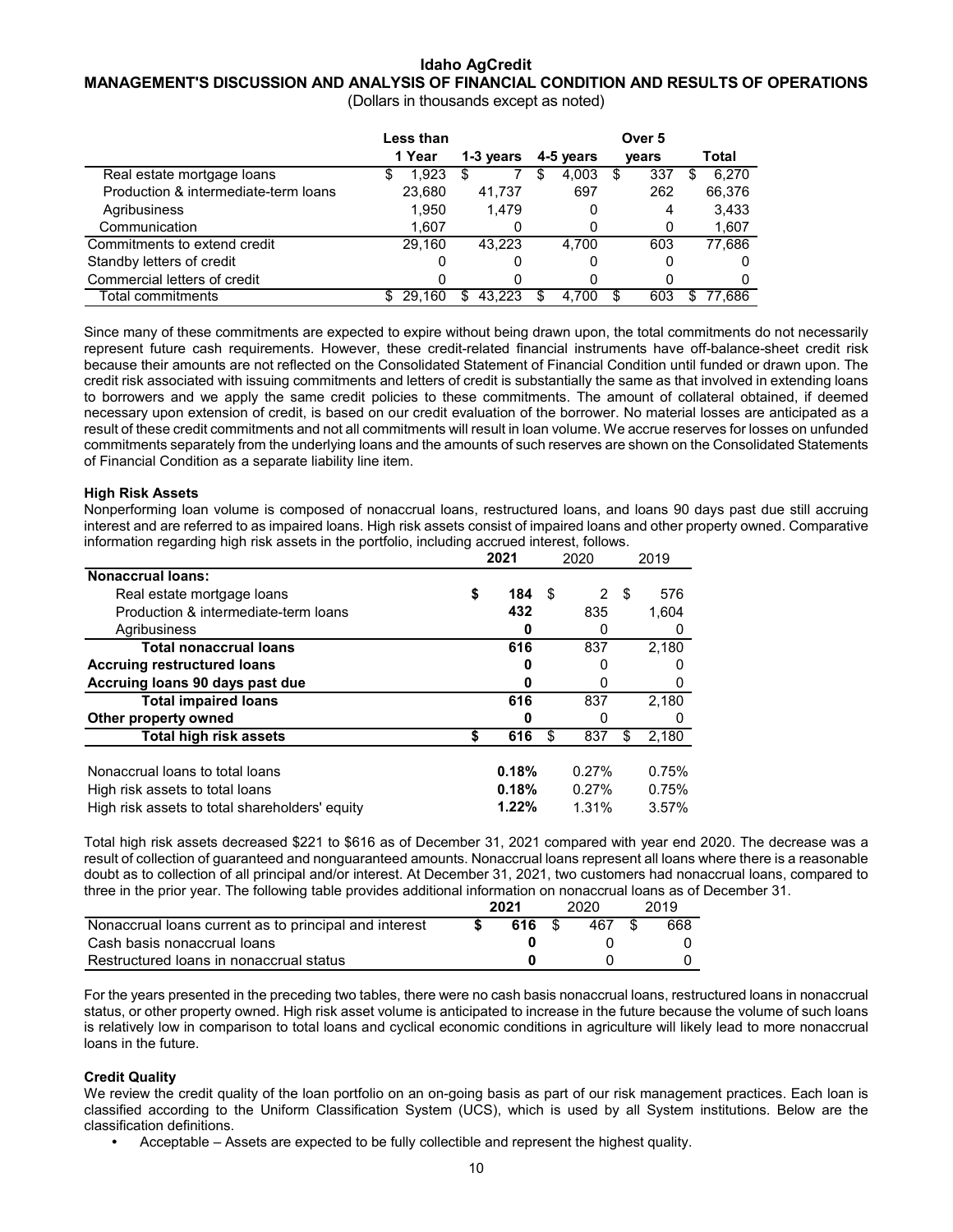## **MANAGEMENT'S DISCUSSION AND ANALYSIS OF FINANCIAL CONDITION AND RESULTS OF OPERATIONS**

(Dollars in thousands except as noted)

|                                      | Less than  |               | Over <sub>5</sub> |          |              |  |  |  |
|--------------------------------------|------------|---------------|-------------------|----------|--------------|--|--|--|
|                                      | 1 Year     | 1-3 years     | 4-5 years         | vears    | Total        |  |  |  |
| Real estate mortgage loans           | 1.923<br>S | S             | 4,003<br>S        | 337<br>S | 6.270<br>\$  |  |  |  |
| Production & intermediate-term loans | 23,680     | 41.737        | 697               | 262      | 66,376       |  |  |  |
| Agribusiness                         | 1.950      | 1.479         | 0                 | 4        | 3,433        |  |  |  |
| Communication                        | 1.607      |               |                   | 0        | 1,607        |  |  |  |
| Commitments to extend credit         | 29.160     | 43.223        | 4.700             | 603      | 77.686       |  |  |  |
| Standby letters of credit            |            | 0             | 0                 | 0        | 0            |  |  |  |
| Commercial letters of credit         |            |               |                   |          | 0            |  |  |  |
| Total commitments                    | 29.160     | 43.223<br>\$. | 4.700             | 603      | 77.686<br>\$ |  |  |  |

Since many of these commitments are expected to expire without being drawn upon, the total commitments do not necessarily represent future cash requirements. However, these credit-related financial instruments have off-balance-sheet credit risk because their amounts are not reflected on the Consolidated Statement of Financial Condition until funded or drawn upon. The credit risk associated with issuing commitments and letters of credit is substantially the same as that involved in extending loans to borrowers and we apply the same credit policies to these commitments. The amount of collateral obtained, if deemed necessary upon extension of credit, is based on our credit evaluation of the borrower. No material losses are anticipated as a result of these credit commitments and not all commitments will result in loan volume. We accrue reserves for losses on unfunded commitments separately from the underlying loans and the amounts of such reserves are shown on the Consolidated Statements of Financial Condition as a separate liability line item.

## **High Risk Assets**

Nonperforming loan volume is composed of nonaccrual loans, restructured loans, and loans 90 days past due still accruing interest and are referred to as impaired loans. High risk assets consist of impaired loans and other property owned. Comparative information regarding high risk assets in the portfolio, including accrued interest, follows.

|                                                |                | 2021  |    | 2020  |    | 2019  |
|------------------------------------------------|----------------|-------|----|-------|----|-------|
| <b>Nonaccrual loans:</b>                       |                |       |    |       |    |       |
| Real estate mortgage loans                     | \$             | 184   | \$ | 2     | \$ | 576   |
| Production & intermediate-term loans           |                | 432   |    | 835   |    | 1,604 |
| Agribusiness                                   |                |       |    |       |    |       |
| <b>Total nonaccrual loans</b>                  |                | 616   |    | 837   |    | 2.180 |
| <b>Accruing restructured loans</b>             |                |       |    |       |    |       |
| Accruing loans 90 days past due                |                | O     |    |       |    |       |
| <b>Total impaired loans</b>                    |                | 616   |    | 837   |    | 2.180 |
| Other property owned                           |                | 0     |    |       |    |       |
| <b>Total high risk assets</b>                  |                | 616   |    | 837   | \$ | 2,180 |
| Nonaccrual loans to total loans                |                | 0.18% |    | 0.27% |    | 0.75% |
| High risk assets to total loans                | 0.18%<br>0.27% |       |    | 0.75% |    |       |
| High risk assets to total shareholders' equity |                | 1.22% |    | 1.31% |    | 3.57% |

Total high risk assets decreased \$221 to \$616 as of December 31, 2021 compared with year end 2020. The decrease was a result of collection of guaranteed and nonguaranteed amounts. Nonaccrual loans represent all loans where there is a reasonable doubt as to collection of all principal and/or interest. At December 31, 2021, two customers had nonaccrual loans, compared to three in the prior year. The following table provides additional information on nonaccrual loans as of December 31.

|                                                       | 2021<br>2020 |  | 2019   |  |     |
|-------------------------------------------------------|--------------|--|--------|--|-----|
| Nonaccrual loans current as to principal and interest | 616 $$$      |  | 467 \$ |  | 668 |
| Cash basis nonaccrual loans                           |              |  |        |  |     |
| Restructured loans in nonaccrual status               |              |  |        |  |     |

For the years presented in the preceding two tables, there were no cash basis nonaccrual loans, restructured loans in nonaccrual status, or other property owned. High risk asset volume is anticipated to increase in the future because the volume of such loans is relatively low in comparison to total loans and cyclical economic conditions in agriculture will likely lead to more nonaccrual loans in the future.

## **Credit Quality**

We review the credit quality of the loan portfolio on an on-going basis as part of our risk management practices. Each loan is classified according to the Uniform Classification System (UCS), which is used by all System institutions. Below are the classification definitions.

**•** Acceptable – Assets are expected to be fully collectible and represent the highest quality.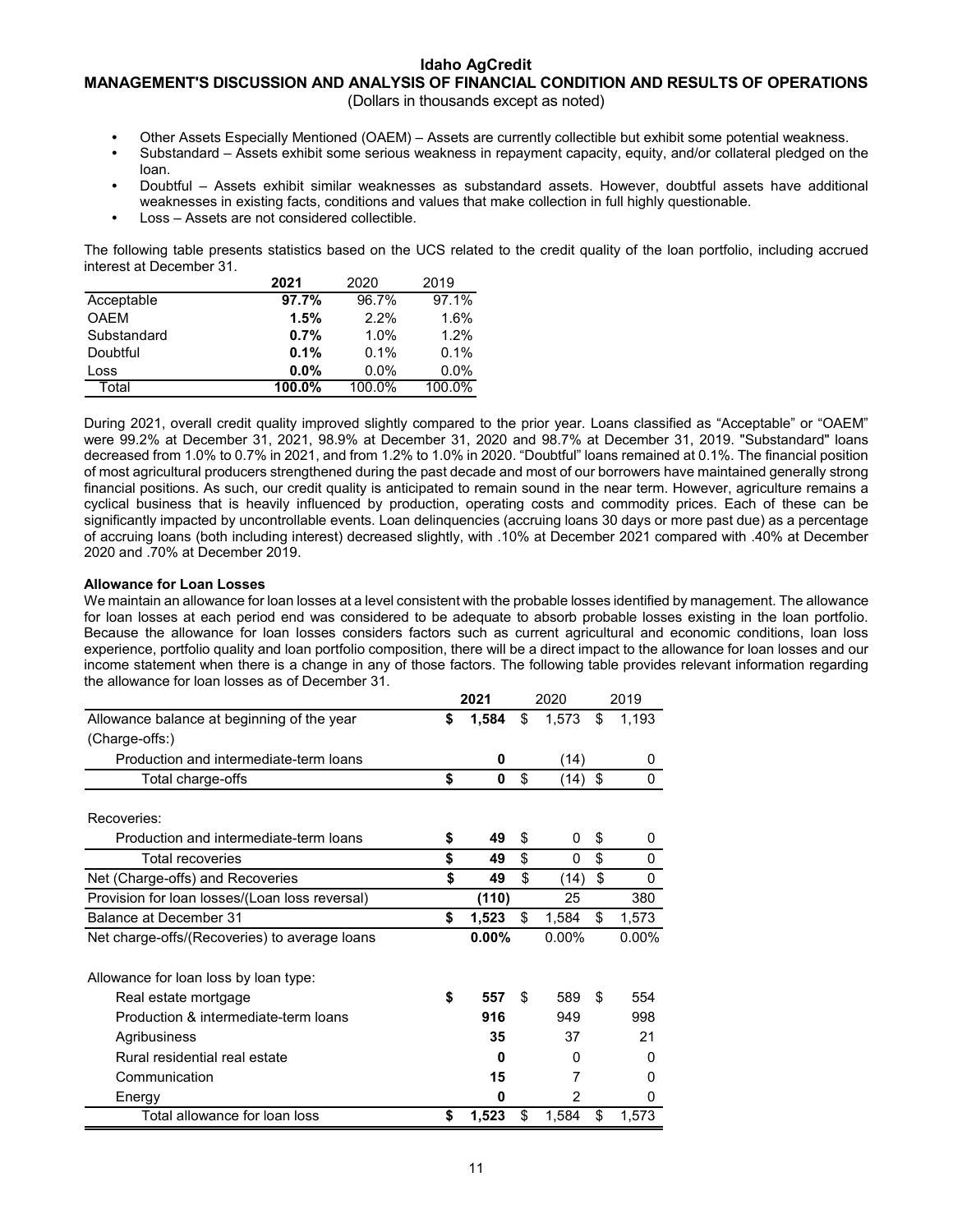## **MANAGEMENT'S DISCUSSION AND ANALYSIS OF FINANCIAL CONDITION AND RESULTS OF OPERATIONS**

(Dollars in thousands except as noted)

- **•** Other Assets Especially Mentioned (OAEM) Assets are currently collectible but exhibit some potential weakness.
- **•** Substandard Assets exhibit some serious weakness in repayment capacity, equity, and/or collateral pledged on the loan.
- **•** Doubtful Assets exhibit similar weaknesses as substandard assets. However, doubtful assets have additional weaknesses in existing facts, conditions and values that make collection in full highly questionable.
- **•** Loss Assets are not considered collectible.

The following table presents statistics based on the UCS related to the credit quality of the loan portfolio, including accrued interest at December 31.

|             | 2021    | 2020    | 2019    |
|-------------|---------|---------|---------|
| Acceptable  | 97.7%   | 96.7%   | 97.1%   |
| <b>OAEM</b> | 1.5%    | 2.2%    | 1.6%    |
| Substandard | 0.7%    | 1.0%    | 1.2%    |
| Doubtful    | 0.1%    | $0.1\%$ | 0.1%    |
| Loss        | $0.0\%$ | $0.0\%$ | $0.0\%$ |
| Total       | 100.0%  | 100.0%  | 100.0%  |

During 2021, overall credit quality improved slightly compared to the prior year. Loans classified as "Acceptable" or "OAEM" were 99.2% at December 31, 2021, 98.9% at December 31, 2020 and 98.7% at December 31, 2019. "Substandard" loans decreased from 1.0% to 0.7% in 2021, and from 1.2% to 1.0% in 2020. "Doubtful" loans remained at 0.1%. The financial position of most agricultural producers strengthened during the past decade and most of our borrowers have maintained generally strong financial positions. As such, our credit quality is anticipated to remain sound in the near term. However, agriculture remains a cyclical business that is heavily influenced by production, operating costs and commodity prices. Each of these can be significantly impacted by uncontrollable events. Loan delinquencies (accruing loans 30 days or more past due) as a percentage of accruing loans (both including interest) decreased slightly, with .10% at December 2021 compared with .40% at December 2020 and .70% at December 2019.

## **Allowance for Loan Losses**

We maintain an allowance for loan losses at a level consistent with the probable losses identified by management. The allowance for loan losses at each period end was considered to be adequate to absorb probable losses existing in the loan portfolio. Because the allowance for loan losses considers factors such as current agricultural and economic conditions, loan loss experience, portfolio quality and loan portfolio composition, there will be a direct impact to the allowance for loan losses and our income statement when there is a change in any of those factors. The following table provides relevant information regarding the allowance for loan losses as of December 31.

|                                                | 2021        | 2020 |          | 2019        |
|------------------------------------------------|-------------|------|----------|-------------|
| Allowance balance at beginning of the year     | \$<br>1,584 | \$   | 1,573    | \$<br>1,193 |
| (Charge-offs:)                                 |             |      |          |             |
| Production and intermediate-term loans         | 0           |      | (14)     | 0           |
| Total charge-offs                              | \$<br>0     | \$   | (14)     | \$<br>0     |
|                                                |             |      |          |             |
| Recoveries:                                    |             |      |          |             |
| Production and intermediate-term loans         | \$<br>49    | \$   | 0        | \$<br>0     |
| Total recoveries                               | \$<br>49    | \$   | 0        | \$<br>0     |
| Net (Charge-offs) and Recoveries               | \$<br>49    | \$   | (14)     | \$<br>0     |
| Provision for loan losses/(Loan loss reversal) | (110)       |      | 25       | 380         |
| Balance at December 31                         | \$<br>1,523 | \$   | 1,584    | \$<br>1,573 |
| Net charge-offs/(Recoveries) to average loans  | $0.00\%$    |      | $0.00\%$ | $0.00\%$    |
| Allowance for loan loss by loan type:          |             |      |          |             |
| Real estate mortgage                           | \$<br>557   | \$   | 589      | \$<br>554   |
| Production & intermediate-term loans           | 916         |      | 949      | 998         |
| Agribusiness                                   | 35          |      | 37       | 21          |
| Rural residential real estate                  | 0           |      | O        | O           |
| Communication                                  | 15          |      | 7        | 0           |
| Energy                                         | 0           |      | 2        | 0           |
| Total allowance for loan loss                  | \$<br>1,523 | \$   | 1,584    | \$<br>1,573 |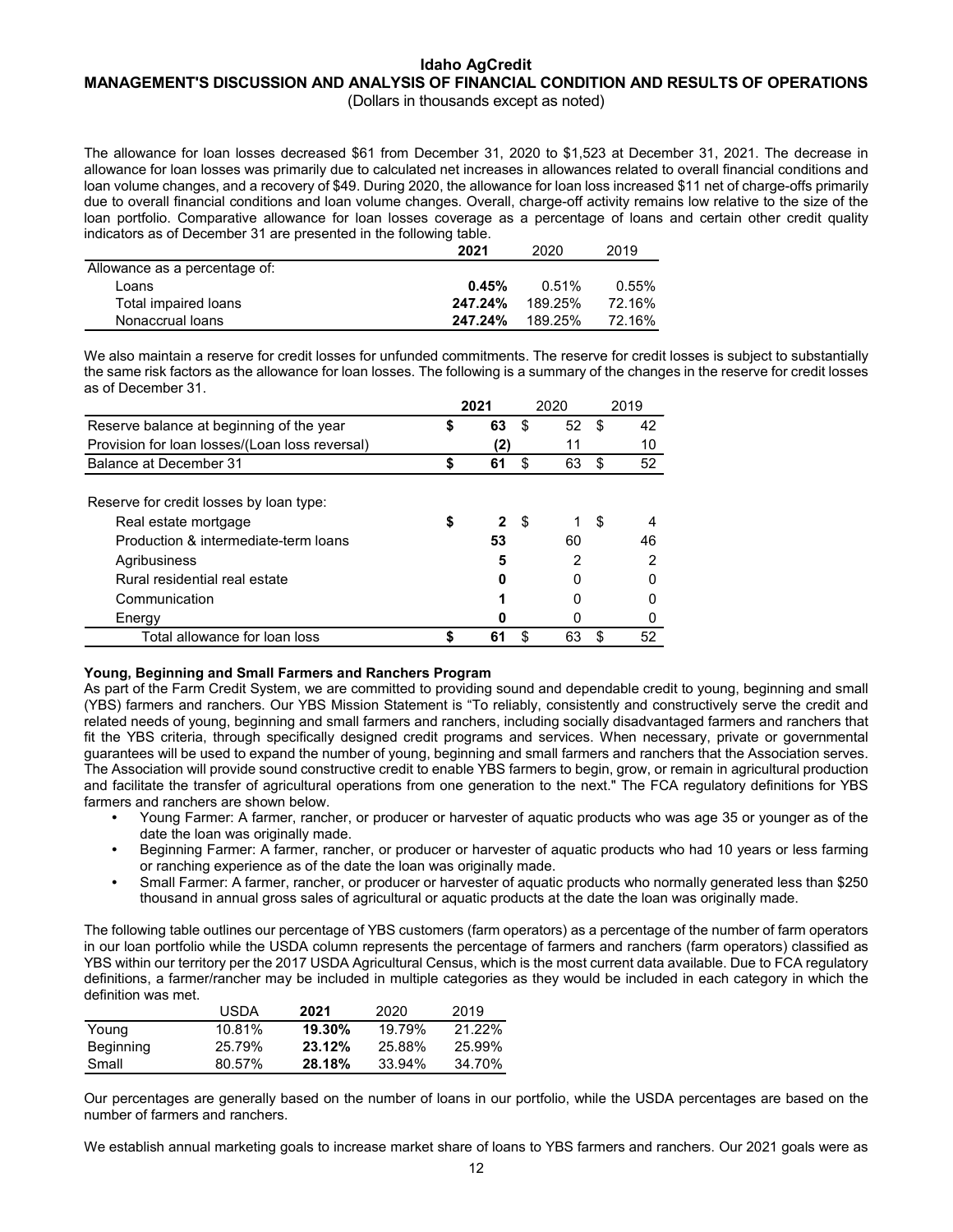#### **Idaho AgCredit MANAGEMENT'S DISCUSSION AND ANALYSIS OF FINANCIAL CONDITION AND RESULTS OF OPERATIONS** (Dollars in thousands except as noted)

The allowance for loan losses decreased \$61 from December 31, 2020 to \$1,523 at December 31, 2021. The decrease in allowance for loan losses was primarily due to calculated net increases in allowances related to overall financial conditions and loan volume changes, and a recovery of \$49. During 2020, the allowance for loan loss increased \$11 net of charge-offs primarily due to overall financial conditions and loan volume changes. Overall, charge-off activity remains low relative to the size of the loan portfolio. Comparative allowance for loan losses coverage as a percentage of loans and certain other credit quality indicators as of December 31 are presented in the following table.

|                               | 2021    | 2020    | 2019   |
|-------------------------------|---------|---------|--------|
| Allowance as a percentage of: |         |         |        |
| Loans                         | 0.45%   | 0.51%   | 0.55%  |
| Total impaired loans          | 247.24% | 189.25% | 72.16% |
| Nonaccrual loans              | 247.24% | 189.25% | 72.16% |

We also maintain a reserve for credit losses for unfunded commitments. The reserve for credit losses is subject to substantially the same risk factors as the allowance for loan losses. The following is a summary of the changes in the reserve for credit losses as of December 31.

|                                                                                                                         | 2021                    | 2020          |    | 2019    |
|-------------------------------------------------------------------------------------------------------------------------|-------------------------|---------------|----|---------|
| Reserve balance at beginning of the year                                                                                | 63                      | \$<br>52      | \$ | 42      |
| Provision for loan losses/(Loan loss reversal)                                                                          | (2)                     | 11            |    | 10      |
| Balance at December 31                                                                                                  | 61                      | \$<br>63      | \$ | 52      |
| Reserve for credit losses by loan type:<br>Real estate mortgage<br>Production & intermediate-term loans<br>Agribusiness | $\mathbf{2}$<br>53<br>5 | \$<br>60<br>2 | S  | 46<br>っ |
| Rural residential real estate<br>Communication                                                                          |                         | O             |    |         |
| Energy                                                                                                                  |                         |               |    |         |
| Total allowance for loan loss                                                                                           | 61                      |               |    | 52      |

## **Young, Beginning and Small Farmers and Ranchers Program**

As part of the Farm Credit System, we are committed to providing sound and dependable credit to young, beginning and small (YBS) farmers and ranchers. Our YBS Mission Statement is "To reliably, consistently and constructively serve the credit and related needs of young, beginning and small farmers and ranchers, including socially disadvantaged farmers and ranchers that fit the YBS criteria, through specifically designed credit programs and services. When necessary, private or governmental guarantees will be used to expand the number of young, beginning and small farmers and ranchers that the Association serves. The Association will provide sound constructive credit to enable YBS farmers to begin, grow, or remain in agricultural production and facilitate the transfer of agricultural operations from one generation to the next." The FCA regulatory definitions for YBS farmers and ranchers are shown below.

- **•** Young Farmer: A farmer, rancher, or producer or harvester of aquatic products who was age 35 or younger as of the date the loan was originally made.
- **•** Beginning Farmer: A farmer, rancher, or producer or harvester of aquatic products who had 10 years or less farming or ranching experience as of the date the loan was originally made.
- **•** Small Farmer: A farmer, rancher, or producer or harvester of aquatic products who normally generated less than \$250 thousand in annual gross sales of agricultural or aquatic products at the date the loan was originally made.

The following table outlines our percentage of YBS customers (farm operators) as a percentage of the number of farm operators in our loan portfolio while the USDA column represents the percentage of farmers and ranchers (farm operators) classified as YBS within our territory per the 2017 USDA Agricultural Census, which is the most current data available. Due to FCA regulatory definitions, a farmer/rancher may be included in multiple categories as they would be included in each category in which the definition was met.

|           | USDA   | 2021   | 2020   | 2019   |
|-----------|--------|--------|--------|--------|
| Young     | 10.81% | 19.30% | 19.79% | 21.22% |
|           |        |        |        |        |
| Beginning | 25.79% | 23.12% | 25.88% | 25.99% |
| Small     | 80.57% | 28.18% | 33.94% | 34.70% |

Our percentages are generally based on the number of loans in our portfolio, while the USDA percentages are based on the number of farmers and ranchers.

We establish annual marketing goals to increase market share of loans to YBS farmers and ranchers. Our 2021 goals were as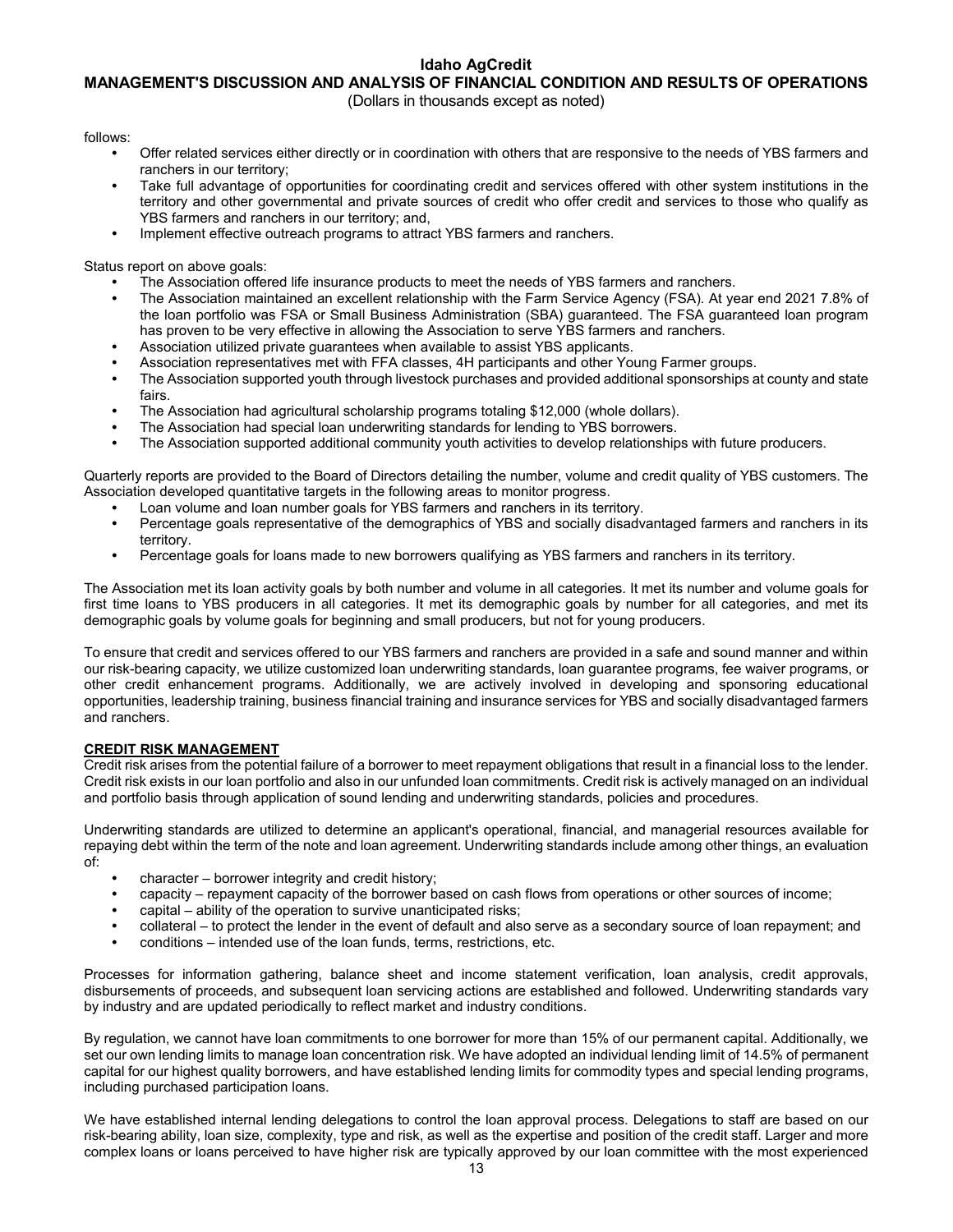## **MANAGEMENT'S DISCUSSION AND ANALYSIS OF FINANCIAL CONDITION AND RESULTS OF OPERATIONS**

(Dollars in thousands except as noted)

follows:

- **•** Offer related services either directly or in coordination with others that are responsive to the needs of YBS farmers and ranchers in our territory;
- **•** Take full advantage of opportunities for coordinating credit and services offered with other system institutions in the territory and other governmental and private sources of credit who offer credit and services to those who qualify as YBS farmers and ranchers in our territory; and,
- **•** Implement effective outreach programs to attract YBS farmers and ranchers.

Status report on above goals:

- **•** The Association offered life insurance products to meet the needs of YBS farmers and ranchers.
- **•** The Association maintained an excellent relationship with the Farm Service Agency (FSA). At year end 2021 7.8% of the loan portfolio was FSA or Small Business Administration (SBA) guaranteed. The FSA guaranteed loan program has proven to be very effective in allowing the Association to serve YBS farmers and ranchers.
- **•** Association utilized private guarantees when available to assist YBS applicants.
- **•** Association representatives met with FFA classes, 4H participants and other Young Farmer groups.
- **•** The Association supported youth through livestock purchases and provided additional sponsorships at county and state fairs.
- **•** The Association had agricultural scholarship programs totaling \$12,000 (whole dollars).
- **•** The Association had special loan underwriting standards for lending to YBS borrowers.
- **•** The Association supported additional community youth activities to develop relationships with future producers.

Quarterly reports are provided to the Board of Directors detailing the number, volume and credit quality of YBS customers. The Association developed quantitative targets in the following areas to monitor progress.

- **•** Loan volume and loan number goals for YBS farmers and ranchers in its territory.
- **•** Percentage goals representative of the demographics of YBS and socially disadvantaged farmers and ranchers in its territory.
- **•** Percentage goals for loans made to new borrowers qualifying as YBS farmers and ranchers in its territory.

The Association met its loan activity goals by both number and volume in all categories. It met its number and volume goals for first time loans to YBS producers in all categories. It met its demographic goals by number for all categories, and met its demographic goals by volume goals for beginning and small producers, but not for young producers.

To ensure that credit and services offered to our YBS farmers and ranchers are provided in a safe and sound manner and within our risk-bearing capacity, we utilize customized loan underwriting standards, loan guarantee programs, fee waiver programs, or other credit enhancement programs. Additionally, we are actively involved in developing and sponsoring educational opportunities, leadership training, business financial training and insurance services for YBS and socially disadvantaged farmers and ranchers.

## **CREDIT RISK MANAGEMENT**

Credit risk arises from the potential failure of a borrower to meet repayment obligations that result in a financial loss to the lender. Credit risk exists in our loan portfolio and also in our unfunded loan commitments. Credit risk is actively managed on an individual and portfolio basis through application of sound lending and underwriting standards, policies and procedures.

Underwriting standards are utilized to determine an applicant's operational, financial, and managerial resources available for repaying debt within the term of the note and loan agreement. Underwriting standards include among other things, an evaluation of:

- **•** character borrower integrity and credit history;
- **•** capacity repayment capacity of the borrower based on cash flows from operations or other sources of income;
- **•** capital ability of the operation to survive unanticipated risks;
- **•** collateral to protect the lender in the event of default and also serve as a secondary source of loan repayment; and
- **•** conditions intended use of the loan funds, terms, restrictions, etc.

Processes for information gathering, balance sheet and income statement verification, loan analysis, credit approvals, disbursements of proceeds, and subsequent loan servicing actions are established and followed. Underwriting standards vary by industry and are updated periodically to reflect market and industry conditions.

By regulation, we cannot have loan commitments to one borrower for more than 15% of our permanent capital. Additionally, we set our own lending limits to manage loan concentration risk. We have adopted an individual lending limit of 14.5% of permanent capital for our highest quality borrowers, and have established lending limits for commodity types and special lending programs, including purchased participation loans.

We have established internal lending delegations to control the loan approval process. Delegations to staff are based on our risk-bearing ability, loan size, complexity, type and risk, as well as the expertise and position of the credit staff. Larger and more complex loans or loans perceived to have higher risk are typically approved by our loan committee with the most experienced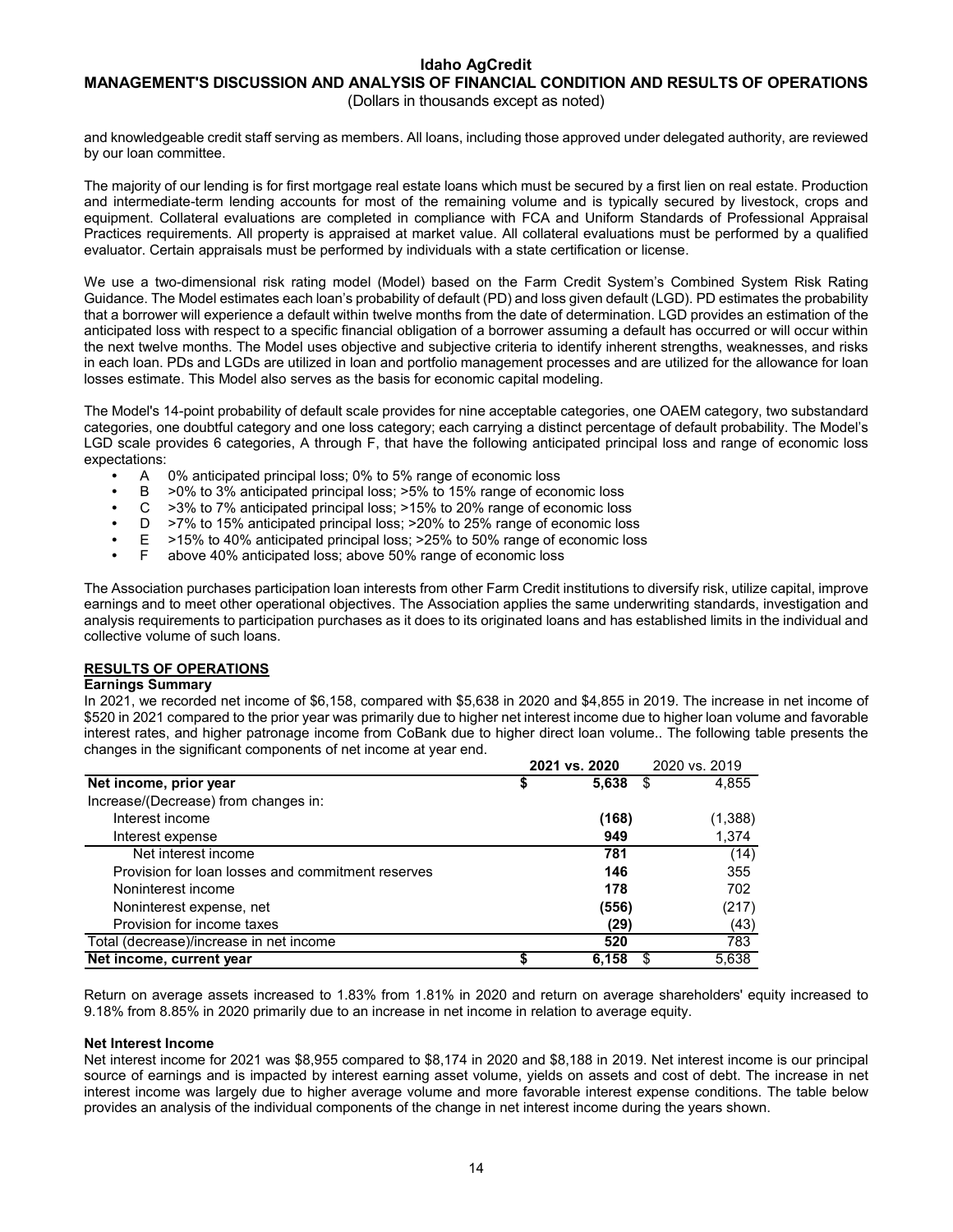## **MANAGEMENT'S DISCUSSION AND ANALYSIS OF FINANCIAL CONDITION AND RESULTS OF OPERATIONS** (Dollars in thousands except as noted)

and knowledgeable credit staff serving as members. All loans, including those approved under delegated authority, are reviewed by our loan committee.

The majority of our lending is for first mortgage real estate loans which must be secured by a first lien on real estate. Production and intermediate-term lending accounts for most of the remaining volume and is typically secured by livestock, crops and equipment. Collateral evaluations are completed in compliance with FCA and Uniform Standards of Professional Appraisal Practices requirements. All property is appraised at market value. All collateral evaluations must be performed by a qualified evaluator. Certain appraisals must be performed by individuals with a state certification or license.

We use a two-dimensional risk rating model (Model) based on the Farm Credit System's Combined System Risk Rating Guidance. The Model estimates each loan's probability of default (PD) and loss given default (LGD). PD estimates the probability that a borrower will experience a default within twelve months from the date of determination. LGD provides an estimation of the anticipated loss with respect to a specific financial obligation of a borrower assuming a default has occurred or will occur within the next twelve months. The Model uses objective and subjective criteria to identify inherent strengths, weaknesses, and risks in each loan. PDs and LGDs are utilized in loan and portfolio management processes and are utilized for the allowance for loan losses estimate. This Model also serves as the basis for economic capital modeling.

The Model's 14-point probability of default scale provides for nine acceptable categories, one OAEM category, two substandard categories, one doubtful category and one loss category; each carrying a distinct percentage of default probability. The Model's LGD scale provides 6 categories, A through F, that have the following anticipated principal loss and range of economic loss expectations:

- **•** A 0% anticipated principal loss; 0% to 5% range of economic loss
- **•** B >0% to 3% anticipated principal loss; >5% to 15% range of economic loss
- **•** C >3% to 7% anticipated principal loss; >15% to 20% range of economic loss
- **•** D >7% to 15% anticipated principal loss; >20% to 25% range of economic loss
- **•** E >15% to 40% anticipated principal loss; >25% to 50% range of economic loss
- **•** F above 40% anticipated loss; above 50% range of economic loss

The Association purchases participation loan interests from other Farm Credit institutions to diversify risk, utilize capital, improve earnings and to meet other operational objectives. The Association applies the same underwriting standards, investigation and analysis requirements to participation purchases as it does to its originated loans and has established limits in the individual and collective volume of such loans.

## **RESULTS OF OPERATIONS**

## **Earnings Summary**

In 2021, we recorded net income of \$6,158, compared with \$5,638 in 2020 and \$4,855 in 2019. The increase in net income of \$520 in 2021 compared to the prior year was primarily due to higher net interest income due to higher loan volume and favorable interest rates, and higher patronage income from CoBank due to higher direct loan volume.. The following table presents the changes in the significant components of net income at year end.

|                                                   |    | 2021 vs. 2020 | 2020 vs. 2019 |
|---------------------------------------------------|----|---------------|---------------|
| Net income, prior year                            | \$ | $5,638$ \$    | 4,855         |
| Increase/(Decrease) from changes in:              |    |               |               |
| Interest income                                   |    | (168)         | (1,388)       |
| Interest expense                                  |    | 949           | 1,374         |
| Net interest income                               |    | 781           | (14)          |
| Provision for loan losses and commitment reserves |    | 146           | 355           |
| Noninterest income                                |    | 178           | 702           |
| Noninterest expense, net                          |    | (556)         | (217)         |
| Provision for income taxes                        |    | (29)          | (43)          |
| Total (decrease)/increase in net income           |    | 520           | 783           |
| Net income, current year                          | S  | 6,158         | 5,638         |

Return on average assets increased to 1.83% from 1.81% in 2020 and return on average shareholders' equity increased to 9.18% from 8.85% in 2020 primarily due to an increase in net income in relation to average equity.

## **Net Interest Income**

Net interest income for 2021 was \$8,955 compared to \$8,174 in 2020 and \$8,188 in 2019. Net interest income is our principal source of earnings and is impacted by interest earning asset volume, yields on assets and cost of debt. The increase in net interest income was largely due to higher average volume and more favorable interest expense conditions. The table below provides an analysis of the individual components of the change in net interest income during the years shown.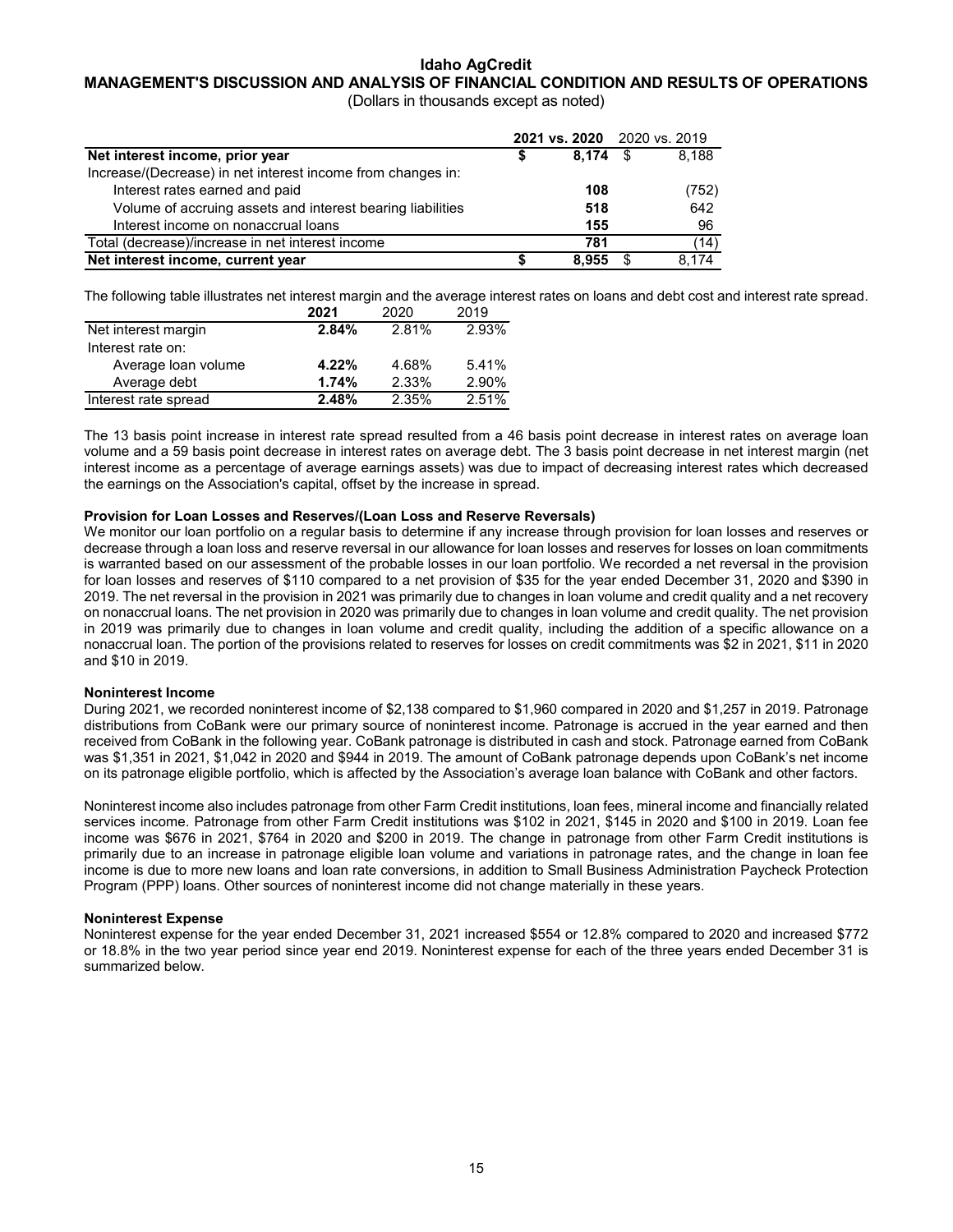## **MANAGEMENT'S DISCUSSION AND ANALYSIS OF FINANCIAL CONDITION AND RESULTS OF OPERATIONS**

(Dollars in thousands except as noted)

|                                                             | 2021 vs. 2020 2020 vs. 2019 |       |
|-------------------------------------------------------------|-----------------------------|-------|
| Net interest income, prior year                             | $8.174$ \$                  | 8.188 |
| Increase/(Decrease) in net interest income from changes in: |                             |       |
| Interest rates earned and paid                              | 108                         | (752) |
| Volume of accruing assets and interest bearing liabilities  | 518                         | 642   |
| Interest income on nonaccrual loans                         | 155                         | 96    |
| Total (decrease)/increase in net interest income            | 781                         | (14)  |
| Net interest income, current year                           | 8.955                       | 8.174 |

The following table illustrates net interest margin and the average interest rates on loans and debt cost and interest rate spread.

|                      | 2021  | 2020  | 2019  |
|----------------------|-------|-------|-------|
| Net interest margin  | 2.84% | 2.81% | 2.93% |
| Interest rate on:    |       |       |       |
| Average loan volume  | 4.22% | 4.68% | 5.41% |
| Average debt         | 1.74% | 2.33% | 2.90% |
| Interest rate spread | 2.48% | 2.35% | 2.51% |

The 13 basis point increase in interest rate spread resulted from a 46 basis point decrease in interest rates on average loan volume and a 59 basis point decrease in interest rates on average debt. The 3 basis point decrease in net interest margin (net interest income as a percentage of average earnings assets) was due to impact of decreasing interest rates which decreased the earnings on the Association's capital, offset by the increase in spread.

## **Provision for Loan Losses and Reserves/(Loan Loss and Reserve Reversals)**

We monitor our loan portfolio on a regular basis to determine if any increase through provision for loan losses and reserves or decrease through a loan loss and reserve reversal in our allowance for loan losses and reserves for losses on loan commitments is warranted based on our assessment of the probable losses in our loan portfolio. We recorded a net reversal in the provision for loan losses and reserves of \$110 compared to a net provision of \$35 for the year ended December 31, 2020 and \$390 in 2019. The net reversal in the provision in 2021 was primarily due to changes in loan volume and credit quality and a net recovery on nonaccrual loans. The net provision in 2020 was primarily due to changes in loan volume and credit quality. The net provision in 2019 was primarily due to changes in loan volume and credit quality, including the addition of a specific allowance on a nonaccrual loan. The portion of the provisions related to reserves for losses on credit commitments was \$2 in 2021, \$11 in 2020 and \$10 in 2019.

## **Noninterest Income**

During 2021, we recorded noninterest income of \$2,138 compared to \$1,960 compared in 2020 and \$1,257 in 2019. Patronage distributions from CoBank were our primary source of noninterest income. Patronage is accrued in the year earned and then received from CoBank in the following year. CoBank patronage is distributed in cash and stock. Patronage earned from CoBank was \$1,351 in 2021, \$1,042 in 2020 and \$944 in 2019. The amount of CoBank patronage depends upon CoBank's net income on its patronage eligible portfolio, which is affected by the Association's average loan balance with CoBank and other factors.

Noninterest income also includes patronage from other Farm Credit institutions, loan fees, mineral income and financially related services income. Patronage from other Farm Credit institutions was \$102 in 2021, \$145 in 2020 and \$100 in 2019. Loan fee income was \$676 in 2021, \$764 in 2020 and \$200 in 2019. The change in patronage from other Farm Credit institutions is primarily due to an increase in patronage eligible loan volume and variations in patronage rates, and the change in loan fee income is due to more new loans and loan rate conversions, in addition to Small Business Administration Paycheck Protection Program (PPP) loans. Other sources of noninterest income did not change materially in these years.

#### **Noninterest Expense**

Noninterest expense for the year ended December 31, 2021 increased \$554 or 12.8% compared to 2020 and increased \$772 or 18.8% in the two year period since year end 2019. Noninterest expense for each of the three years ended December 31 is summarized below.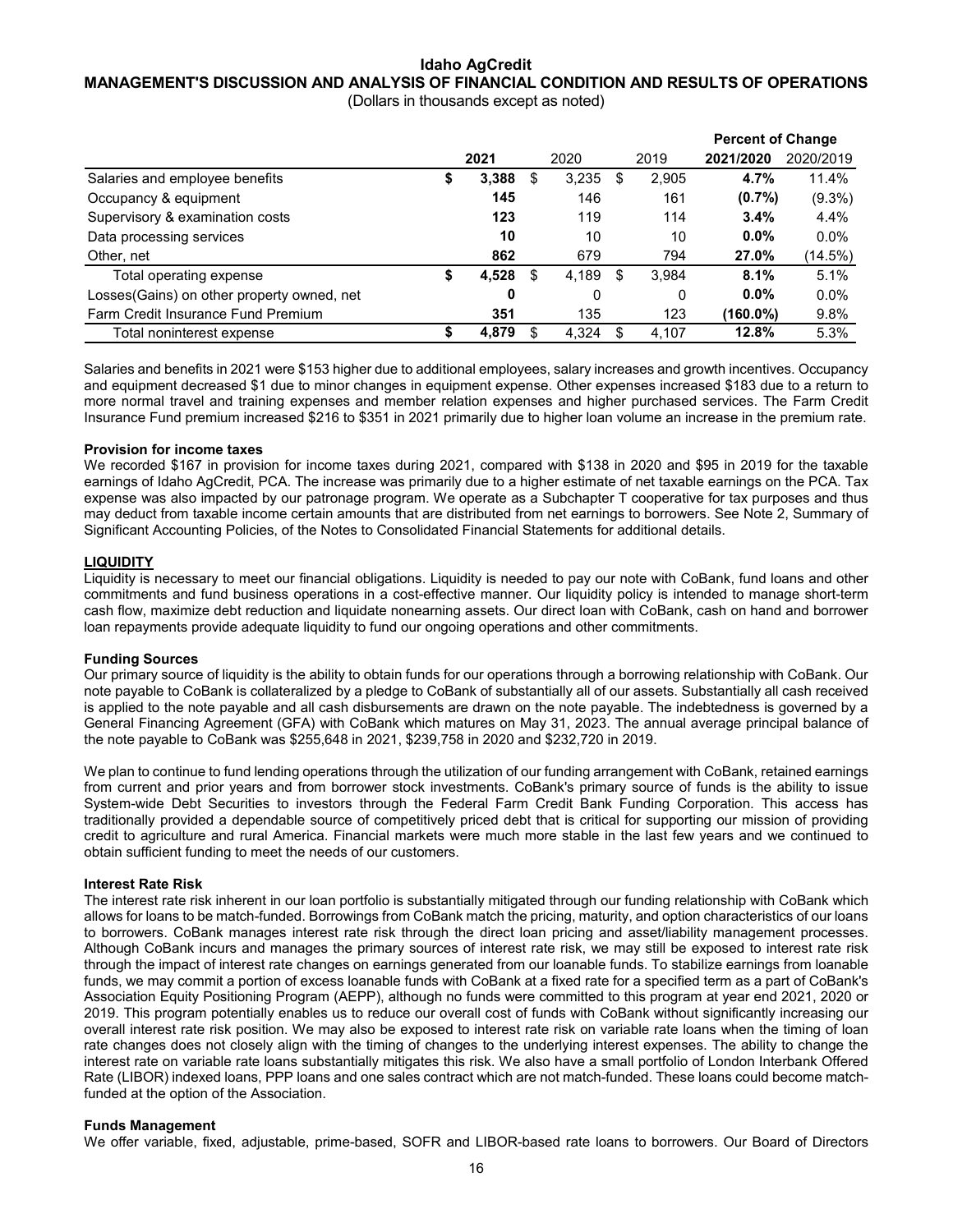## **Idaho AgCredit MANAGEMENT'S DISCUSSION AND ANALYSIS OF FINANCIAL CONDITION AND RESULTS OF OPERATIONS**

(Dollars in thousands except as noted)

|                                             |   |       |    |       |    |       | <b>Percent of Change</b> |           |
|---------------------------------------------|---|-------|----|-------|----|-------|--------------------------|-----------|
|                                             |   | 2021  |    | 2020  |    | 2019  | 2021/2020                | 2020/2019 |
| Salaries and employee benefits              | 5 | 3,388 | S  | 3,235 | S  | 2,905 | 4.7%                     | 11.4%     |
| Occupancy & equipment                       |   | 145   |    | 146   |    | 161   | $(0.7\%)$                | $(9.3\%)$ |
| Supervisory & examination costs             |   | 123   |    | 119   |    | 114   | 3.4%                     | 4.4%      |
| Data processing services                    |   | 10    |    | 10    |    | 10    | $0.0\%$                  | $0.0\%$   |
| Other, net                                  |   | 862   |    | 679   |    | 794   | 27.0%                    | (14.5%)   |
| Total operating expense                     |   | 4,528 | \$ | 4,189 | \$ | 3,984 | 8.1%                     | 5.1%      |
| Losses (Gains) on other property owned, net |   | 0     |    | 0     |    | 0     | $0.0\%$                  | $0.0\%$   |
| Farm Credit Insurance Fund Premium          |   | 351   |    | 135   |    | 123   | (160.0%)                 | 9.8%      |
| Total noninterest expense                   |   | 4.879 | S  | 4,324 | S  | 4.107 | 12.8%                    | 5.3%      |

Salaries and benefits in 2021 were \$153 higher due to additional employees, salary increases and growth incentives. Occupancy and equipment decreased \$1 due to minor changes in equipment expense. Other expenses increased \$183 due to a return to more normal travel and training expenses and member relation expenses and higher purchased services. The Farm Credit Insurance Fund premium increased \$216 to \$351 in 2021 primarily due to higher loan volume an increase in the premium rate.

## **Provision for income taxes**

We recorded \$167 in provision for income taxes during 2021, compared with \$138 in 2020 and \$95 in 2019 for the taxable earnings of Idaho AgCredit, PCA. The increase was primarily due to a higher estimate of net taxable earnings on the PCA. Tax expense was also impacted by our patronage program. We operate as a Subchapter T cooperative for tax purposes and thus may deduct from taxable income certain amounts that are distributed from net earnings to borrowers. See Note 2, Summary of Significant Accounting Policies, of the Notes to Consolidated Financial Statements for additional details.

## **LIQUIDITY**

Liquidity is necessary to meet our financial obligations. Liquidity is needed to pay our note with CoBank, fund loans and other commitments and fund business operations in a cost-effective manner. Our liquidity policy is intended to manage short-term cash flow, maximize debt reduction and liquidate nonearning assets. Our direct loan with CoBank, cash on hand and borrower loan repayments provide adequate liquidity to fund our ongoing operations and other commitments.

## **Funding Sources**

Our primary source of liquidity is the ability to obtain funds for our operations through a borrowing relationship with CoBank. Our note payable to CoBank is collateralized by a pledge to CoBank of substantially all of our assets. Substantially all cash received is applied to the note payable and all cash disbursements are drawn on the note payable. The indebtedness is governed by a General Financing Agreement (GFA) with CoBank which matures on May 31, 2023. The annual average principal balance of the note payable to CoBank was \$255,648 in 2021, \$239,758 in 2020 and \$232,720 in 2019.

We plan to continue to fund lending operations through the utilization of our funding arrangement with CoBank, retained earnings from current and prior years and from borrower stock investments. CoBank's primary source of funds is the ability to issue System-wide Debt Securities to investors through the Federal Farm Credit Bank Funding Corporation. This access has traditionally provided a dependable source of competitively priced debt that is critical for supporting our mission of providing credit to agriculture and rural America. Financial markets were much more stable in the last few years and we continued to obtain sufficient funding to meet the needs of our customers.

## **Interest Rate Risk**

The interest rate risk inherent in our loan portfolio is substantially mitigated through our funding relationship with CoBank which allows for loans to be match-funded. Borrowings from CoBank match the pricing, maturity, and option characteristics of our loans to borrowers. CoBank manages interest rate risk through the direct loan pricing and asset/liability management processes. Although CoBank incurs and manages the primary sources of interest rate risk, we may still be exposed to interest rate risk through the impact of interest rate changes on earnings generated from our loanable funds. To stabilize earnings from loanable funds, we may commit a portion of excess loanable funds with CoBank at a fixed rate for a specified term as a part of CoBank's Association Equity Positioning Program (AEPP), although no funds were committed to this program at year end 2021, 2020 or 2019. This program potentially enables us to reduce our overall cost of funds with CoBank without significantly increasing our overall interest rate risk position. We may also be exposed to interest rate risk on variable rate loans when the timing of loan rate changes does not closely align with the timing of changes to the underlying interest expenses. The ability to change the interest rate on variable rate loans substantially mitigates this risk. We also have a small portfolio of London Interbank Offered Rate (LIBOR) indexed loans, PPP loans and one sales contract which are not match-funded. These loans could become matchfunded at the option of the Association.

## **Funds Management**

We offer variable, fixed, adjustable, prime-based, SOFR and LIBOR-based rate loans to borrowers. Our Board of Directors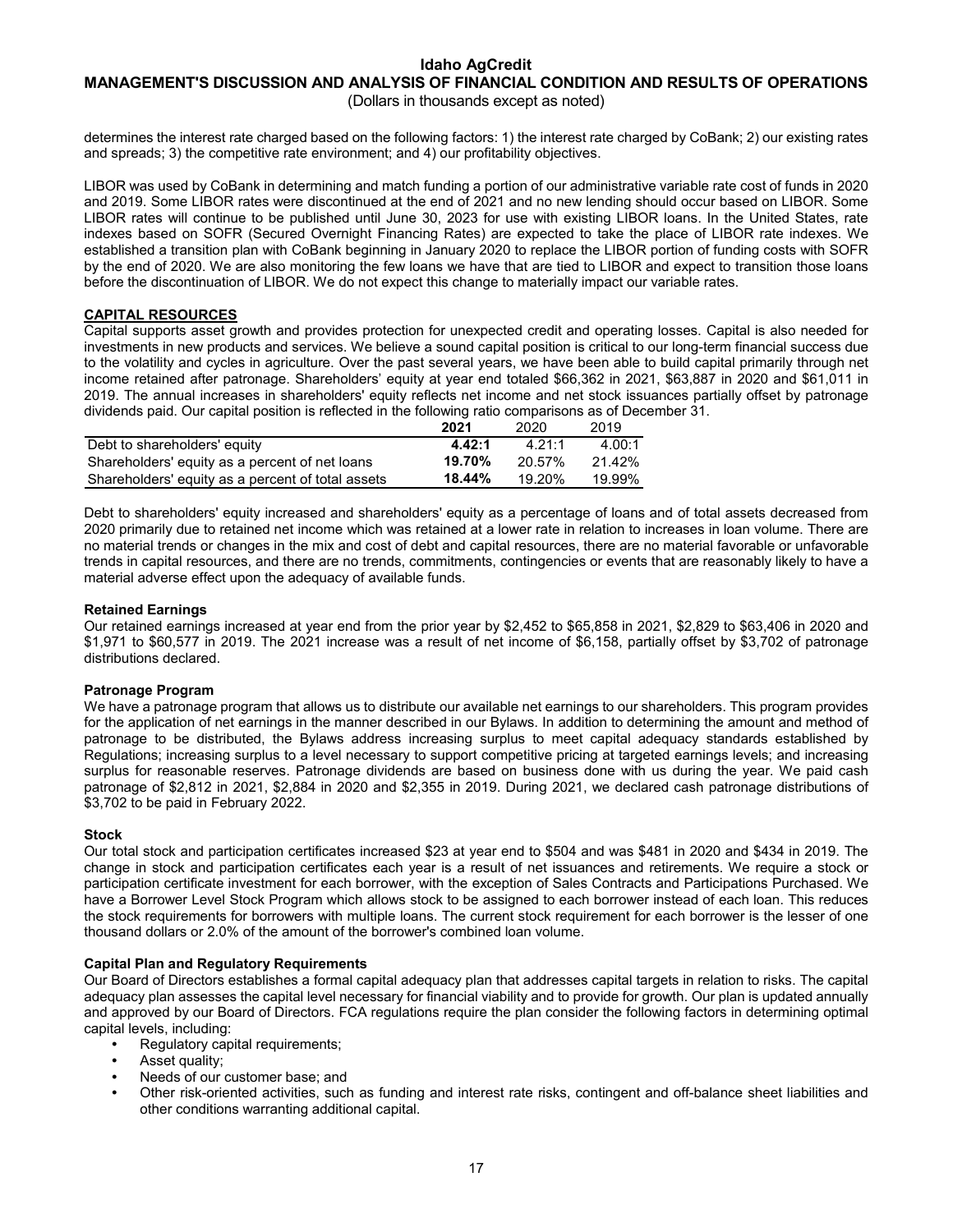## **MANAGEMENT'S DISCUSSION AND ANALYSIS OF FINANCIAL CONDITION AND RESULTS OF OPERATIONS**

(Dollars in thousands except as noted)

determines the interest rate charged based on the following factors: 1) the interest rate charged by CoBank; 2) our existing rates and spreads; 3) the competitive rate environment; and 4) our profitability objectives.

LIBOR was used by CoBank in determining and match funding a portion of our administrative variable rate cost of funds in 2020 and 2019. Some LIBOR rates were discontinued at the end of 2021 and no new lending should occur based on LIBOR. Some LIBOR rates will continue to be published until June 30, 2023 for use with existing LIBOR loans. In the United States, rate indexes based on SOFR (Secured Overnight Financing Rates) are expected to take the place of LIBOR rate indexes. We established a transition plan with CoBank beginning in January 2020 to replace the LIBOR portion of funding costs with SOFR by the end of 2020. We are also monitoring the few loans we have that are tied to LIBOR and expect to transition those loans before the discontinuation of LIBOR. We do not expect this change to materially impact our variable rates.

## **CAPITAL RESOURCES**

Capital supports asset growth and provides protection for unexpected credit and operating losses. Capital is also needed for investments in new products and services. We believe a sound capital position is critical to our long-term financial success due to the volatility and cycles in agriculture. Over the past several years, we have been able to build capital primarily through net income retained after patronage. Shareholders' equity at year end totaled \$66,362 in 2021, \$63,887 in 2020 and \$61,011 in 2019. The annual increases in shareholders' equity reflects net income and net stock issuances partially offset by patronage dividends paid. Our capital position is reflected in the following ratio comparisons as of December 31.

|                                                   | 2021   | 2020   | 2019      |
|---------------------------------------------------|--------|--------|-----------|
| Debt to shareholders' equity                      | 4.42:1 | 4 21 1 | 4.00:1    |
| Shareholders' equity as a percent of net loans    | 19.70% | 20.57% | $21.42\%$ |
| Shareholders' equity as a percent of total assets | 18.44% | 19.20% | 19.99%    |

Debt to shareholders' equity increased and shareholders' equity as a percentage of loans and of total assets decreased from 2020 primarily due to retained net income which was retained at a lower rate in relation to increases in loan volume. There are no material trends or changes in the mix and cost of debt and capital resources, there are no material favorable or unfavorable trends in capital resources, and there are no trends, commitments, contingencies or events that are reasonably likely to have a material adverse effect upon the adequacy of available funds.

## **Retained Earnings**

Our retained earnings increased at year end from the prior year by \$2,452 to \$65,858 in 2021, \$2,829 to \$63,406 in 2020 and \$1,971 to \$60,577 in 2019. The 2021 increase was a result of net income of \$6,158, partially offset by \$3,702 of patronage distributions declared.

## **Patronage Program**

We have a patronage program that allows us to distribute our available net earnings to our shareholders. This program provides for the application of net earnings in the manner described in our Bylaws. In addition to determining the amount and method of patronage to be distributed, the Bylaws address increasing surplus to meet capital adequacy standards established by Regulations; increasing surplus to a level necessary to support competitive pricing at targeted earnings levels; and increasing surplus for reasonable reserves. Patronage dividends are based on business done with us during the year. We paid cash patronage of \$2,812 in 2021, \$2,884 in 2020 and \$2,355 in 2019. During 2021, we declared cash patronage distributions of \$3,702 to be paid in February 2022.

## **Stock**

Our total stock and participation certificates increased \$23 at year end to \$504 and was \$481 in 2020 and \$434 in 2019. The change in stock and participation certificates each year is a result of net issuances and retirements. We require a stock or participation certificate investment for each borrower, with the exception of Sales Contracts and Participations Purchased. We have a Borrower Level Stock Program which allows stock to be assigned to each borrower instead of each loan. This reduces the stock requirements for borrowers with multiple loans. The current stock requirement for each borrower is the lesser of one thousand dollars or 2.0% of the amount of the borrower's combined loan volume.

## **Capital Plan and Regulatory Requirements**

Our Board of Directors establishes a formal capital adequacy plan that addresses capital targets in relation to risks. The capital adequacy plan assesses the capital level necessary for financial viability and to provide for growth. Our plan is updated annually and approved by our Board of Directors. FCA regulations require the plan consider the following factors in determining optimal capital levels, including:

- **•** Regulatory capital requirements;
- **•** Asset quality;
- **•** Needs of our customer base; and
- **•** Other risk-oriented activities, such as funding and interest rate risks, contingent and off-balance sheet liabilities and other conditions warranting additional capital.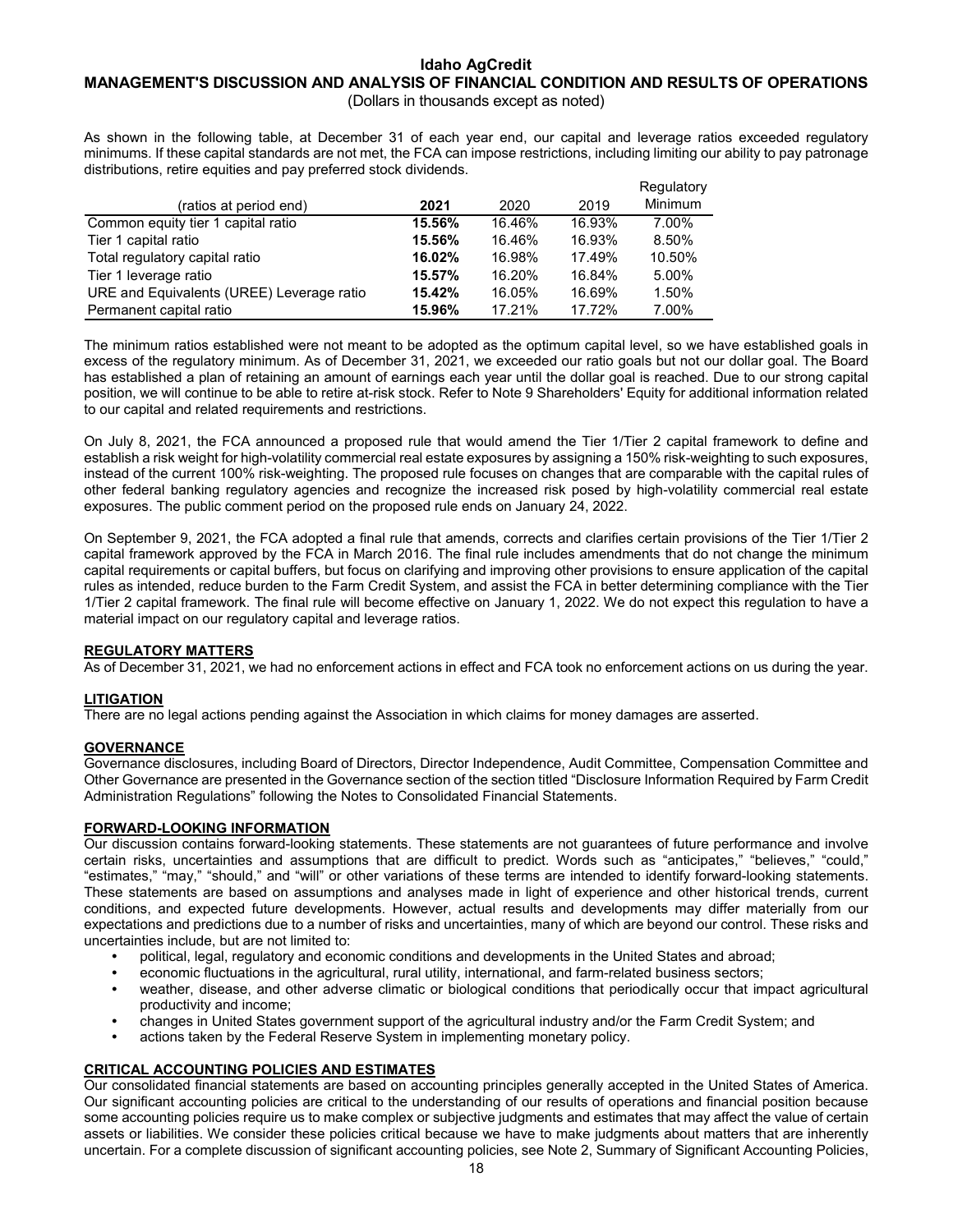#### **Idaho AgCredit MANAGEMENT'S DISCUSSION AND ANALYSIS OF FINANCIAL CONDITION AND RESULTS OF OPERATIONS** (Dollars in thousands except as noted)

As shown in the following table, at December 31 of each year end, our capital and leverage ratios exceeded regulatory minimums. If these capital standards are not met, the FCA can impose restrictions, including limiting our ability to pay patronage distributions, retire equities and pay preferred stock dividends.

|                                           |        |        |        | Regulatory     |
|-------------------------------------------|--------|--------|--------|----------------|
| (ratios at period end)                    | 2021   | 2020   | 2019   | <b>Minimum</b> |
| Common equity tier 1 capital ratio        | 15.56% | 16.46% | 16.93% | 7.00%          |
| Tier 1 capital ratio                      | 15.56% | 16.46% | 16.93% | 8.50%          |
| Total regulatory capital ratio            | 16.02% | 16.98% | 17.49% | 10.50%         |
| Tier 1 leverage ratio                     | 15.57% | 16.20% | 16.84% | 5.00%          |
| URE and Equivalents (UREE) Leverage ratio | 15.42% | 16.05% | 16.69% | 1.50%          |
| Permanent capital ratio                   | 15.96% | 17.21% | 17.72% | 7.00%          |

The minimum ratios established were not meant to be adopted as the optimum capital level, so we have established goals in excess of the regulatory minimum. As of December 31, 2021, we exceeded our ratio goals but not our dollar goal. The Board has established a plan of retaining an amount of earnings each year until the dollar goal is reached. Due to our strong capital position, we will continue to be able to retire at-risk stock. Refer to Note 9 Shareholders' Equity for additional information related to our capital and related requirements and restrictions.

On July 8, 2021, the FCA announced a proposed rule that would amend the Tier 1/Tier 2 capital framework to define and establish a risk weight for high-volatility commercial real estate exposures by assigning a 150% risk-weighting to such exposures, instead of the current 100% risk-weighting. The proposed rule focuses on changes that are comparable with the capital rules of other federal banking regulatory agencies and recognize the increased risk posed by high-volatility commercial real estate exposures. The public comment period on the proposed rule ends on January 24, 2022.

On September 9, 2021, the FCA adopted a final rule that amends, corrects and clarifies certain provisions of the Tier 1/Tier 2 capital framework approved by the FCA in March 2016. The final rule includes amendments that do not change the minimum capital requirements or capital buffers, but focus on clarifying and improving other provisions to ensure application of the capital rules as intended, reduce burden to the Farm Credit System, and assist the FCA in better determining compliance with the Tier 1/Tier 2 capital framework. The final rule will become effective on January 1, 2022. We do not expect this regulation to have a material impact on our regulatory capital and leverage ratios.

## **REGULATORY MATTERS**

As of December 31, 2021, we had no enforcement actions in effect and FCA took no enforcement actions on us during the year.

## **LITIGATION**

There are no legal actions pending against the Association in which claims for money damages are asserted.

## **GOVERNANCE**

Governance disclosures, including Board of Directors, Director Independence, Audit Committee, Compensation Committee and Other Governance are presented in the Governance section of the section titled "Disclosure Information Required by Farm Credit Administration Regulations" following the Notes to Consolidated Financial Statements.

## **FORWARD-LOOKING INFORMATION**

Our discussion contains forward-looking statements. These statements are not guarantees of future performance and involve certain risks, uncertainties and assumptions that are difficult to predict. Words such as "anticipates," "believes," "could," "estimates," "may," "should," and "will" or other variations of these terms are intended to identify forward-looking statements. These statements are based on assumptions and analyses made in light of experience and other historical trends, current conditions, and expected future developments. However, actual results and developments may differ materially from our expectations and predictions due to a number of risks and uncertainties, many of which are beyond our control. These risks and uncertainties include, but are not limited to:

- **•** political, legal, regulatory and economic conditions and developments in the United States and abroad;
- **•** economic fluctuations in the agricultural, rural utility, international, and farm-related business sectors;
- **•** weather, disease, and other adverse climatic or biological conditions that periodically occur that impact agricultural productivity and income;
- **•** changes in United States government support of the agricultural industry and/or the Farm Credit System; and
- **•** actions taken by the Federal Reserve System in implementing monetary policy.

## **CRITICAL ACCOUNTING POLICIES AND ESTIMATES**

Our consolidated financial statements are based on accounting principles generally accepted in the United States of America. Our significant accounting policies are critical to the understanding of our results of operations and financial position because some accounting policies require us to make complex or subjective judgments and estimates that may affect the value of certain assets or liabilities. We consider these policies critical because we have to make judgments about matters that are inherently uncertain. For a complete discussion of significant accounting policies, see Note 2, Summary of Significant Accounting Policies,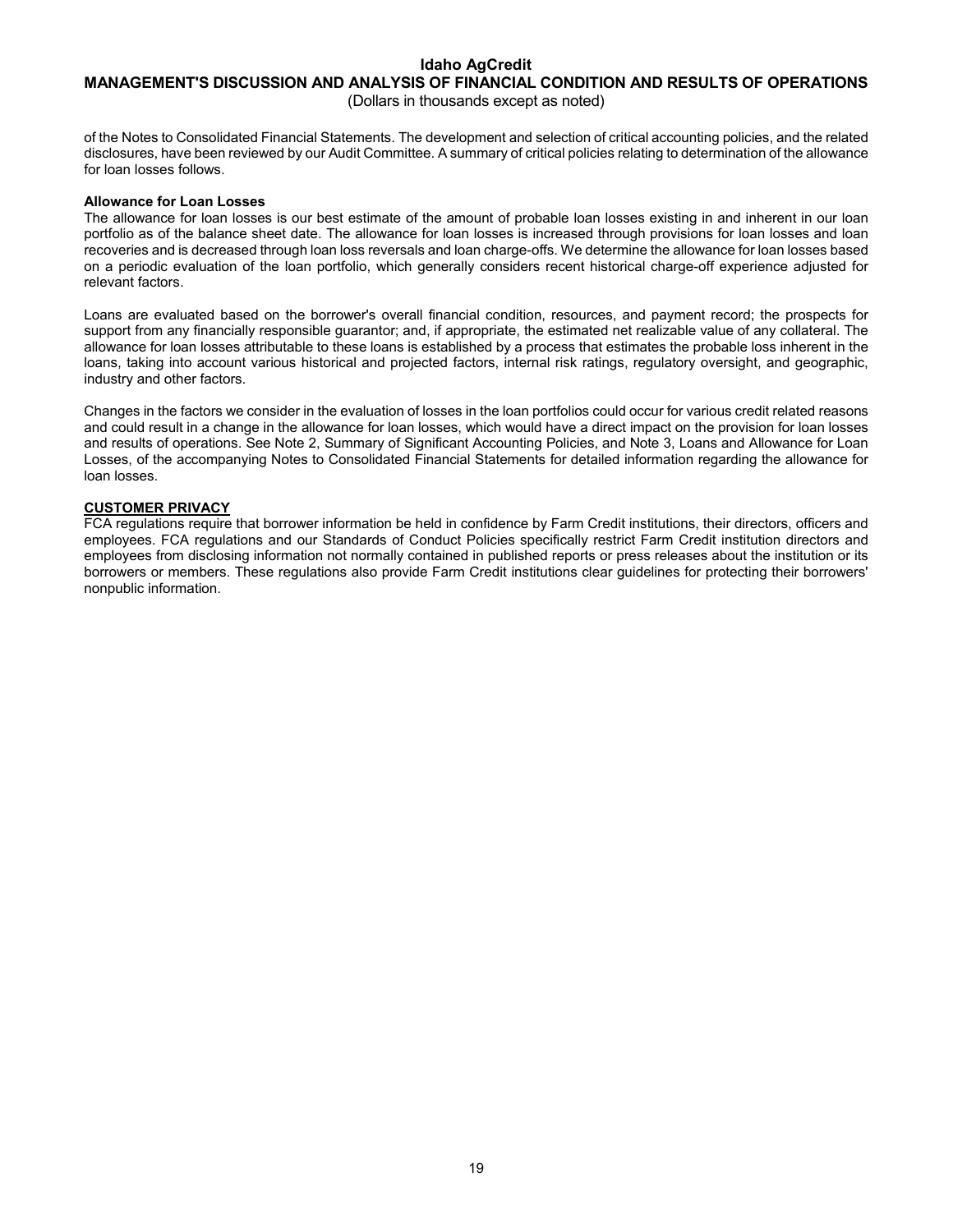## **MANAGEMENT'S DISCUSSION AND ANALYSIS OF FINANCIAL CONDITION AND RESULTS OF OPERATIONS**

(Dollars in thousands except as noted)

of the Notes to Consolidated Financial Statements. The development and selection of critical accounting policies, and the related disclosures, have been reviewed by our Audit Committee. A summary of critical policies relating to determination of the allowance for loan losses follows.

#### **Allowance for Loan Losses**

The allowance for loan losses is our best estimate of the amount of probable loan losses existing in and inherent in our loan portfolio as of the balance sheet date. The allowance for loan losses is increased through provisions for loan losses and loan recoveries and is decreased through loan loss reversals and loan charge-offs. We determine the allowance for loan losses based on a periodic evaluation of the loan portfolio, which generally considers recent historical charge-off experience adjusted for relevant factors.

Loans are evaluated based on the borrower's overall financial condition, resources, and payment record; the prospects for support from any financially responsible guarantor; and, if appropriate, the estimated net realizable value of any collateral. The allowance for loan losses attributable to these loans is established by a process that estimates the probable loss inherent in the loans, taking into account various historical and projected factors, internal risk ratings, regulatory oversight, and geographic, industry and other factors.

Changes in the factors we consider in the evaluation of losses in the loan portfolios could occur for various credit related reasons and could result in a change in the allowance for loan losses, which would have a direct impact on the provision for loan losses and results of operations. See Note 2, Summary of Significant Accounting Policies, and Note 3, Loans and Allowance for Loan Losses, of the accompanying Notes to Consolidated Financial Statements for detailed information regarding the allowance for loan losses.

## **CUSTOMER PRIVACY**

FCA regulations require that borrower information be held in confidence by Farm Credit institutions, their directors, officers and employees. FCA regulations and our Standards of Conduct Policies specifically restrict Farm Credit institution directors and employees from disclosing information not normally contained in published reports or press releases about the institution or its borrowers or members. These regulations also provide Farm Credit institutions clear guidelines for protecting their borrowers' nonpublic information.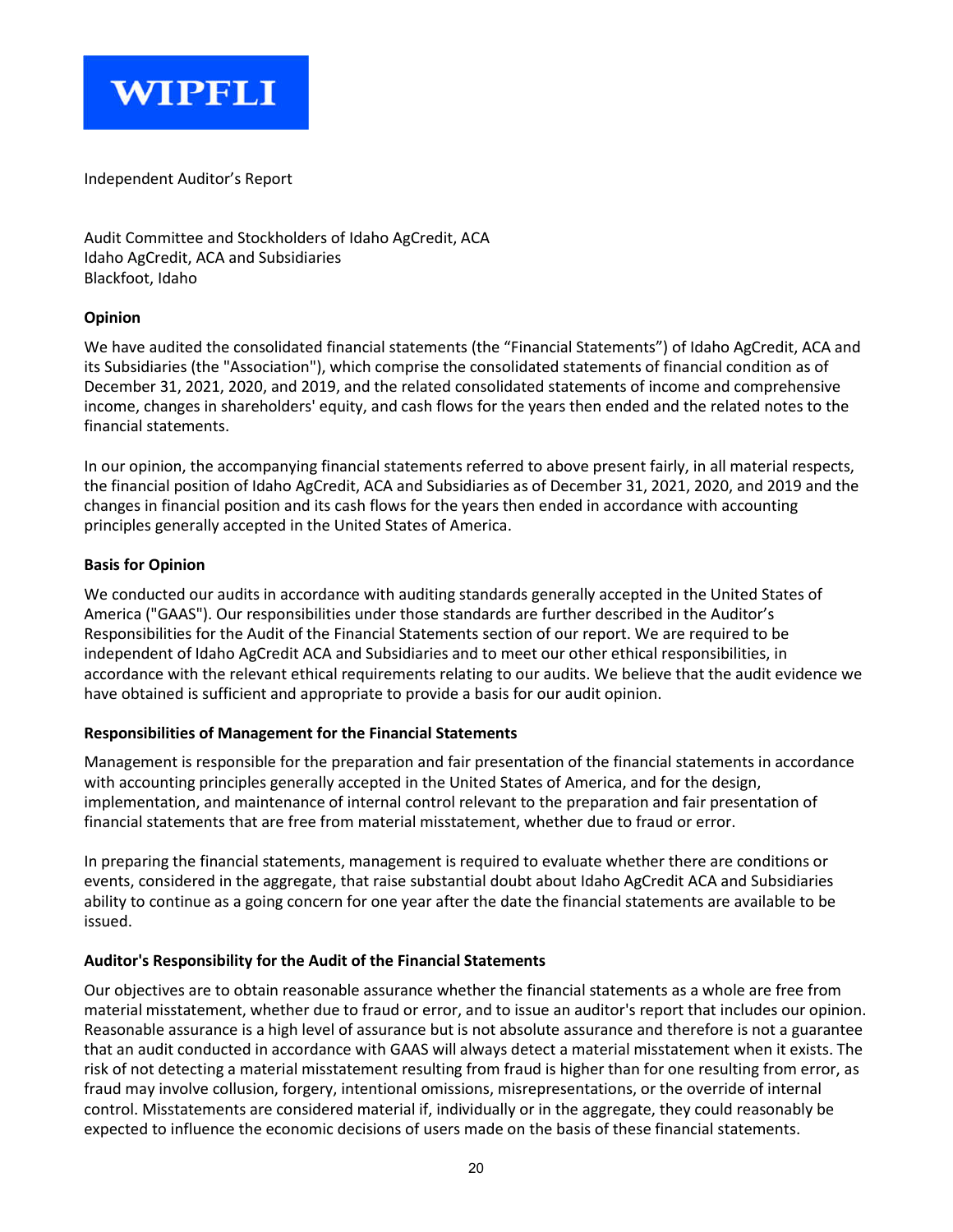

Independent Auditor's Report

Audit Committee and Stockholders of Idaho AgCredit, ACA Idaho AgCredit, ACA and Subsidiaries Blackfoot, Idaho

## **Opinion**

We have audited the consolidated financial statements (the "Financial Statements") of Idaho AgCredit, ACA and its Subsidiaries (the "Association"), which comprise the consolidated statements of financial condition as of December 31, 2021, 2020, and 2019, and the related consolidated statements of income and comprehensive income, changes in shareholders' equity, and cash flows for the years then ended and the related notes to the financial statements.

In our opinion, the accompanying financial statements referred to above present fairly, in all material respects, the financial position of Idaho AgCredit, ACA and Subsidiaries as of December 31, 2021, 2020, and 2019 and the changes in financial position and its cash flows for the years then ended in accordance with accounting principles generally accepted in the United States of America.

## **Basis for Opinion**

We conducted our audits in accordance with auditing standards generally accepted in the United States of America ("GAAS"). Our responsibilities under those standards are further described in the Auditor's Responsibilities for the Audit of the Financial Statements section of our report. We are required to be independent of Idaho AgCredit ACA and Subsidiaries and to meet our other ethical responsibilities, in accordance with the relevant ethical requirements relating to our audits. We believe that the audit evidence we have obtained is sufficient and appropriate to provide a basis for our audit opinion.

## **Responsibilities of Management for the Financial Statements**

Management is responsible for the preparation and fair presentation of the financial statements in accordance with accounting principles generally accepted in the United States of America, and for the design, implementation, and maintenance of internal control relevant to the preparation and fair presentation of financial statements that are free from material misstatement, whether due to fraud or error.

In preparing the financial statements, management is required to evaluate whether there are conditions or events, considered in the aggregate, that raise substantial doubt about Idaho AgCredit ACA and Subsidiaries ability to continue as a going concern for one year after the date the financial statements are available to be issued.

## **Auditor's Responsibility for the Audit of the Financial Statements**

Our objectives are to obtain reasonable assurance whether the financial statements as a whole are free from material misstatement, whether due to fraud or error, and to issue an auditor's report that includes our opinion. Reasonable assurance is a high level of assurance but is not absolute assurance and therefore is not a guarantee that an audit conducted in accordance with GAAS will always detect a material misstatement when it exists. The risk of not detecting a material misstatement resulting from fraud is higher than for one resulting from error, as fraud may involve collusion, forgery, intentional omissions, misrepresentations, or the override of internal control. Misstatements are considered material if, individually or in the aggregate, they could reasonably be expected to influence the economic decisions of users made on the basis of these financial statements.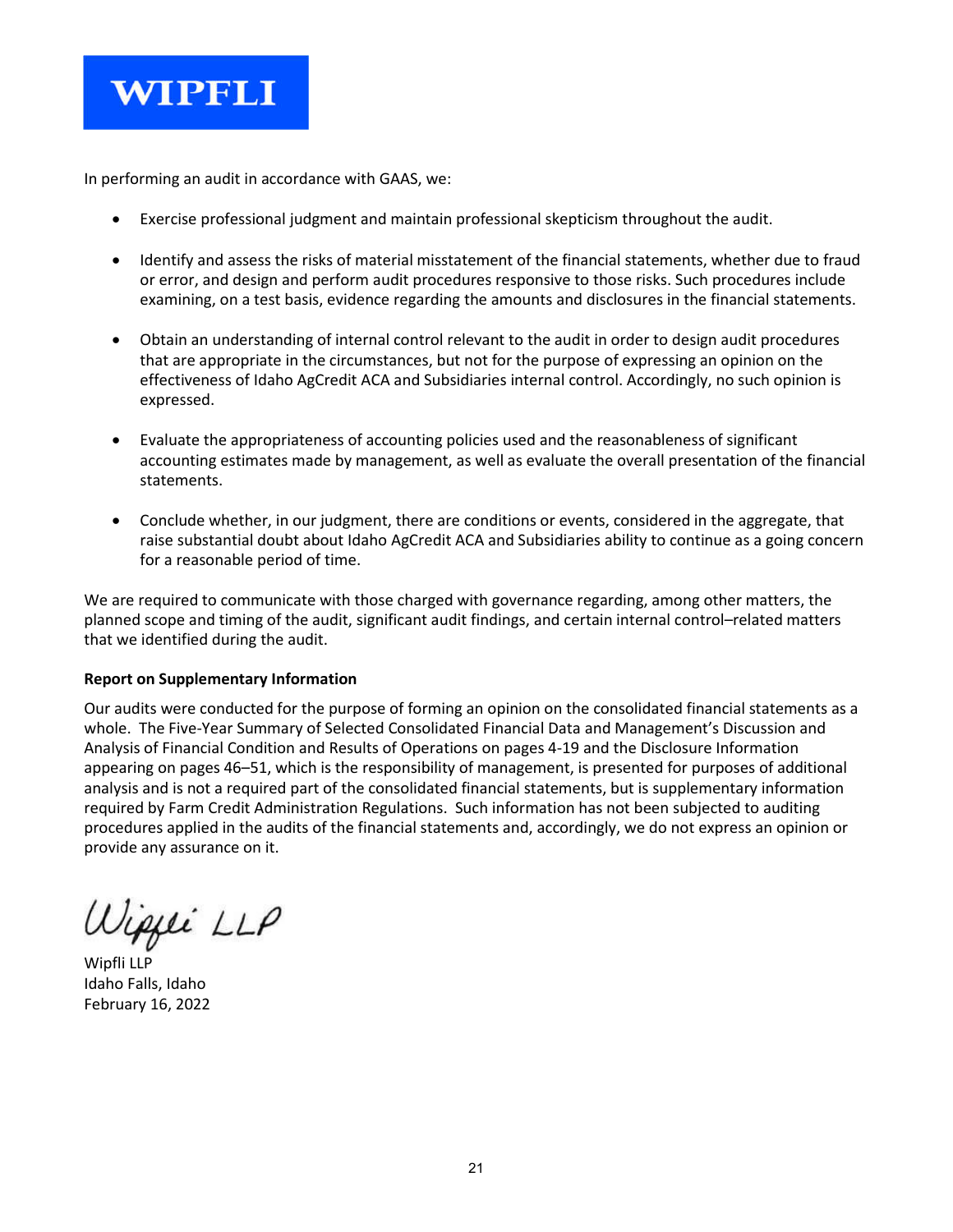

In performing an audit in accordance with GAAS, we:

- Exercise professional judgment and maintain professional skepticism throughout the audit.
- Identify and assess the risks of material misstatement of the financial statements, whether due to fraud or error, and design and perform audit procedures responsive to those risks. Such procedures include examining, on a test basis, evidence regarding the amounts and disclosures in the financial statements.
- Obtain an understanding of internal control relevant to the audit in order to design audit procedures that are appropriate in the circumstances, but not for the purpose of expressing an opinion on the effectiveness of Idaho AgCredit ACA and Subsidiaries internal control. Accordingly, no such opinion is expressed.
- Evaluate the appropriateness of accounting policies used and the reasonableness of significant accounting estimates made by management, as well as evaluate the overall presentation of the financial statements.
- Conclude whether, in our judgment, there are conditions or events, considered in the aggregate, that raise substantial doubt about Idaho AgCredit ACA and Subsidiaries ability to continue as a going concern for a reasonable period of time.

We are required to communicate with those charged with governance regarding, among other matters, the planned scope and timing of the audit, significant audit findings, and certain internal control–related matters that we identified during the audit.

## **Report on Supplementary Information**

Our audits were conducted for the purpose of forming an opinion on the consolidated financial statements as a whole. The Five-Year Summary of Selected Consolidated Financial Data and Management's Discussion and Analysis of Financial Condition and Results of Operations on pages 4-19 and the Disclosure Information appearing on pages 46–51, which is the responsibility of management, is presented for purposes of additional analysis and is not a required part of the consolidated financial statements, but is supplementary information required by Farm Credit Administration Regulations. Such information has not been subjected to auditing procedures applied in the audits of the financial statements and, accordingly, we do not express an opinion or provide any assurance on it.

ipjei LLP

Wipfli LLP Idaho Falls, Idaho February 16, 2022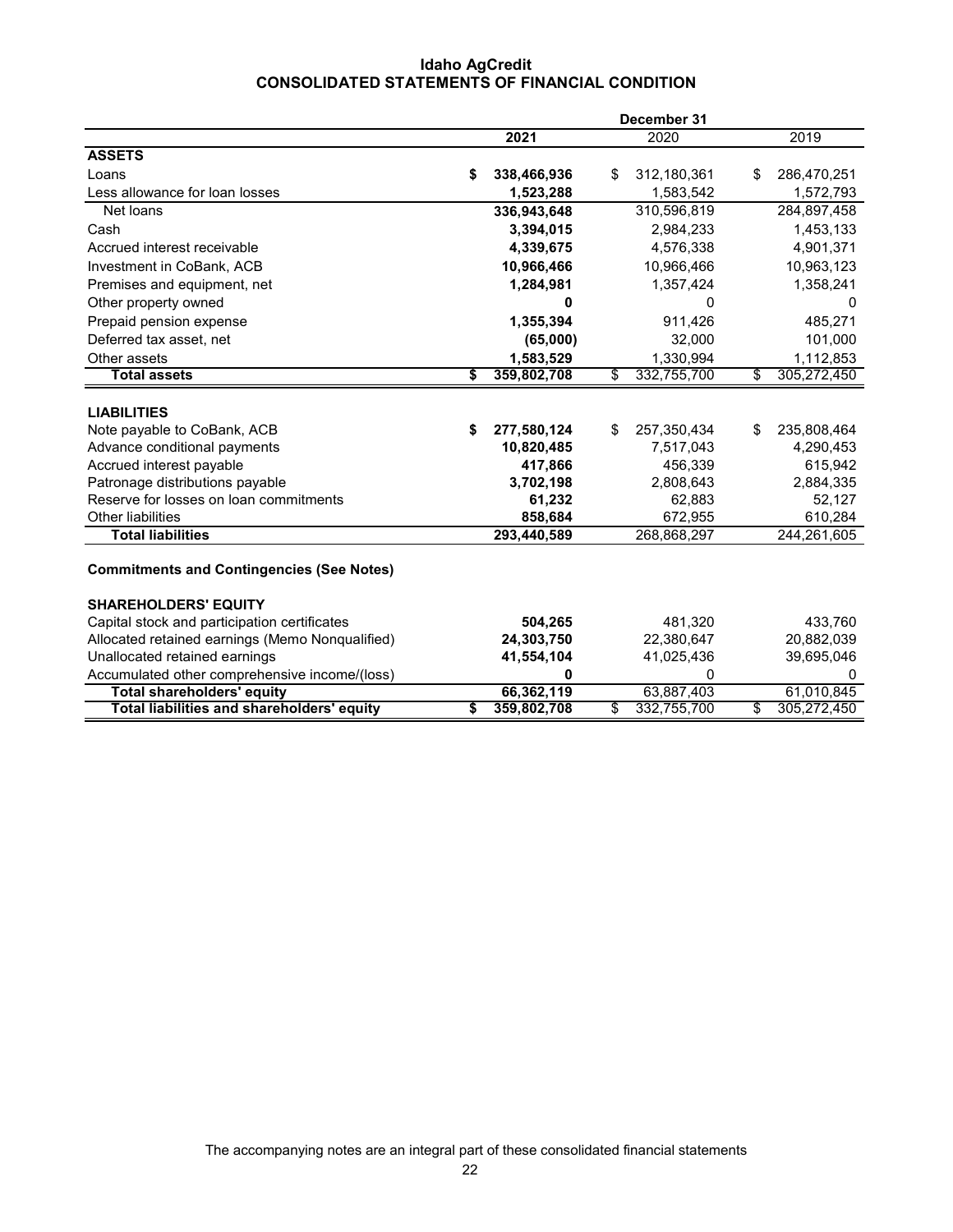## **Idaho AgCredit CONSOLIDATED STATEMENTS OF FINANCIAL CONDITION**

| 2021<br>2020<br>2019<br><b>ASSETS</b><br>\$<br>338,466,936<br>312,180,361<br>Loans<br>\$.<br>S<br>Less allowance for loan losses<br>1,523,288<br>1,583,542<br>310,596,819<br>Net loans<br>336,943,648<br>3,394,015<br>2,984,233<br>Cash<br>4,576,338<br>Accrued interest receivable<br>4,339,675<br>Investment in CoBank, ACB<br>10,966,466<br>10,966,466<br>Premises and equipment, net<br>1,284,981<br>1,357,424<br>Other property owned<br>0<br>0<br>1,355,394<br>Prepaid pension expense<br>911,426<br>Deferred tax asset, net<br>(65,000)<br>32,000<br>Other assets<br>1,583,529<br>1,330,994<br>332,755,700<br>Total assets<br>359,802,708<br>\$<br>\$<br>S<br><b>LIABILITIES</b><br>Note payable to CoBank, ACB<br>277,580,124<br>257,350,434<br>\$<br>\$<br>\$<br>10,820,485<br>7,517,043<br>4,290,453<br>Advance conditional payments<br>417,866<br>456,339<br>615,942<br>Accrued interest payable<br>Patronage distributions payable<br>3,702,198<br>2,808,643<br>2,884,335<br>Reserve for losses on loan commitments | December 31      |             |
|---------------------------------------------------------------------------------------------------------------------------------------------------------------------------------------------------------------------------------------------------------------------------------------------------------------------------------------------------------------------------------------------------------------------------------------------------------------------------------------------------------------------------------------------------------------------------------------------------------------------------------------------------------------------------------------------------------------------------------------------------------------------------------------------------------------------------------------------------------------------------------------------------------------------------------------------------------------------------------------------------------------------------------|------------------|-------------|
|                                                                                                                                                                                                                                                                                                                                                                                                                                                                                                                                                                                                                                                                                                                                                                                                                                                                                                                                                                                                                                 |                  |             |
|                                                                                                                                                                                                                                                                                                                                                                                                                                                                                                                                                                                                                                                                                                                                                                                                                                                                                                                                                                                                                                 |                  |             |
|                                                                                                                                                                                                                                                                                                                                                                                                                                                                                                                                                                                                                                                                                                                                                                                                                                                                                                                                                                                                                                 |                  | 286,470,251 |
|                                                                                                                                                                                                                                                                                                                                                                                                                                                                                                                                                                                                                                                                                                                                                                                                                                                                                                                                                                                                                                 |                  | 1,572,793   |
|                                                                                                                                                                                                                                                                                                                                                                                                                                                                                                                                                                                                                                                                                                                                                                                                                                                                                                                                                                                                                                 |                  | 284,897,458 |
|                                                                                                                                                                                                                                                                                                                                                                                                                                                                                                                                                                                                                                                                                                                                                                                                                                                                                                                                                                                                                                 |                  | 1,453,133   |
|                                                                                                                                                                                                                                                                                                                                                                                                                                                                                                                                                                                                                                                                                                                                                                                                                                                                                                                                                                                                                                 |                  | 4,901,371   |
|                                                                                                                                                                                                                                                                                                                                                                                                                                                                                                                                                                                                                                                                                                                                                                                                                                                                                                                                                                                                                                 |                  | 10,963,123  |
|                                                                                                                                                                                                                                                                                                                                                                                                                                                                                                                                                                                                                                                                                                                                                                                                                                                                                                                                                                                                                                 |                  | 1,358,241   |
|                                                                                                                                                                                                                                                                                                                                                                                                                                                                                                                                                                                                                                                                                                                                                                                                                                                                                                                                                                                                                                 |                  | 0           |
|                                                                                                                                                                                                                                                                                                                                                                                                                                                                                                                                                                                                                                                                                                                                                                                                                                                                                                                                                                                                                                 |                  | 485,271     |
|                                                                                                                                                                                                                                                                                                                                                                                                                                                                                                                                                                                                                                                                                                                                                                                                                                                                                                                                                                                                                                 |                  | 101,000     |
|                                                                                                                                                                                                                                                                                                                                                                                                                                                                                                                                                                                                                                                                                                                                                                                                                                                                                                                                                                                                                                 |                  | 1,112,853   |
|                                                                                                                                                                                                                                                                                                                                                                                                                                                                                                                                                                                                                                                                                                                                                                                                                                                                                                                                                                                                                                 |                  | 305,272,450 |
|                                                                                                                                                                                                                                                                                                                                                                                                                                                                                                                                                                                                                                                                                                                                                                                                                                                                                                                                                                                                                                 |                  |             |
|                                                                                                                                                                                                                                                                                                                                                                                                                                                                                                                                                                                                                                                                                                                                                                                                                                                                                                                                                                                                                                 |                  |             |
|                                                                                                                                                                                                                                                                                                                                                                                                                                                                                                                                                                                                                                                                                                                                                                                                                                                                                                                                                                                                                                 |                  | 235,808,464 |
|                                                                                                                                                                                                                                                                                                                                                                                                                                                                                                                                                                                                                                                                                                                                                                                                                                                                                                                                                                                                                                 |                  |             |
|                                                                                                                                                                                                                                                                                                                                                                                                                                                                                                                                                                                                                                                                                                                                                                                                                                                                                                                                                                                                                                 |                  |             |
|                                                                                                                                                                                                                                                                                                                                                                                                                                                                                                                                                                                                                                                                                                                                                                                                                                                                                                                                                                                                                                 |                  |             |
|                                                                                                                                                                                                                                                                                                                                                                                                                                                                                                                                                                                                                                                                                                                                                                                                                                                                                                                                                                                                                                 | 61,232<br>62,883 | 52,127      |
| <b>Other liabilities</b><br>858,684<br>672,955                                                                                                                                                                                                                                                                                                                                                                                                                                                                                                                                                                                                                                                                                                                                                                                                                                                                                                                                                                                  |                  | 610,284     |
| <b>Total liabilities</b><br>293,440,589<br>268,868,297                                                                                                                                                                                                                                                                                                                                                                                                                                                                                                                                                                                                                                                                                                                                                                                                                                                                                                                                                                          |                  | 244,261,605 |
| <b>Commitments and Contingencies (See Notes)</b>                                                                                                                                                                                                                                                                                                                                                                                                                                                                                                                                                                                                                                                                                                                                                                                                                                                                                                                                                                                |                  |             |
|                                                                                                                                                                                                                                                                                                                                                                                                                                                                                                                                                                                                                                                                                                                                                                                                                                                                                                                                                                                                                                 |                  |             |
| <b>SHAREHOLDERS' EQUITY</b>                                                                                                                                                                                                                                                                                                                                                                                                                                                                                                                                                                                                                                                                                                                                                                                                                                                                                                                                                                                                     |                  |             |
| Capital stock and participation certificates<br>504,265<br>481,320                                                                                                                                                                                                                                                                                                                                                                                                                                                                                                                                                                                                                                                                                                                                                                                                                                                                                                                                                              |                  | 433,760     |
| Allocated retained earnings (Memo Nonqualified)<br>24,303,750<br>22,380,647                                                                                                                                                                                                                                                                                                                                                                                                                                                                                                                                                                                                                                                                                                                                                                                                                                                                                                                                                     |                  | 20,882,039  |
| Unallocated retained earnings<br>41,554,104<br>41,025,436                                                                                                                                                                                                                                                                                                                                                                                                                                                                                                                                                                                                                                                                                                                                                                                                                                                                                                                                                                       |                  | 39,695,046  |
| Accumulated other comprehensive income/(loss)<br>0<br>0                                                                                                                                                                                                                                                                                                                                                                                                                                                                                                                                                                                                                                                                                                                                                                                                                                                                                                                                                                         |                  | 0           |
| 66,362,119<br>63,887,403<br><b>Total shareholders' equity</b>                                                                                                                                                                                                                                                                                                                                                                                                                                                                                                                                                                                                                                                                                                                                                                                                                                                                                                                                                                   |                  | 61,010,845  |
| Total liabilities and shareholders' equity<br>\$<br>359,802,708<br>332,755,700<br>\$<br>\$                                                                                                                                                                                                                                                                                                                                                                                                                                                                                                                                                                                                                                                                                                                                                                                                                                                                                                                                      |                  | 305,272,450 |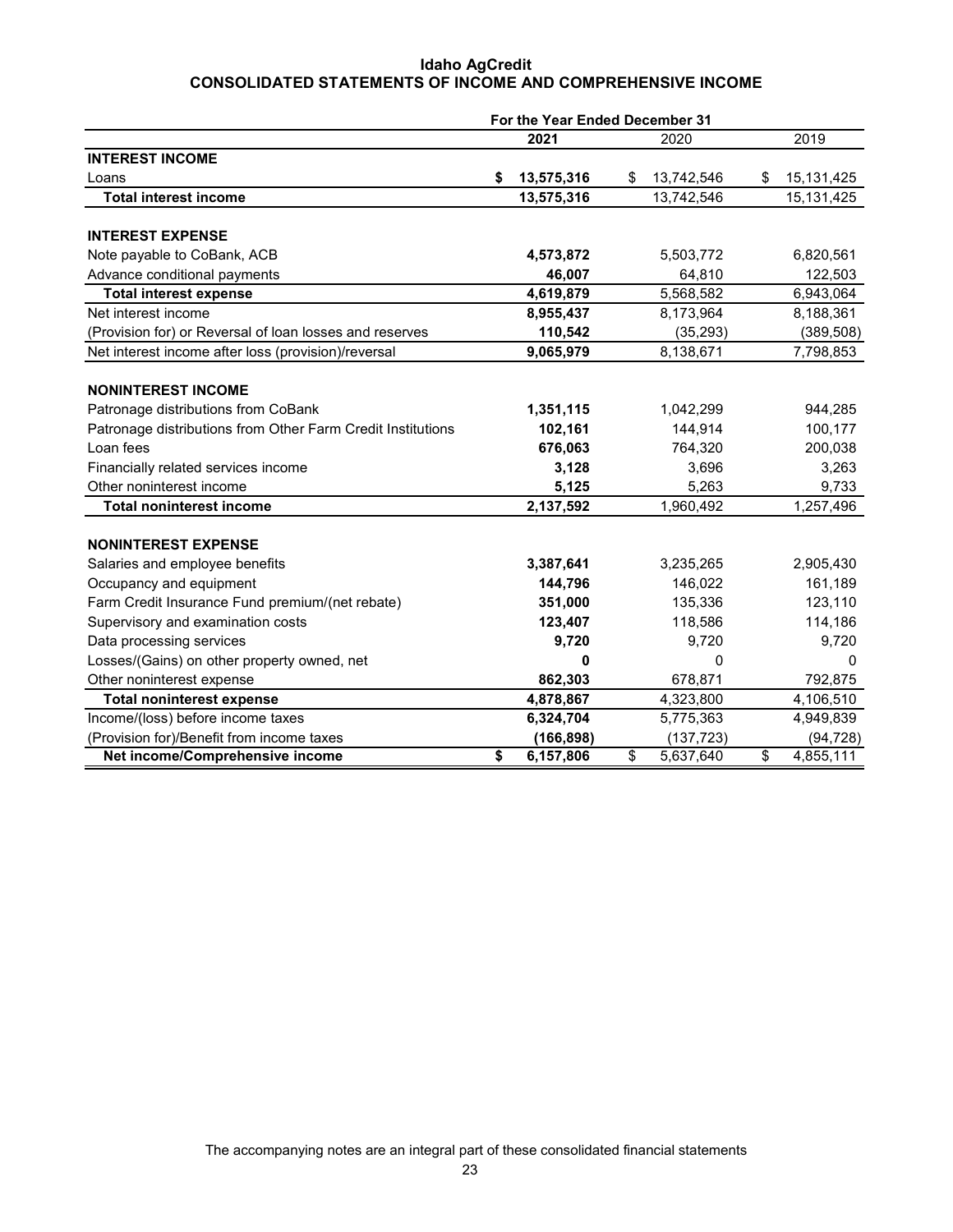## **Idaho AgCredit CONSOLIDATED STATEMENTS OF INCOME AND COMPREHENSIVE INCOME**

|                                                             | For the Year Ended December 31 |            |    |            |    |            |
|-------------------------------------------------------------|--------------------------------|------------|----|------------|----|------------|
|                                                             |                                | 2021       |    | 2020       |    | 2019       |
| <b>INTEREST INCOME</b>                                      |                                |            |    |            |    |            |
| Loans                                                       | \$                             | 13,575,316 | \$ | 13,742,546 | \$ | 15,131,425 |
| <b>Total interest income</b>                                |                                | 13,575,316 |    | 13,742,546 |    | 15,131,425 |
| <b>INTEREST EXPENSE</b>                                     |                                |            |    |            |    |            |
| Note payable to CoBank, ACB                                 |                                | 4,573,872  |    | 5,503,772  |    | 6,820,561  |
| Advance conditional payments                                |                                | 46,007     |    | 64,810     |    | 122,503    |
|                                                             |                                |            |    | 5,568,582  |    |            |
| <b>Total interest expense</b><br>Net interest income        |                                | 4,619,879  |    |            |    | 6,943,064  |
|                                                             |                                | 8,955,437  |    | 8,173,964  |    | 8,188,361  |
| (Provision for) or Reversal of loan losses and reserves     |                                | 110,542    |    | (35, 293)  |    | (389, 508) |
| Net interest income after loss (provision)/reversal         |                                | 9,065,979  |    | 8,138,671  |    | 7,798,853  |
| <b>NONINTEREST INCOME</b>                                   |                                |            |    |            |    |            |
| Patronage distributions from CoBank                         |                                | 1,351,115  |    | 1,042,299  |    | 944,285    |
| Patronage distributions from Other Farm Credit Institutions |                                | 102,161    |    | 144.914    |    | 100,177    |
| Loan fees                                                   |                                | 676,063    |    | 764,320    |    | 200,038    |
| Financially related services income                         |                                | 3,128      |    | 3,696      |    | 3,263      |
| Other noninterest income                                    |                                | 5,125      |    | 5,263      |    | 9,733      |
| <b>Total noninterest income</b>                             |                                | 2,137,592  |    | 1,960,492  |    | 1,257,496  |
|                                                             |                                |            |    |            |    |            |
| <b>NONINTEREST EXPENSE</b>                                  |                                |            |    |            |    |            |
| Salaries and employee benefits                              |                                | 3,387,641  |    | 3,235,265  |    | 2,905,430  |
| Occupancy and equipment                                     |                                | 144,796    |    | 146,022    |    | 161,189    |
| Farm Credit Insurance Fund premium/(net rebate)             |                                | 351,000    |    | 135,336    |    | 123,110    |
| Supervisory and examination costs                           |                                | 123,407    |    | 118,586    |    | 114,186    |
| Data processing services                                    |                                | 9,720      |    | 9,720      |    | 9,720      |
| Losses/(Gains) on other property owned, net                 |                                | 0          |    | $\Omega$   |    | $\Omega$   |
| Other noninterest expense                                   |                                | 862,303    |    | 678,871    |    | 792,875    |
| <b>Total noninterest expense</b>                            |                                | 4,878,867  |    | 4,323,800  |    | 4,106,510  |
| Income/(loss) before income taxes                           |                                | 6,324,704  |    | 5,775,363  |    | 4,949,839  |
| (Provision for)/Benefit from income taxes                   |                                | (166, 898) |    | (137, 723) |    | (94, 728)  |
| Net income/Comprehensive income                             | \$                             | 6,157,806  | \$ | 5,637,640  | \$ | 4,855,111  |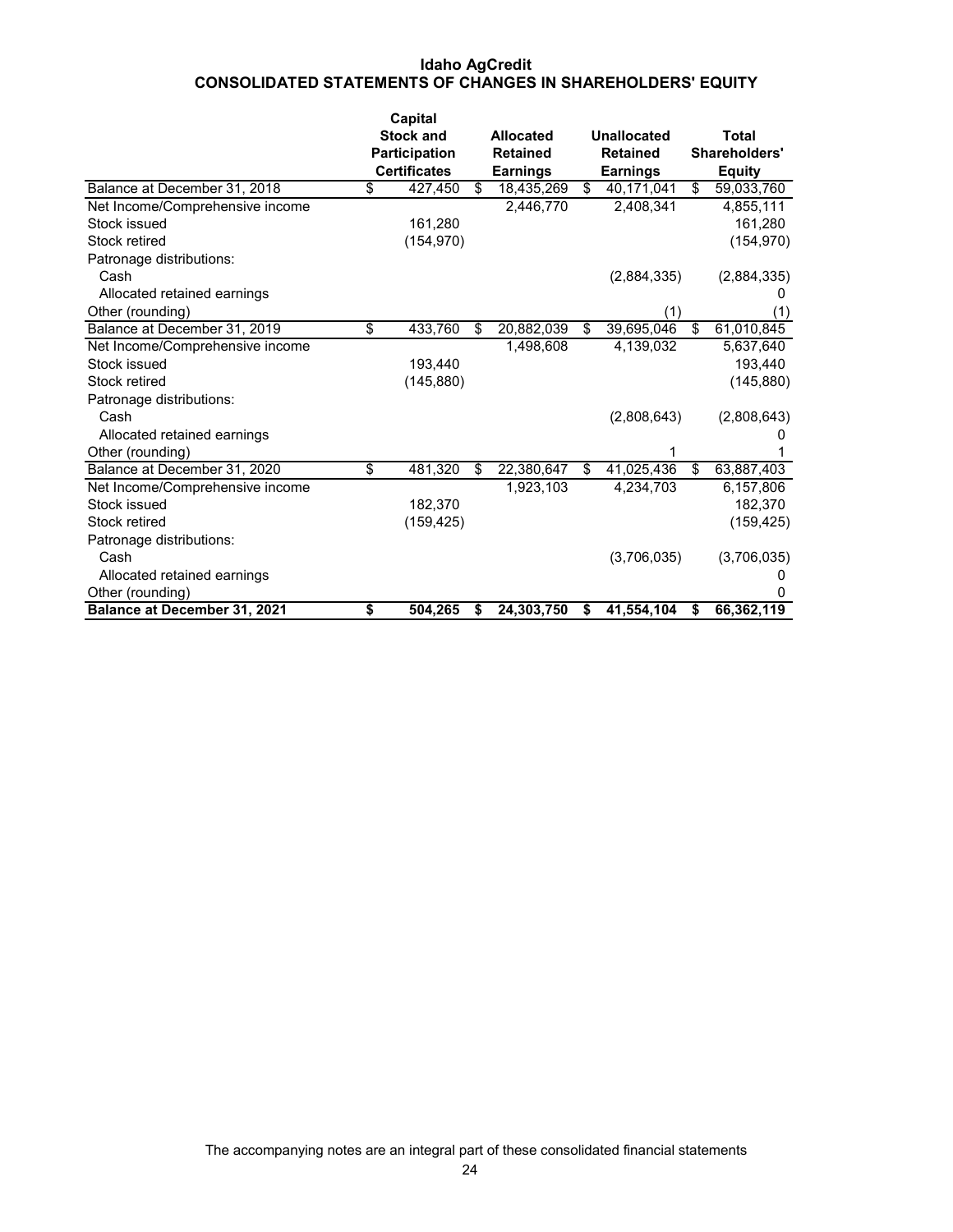## **Idaho AgCredit CONSOLIDATED STATEMENTS OF CHANGES IN SHAREHOLDERS' EQUITY**

|                                 |                                    | Capital             |                  |                  |                  |
|---------------------------------|------------------------------------|---------------------|------------------|------------------|------------------|
|                                 |                                    | <b>Stock and</b>    | <b>Allocated</b> | Unallocated      | Total            |
|                                 |                                    | Participation       | <b>Retained</b>  | <b>Retained</b>  | Shareholders'    |
|                                 |                                    | <b>Certificates</b> | <b>Earnings</b>  | <b>Earnings</b>  | <b>Equity</b>    |
| Balance at December 31, 2018    | $\overline{\boldsymbol{\epsilon}}$ | 427,450             | \$<br>18,435,269 | \$<br>40,171,041 | \$<br>59,033,760 |
| Net Income/Comprehensive income |                                    |                     | 2,446,770        | 2,408,341        | 4,855,111        |
| Stock issued                    |                                    | 161,280             |                  |                  | 161,280          |
| Stock retired                   |                                    | (154, 970)          |                  |                  | (154, 970)       |
| Patronage distributions:        |                                    |                     |                  |                  |                  |
| Cash                            |                                    |                     |                  | (2,884,335)      | (2,884,335)      |
| Allocated retained earnings     |                                    |                     |                  |                  |                  |
| Other (rounding)                |                                    |                     |                  | (1)              | (1)              |
| Balance at December 31, 2019    | \$                                 | 433,760             | \$<br>20,882,039 | \$<br>39,695,046 | \$<br>61,010,845 |
| Net Income/Comprehensive income |                                    |                     | 1,498,608        | 4,139,032        | 5,637,640        |
| Stock issued                    |                                    | 193.440             |                  |                  | 193,440          |
| Stock retired                   |                                    | (145, 880)          |                  |                  | (145, 880)       |
| Patronage distributions:        |                                    |                     |                  |                  |                  |
| Cash                            |                                    |                     |                  | (2,808,643)      | (2,808,643)      |
| Allocated retained earnings     |                                    |                     |                  |                  |                  |
| Other (rounding)                |                                    |                     |                  |                  |                  |
| Balance at December 31, 2020    | \$                                 | 481,320             | \$<br>22,380,647 | \$<br>41,025,436 | \$<br>63,887,403 |
| Net Income/Comprehensive income |                                    |                     | 1,923,103        | 4,234,703        | 6,157,806        |
| Stock issued                    |                                    | 182,370             |                  |                  | 182,370          |
| Stock retired                   |                                    | (159, 425)          |                  |                  | (159, 425)       |
| Patronage distributions:        |                                    |                     |                  |                  |                  |
| Cash                            |                                    |                     |                  | (3,706,035)      | (3,706,035)      |
| Allocated retained earnings     |                                    |                     |                  |                  |                  |
| Other (rounding)                |                                    |                     |                  |                  | 0                |
| Balance at December 31, 2021    | \$                                 | 504,265             | \$<br>24,303,750 | \$<br>41,554,104 | \$<br>66,362,119 |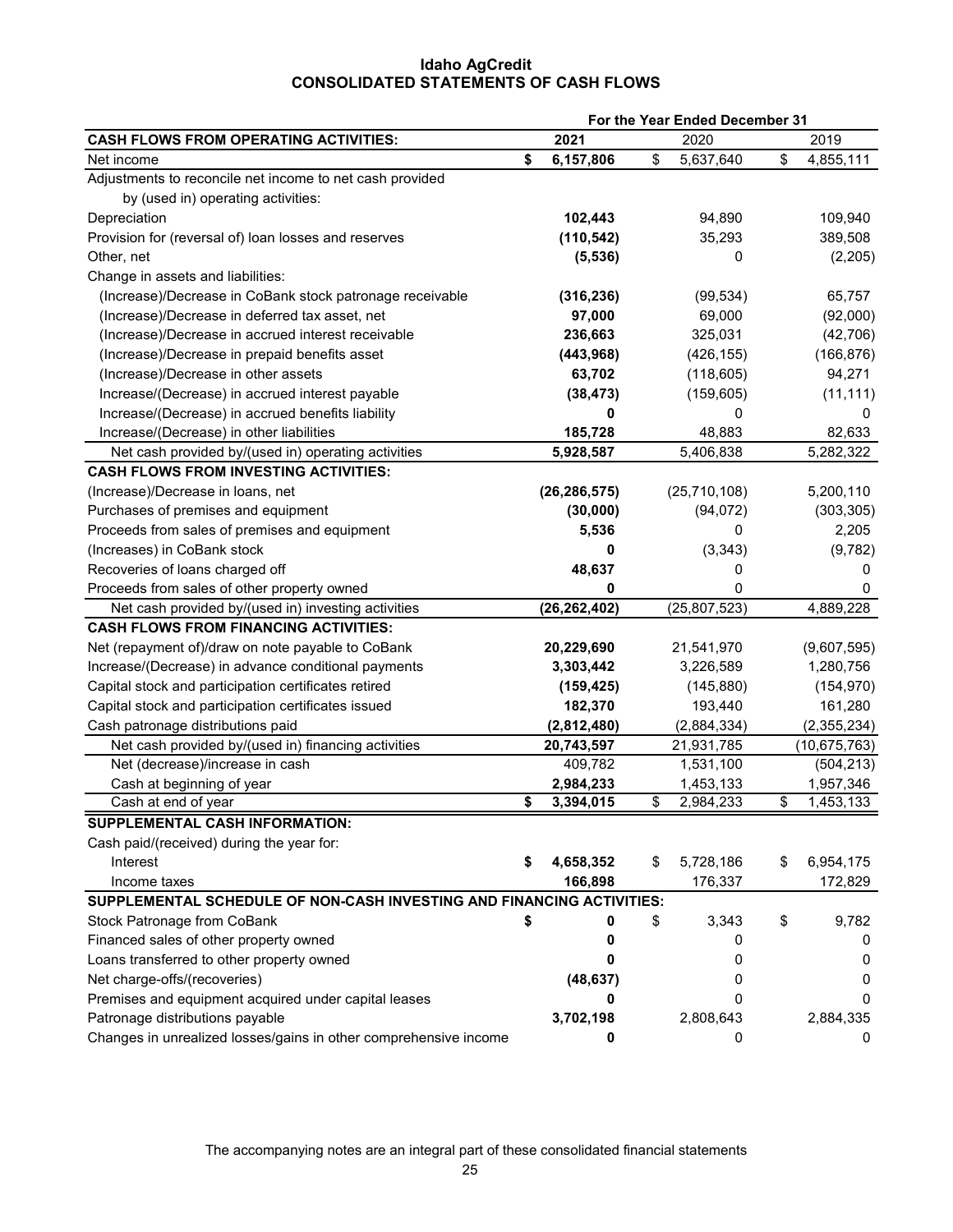## **Idaho AgCredit CONSOLIDATED STATEMENTS OF CASH FLOWS**

|                                                                       |    | For the Year Ended December 31 |                 |                 |  |
|-----------------------------------------------------------------------|----|--------------------------------|-----------------|-----------------|--|
| <b>CASH FLOWS FROM OPERATING ACTIVITIES:</b>                          |    | 2021                           | 2020            | 2019            |  |
| Net income                                                            | \$ | 6,157,806                      | \$<br>5,637,640 | \$<br>4,855,111 |  |
| Adjustments to reconcile net income to net cash provided              |    |                                |                 |                 |  |
| by (used in) operating activities:                                    |    |                                |                 |                 |  |
| Depreciation                                                          |    | 102,443                        | 94,890          | 109,940         |  |
| Provision for (reversal of) loan losses and reserves                  |    | (110, 542)                     | 35,293          | 389,508         |  |
| Other, net                                                            |    | (5, 536)                       | 0               | (2,205)         |  |
| Change in assets and liabilities:                                     |    |                                |                 |                 |  |
| (Increase)/Decrease in CoBank stock patronage receivable              |    | (316, 236)                     | (99, 534)       | 65,757          |  |
| (Increase)/Decrease in deferred tax asset, net                        |    | 97,000                         | 69,000          | (92,000)        |  |
| (Increase)/Decrease in accrued interest receivable                    |    | 236,663                        | 325,031         | (42, 706)       |  |
| (Increase)/Decrease in prepaid benefits asset                         |    | (443, 968)                     | (426, 155)      | (166, 876)      |  |
| (Increase)/Decrease in other assets                                   |    | 63,702                         | (118, 605)      | 94,271          |  |
| Increase/(Decrease) in accrued interest payable                       |    | (38, 473)                      | (159, 605)      | (11, 111)       |  |
| Increase/(Decrease) in accrued benefits liability                     |    | 0                              | 0               | 0               |  |
| Increase/(Decrease) in other liabilities                              |    | 185,728                        | 48,883          | 82,633          |  |
| Net cash provided by/(used in) operating activities                   |    | 5,928,587                      | 5,406,838       | 5,282,322       |  |
| <b>CASH FLOWS FROM INVESTING ACTIVITIES:</b>                          |    |                                |                 |                 |  |
| (Increase)/Decrease in loans, net                                     |    | (26, 286, 575)                 | (25, 710, 108)  | 5,200,110       |  |
| Purchases of premises and equipment                                   |    | (30,000)                       | (94, 072)       | (303, 305)      |  |
| Proceeds from sales of premises and equipment                         |    | 5,536                          | 0               | 2,205           |  |
| (Increases) in CoBank stock                                           |    | 0                              | (3, 343)        | (9,782)         |  |
| Recoveries of loans charged off                                       |    | 48,637                         | 0               | 0               |  |
| Proceeds from sales of other property owned                           |    | 0                              | 0               | 0               |  |
| Net cash provided by/(used in) investing activities                   |    | (26, 262, 402)                 | (25, 807, 523)  | 4,889,228       |  |
| <b>CASH FLOWS FROM FINANCING ACTIVITIES:</b>                          |    |                                |                 |                 |  |
| Net (repayment of)/draw on note payable to CoBank                     |    | 20,229,690                     | 21,541,970      | (9,607,595)     |  |
| Increase/(Decrease) in advance conditional payments                   |    | 3,303,442                      | 3,226,589       | 1,280,756       |  |
| Capital stock and participation certificates retired                  |    | (159, 425)                     | (145, 880)      | (154, 970)      |  |
| Capital stock and participation certificates issued                   |    | 182,370                        | 193,440         | 161,280         |  |
| Cash patronage distributions paid                                     |    | (2,812,480)                    | (2,884,334)     | (2,355,234)     |  |
| Net cash provided by/(used in) financing activities                   |    | 20,743,597                     | 21,931,785      | (10, 675, 763)  |  |
| Net (decrease)/increase in cash                                       |    | 409,782                        | 1,531,100       | (504, 213)      |  |
| Cash at beginning of year                                             |    | 2,984,233                      | 1,453,133       | 1,957,346       |  |
| Cash at end of year                                                   | \$ | 3,394,015                      | \$<br>2,984,233 | \$<br>1,453,133 |  |
| SUPPLEMENTAL CASH INFORMATION:                                        |    |                                |                 |                 |  |
| Cash paid/(received) during the year for:                             |    |                                |                 |                 |  |
| Interest                                                              | S  | 4,658,352                      | \$<br>5,728,186 | \$<br>6,954,175 |  |
| Income taxes                                                          |    | 166,898                        | 176,337         | 172,829         |  |
| SUPPLEMENTAL SCHEDULE OF NON-CASH INVESTING AND FINANCING ACTIVITIES: |    |                                |                 |                 |  |
| Stock Patronage from CoBank                                           | \$ | 0                              | \$<br>3,343     | \$<br>9,782     |  |
| Financed sales of other property owned                                |    | 0                              | 0               | 0               |  |
| Loans transferred to other property owned                             |    |                                | 0               | 0               |  |
| Net charge-offs/(recoveries)                                          |    | (48, 637)                      | 0               | 0               |  |
| Premises and equipment acquired under capital leases                  |    | 0                              | 0               | 0               |  |
| Patronage distributions payable                                       |    | 3,702,198                      | 2,808,643       | 2,884,335       |  |
| Changes in unrealized losses/gains in other comprehensive income      |    | 0                              | 0               | 0               |  |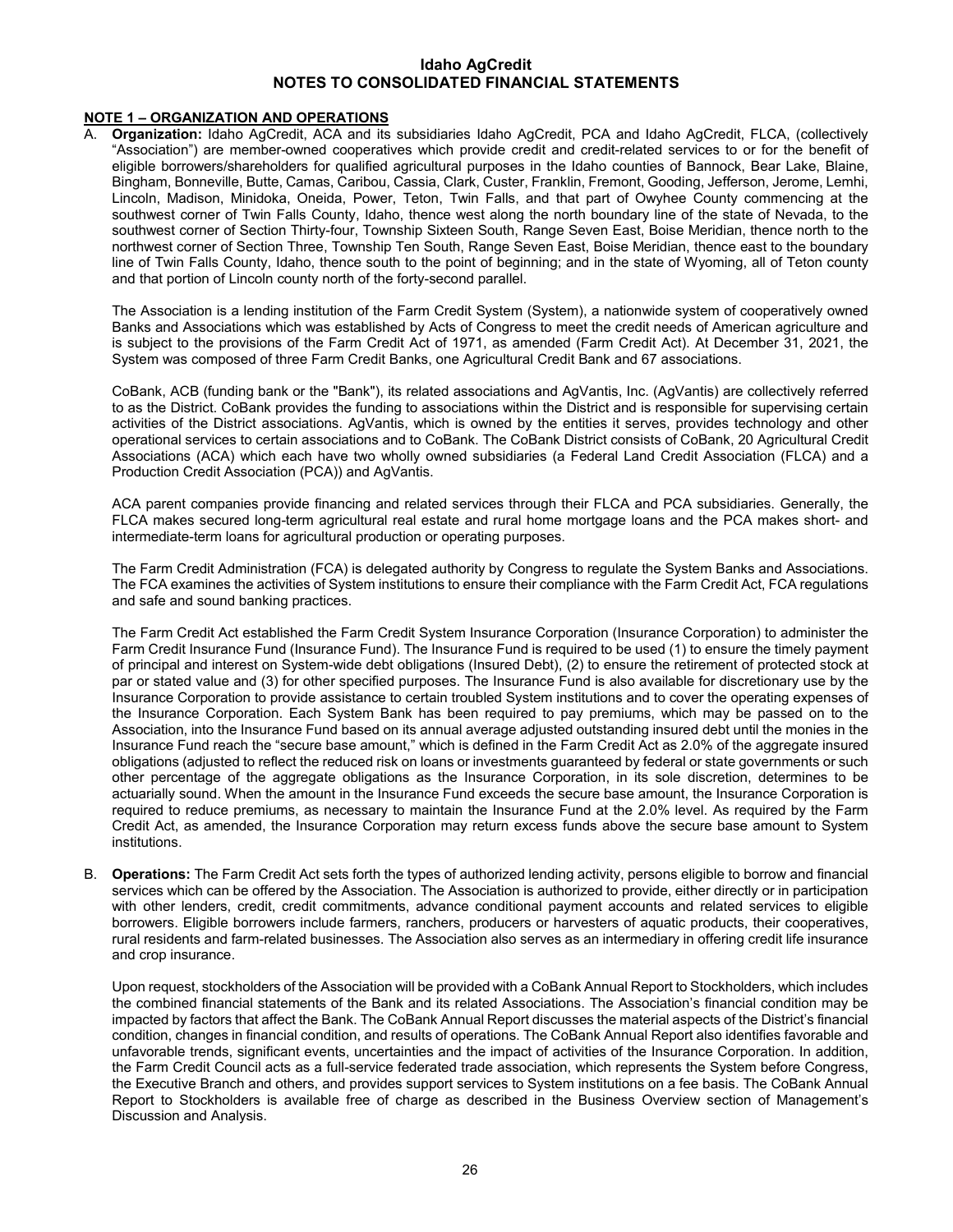## **NOTE 1 – ORGANIZATION AND OPERATIONS**

A. **Organization:** Idaho AgCredit, ACA and its subsidiaries Idaho AgCredit, PCA and Idaho AgCredit, FLCA, (collectively "Association") are member-owned cooperatives which provide credit and credit-related services to or for the benefit of eligible borrowers/shareholders for qualified agricultural purposes in the Idaho counties of Bannock, Bear Lake, Blaine, Bingham, Bonneville, Butte, Camas, Caribou, Cassia, Clark, Custer, Franklin, Fremont, Gooding, Jefferson, Jerome, Lemhi, Lincoln, Madison, Minidoka, Oneida, Power, Teton, Twin Falls, and that part of Owyhee County commencing at the southwest corner of Twin Falls County, Idaho, thence west along the north boundary line of the state of Nevada, to the southwest corner of Section Thirty-four, Township Sixteen South, Range Seven East, Boise Meridian, thence north to the northwest corner of Section Three, Township Ten South, Range Seven East, Boise Meridian, thence east to the boundary line of Twin Falls County, Idaho, thence south to the point of beginning; and in the state of Wyoming, all of Teton county and that portion of Lincoln county north of the forty-second parallel.

The Association is a lending institution of the Farm Credit System (System), a nationwide system of cooperatively owned Banks and Associations which was established by Acts of Congress to meet the credit needs of American agriculture and is subject to the provisions of the Farm Credit Act of 1971, as amended (Farm Credit Act). At December 31, 2021, the System was composed of three Farm Credit Banks, one Agricultural Credit Bank and 67 associations.

CoBank, ACB (funding bank or the "Bank"), its related associations and AgVantis, Inc. (AgVantis) are collectively referred to as the District. CoBank provides the funding to associations within the District and is responsible for supervising certain activities of the District associations. AgVantis, which is owned by the entities it serves, provides technology and other operational services to certain associations and to CoBank. The CoBank District consists of CoBank, 20 Agricultural Credit Associations (ACA) which each have two wholly owned subsidiaries (a Federal Land Credit Association (FLCA) and a Production Credit Association (PCA)) and AgVantis.

ACA parent companies provide financing and related services through their FLCA and PCA subsidiaries. Generally, the FLCA makes secured long-term agricultural real estate and rural home mortgage loans and the PCA makes short- and intermediate-term loans for agricultural production or operating purposes.

The Farm Credit Administration (FCA) is delegated authority by Congress to regulate the System Banks and Associations. The FCA examines the activities of System institutions to ensure their compliance with the Farm Credit Act, FCA regulations and safe and sound banking practices.

The Farm Credit Act established the Farm Credit System Insurance Corporation (Insurance Corporation) to administer the Farm Credit Insurance Fund (Insurance Fund). The Insurance Fund is required to be used (1) to ensure the timely payment of principal and interest on System-wide debt obligations (Insured Debt), (2) to ensure the retirement of protected stock at par or stated value and (3) for other specified purposes. The Insurance Fund is also available for discretionary use by the Insurance Corporation to provide assistance to certain troubled System institutions and to cover the operating expenses of the Insurance Corporation. Each System Bank has been required to pay premiums, which may be passed on to the Association, into the Insurance Fund based on its annual average adjusted outstanding insured debt until the monies in the Insurance Fund reach the "secure base amount," which is defined in the Farm Credit Act as 2.0% of the aggregate insured obligations (adjusted to reflect the reduced risk on loans or investments guaranteed by federal or state governments or such other percentage of the aggregate obligations as the Insurance Corporation, in its sole discretion, determines to be actuarially sound. When the amount in the Insurance Fund exceeds the secure base amount, the Insurance Corporation is required to reduce premiums, as necessary to maintain the Insurance Fund at the 2.0% level. As required by the Farm Credit Act, as amended, the Insurance Corporation may return excess funds above the secure base amount to System institutions.

B. **Operations:** The Farm Credit Act sets forth the types of authorized lending activity, persons eligible to borrow and financial services which can be offered by the Association. The Association is authorized to provide, either directly or in participation with other lenders, credit, credit commitments, advance conditional payment accounts and related services to eligible borrowers. Eligible borrowers include farmers, ranchers, producers or harvesters of aquatic products, their cooperatives, rural residents and farm-related businesses. The Association also serves as an intermediary in offering credit life insurance and crop insurance.

Upon request, stockholders of the Association will be provided with a CoBank Annual Report to Stockholders, which includes the combined financial statements of the Bank and its related Associations. The Association's financial condition may be impacted by factors that affect the Bank. The CoBank Annual Report discusses the material aspects of the District's financial condition, changes in financial condition, and results of operations. The CoBank Annual Report also identifies favorable and unfavorable trends, significant events, uncertainties and the impact of activities of the Insurance Corporation. In addition, the Farm Credit Council acts as a full-service federated trade association, which represents the System before Congress, the Executive Branch and others, and provides support services to System institutions on a fee basis. The CoBank Annual Report to Stockholders is available free of charge as described in the Business Overview section of Management's Discussion and Analysis.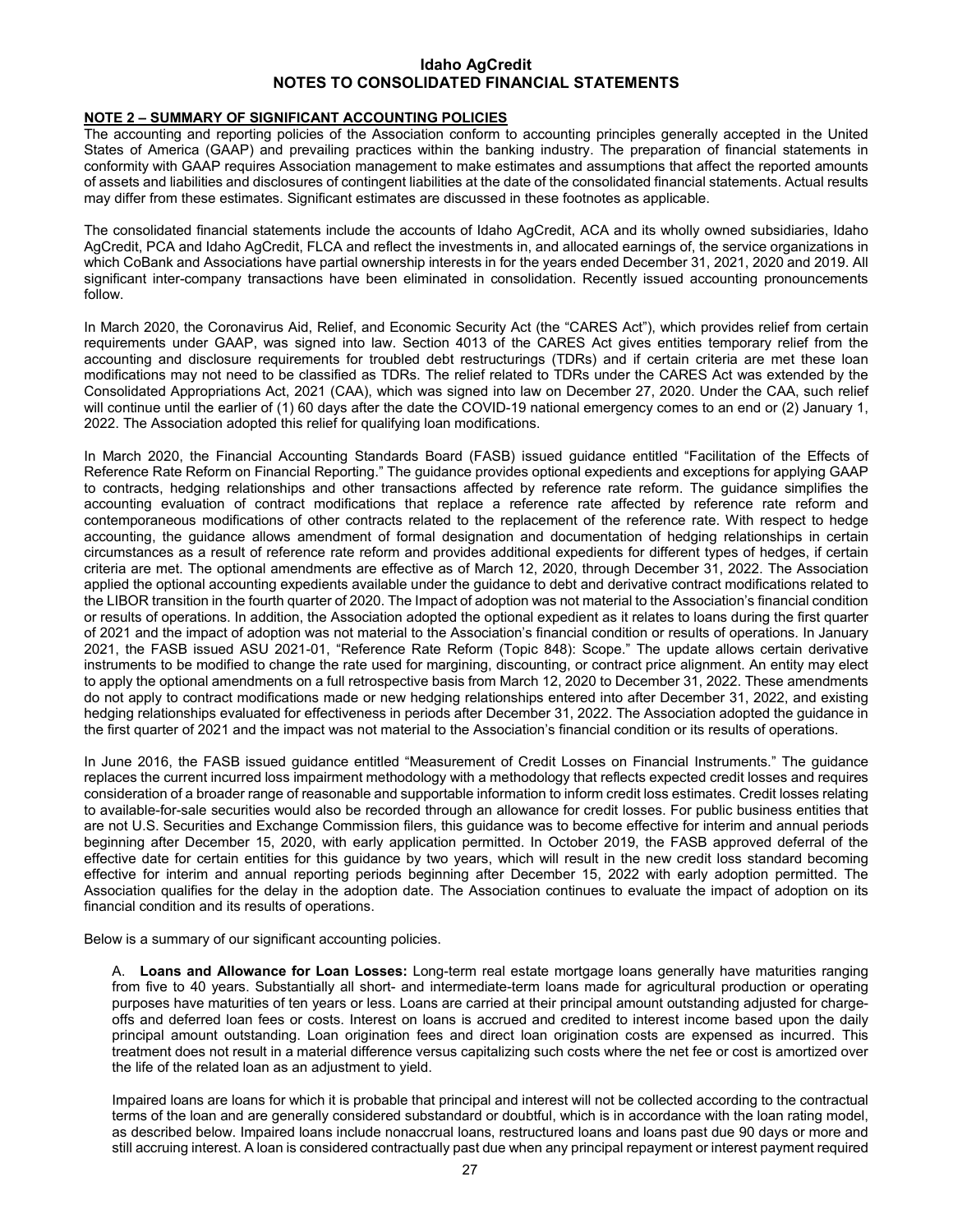## **NOTE 2 – SUMMARY OF SIGNIFICANT ACCOUNTING POLICIES**

The accounting and reporting policies of the Association conform to accounting principles generally accepted in the United States of America (GAAP) and prevailing practices within the banking industry. The preparation of financial statements in conformity with GAAP requires Association management to make estimates and assumptions that affect the reported amounts of assets and liabilities and disclosures of contingent liabilities at the date of the consolidated financial statements. Actual results may differ from these estimates. Significant estimates are discussed in these footnotes as applicable.

The consolidated financial statements include the accounts of Idaho AgCredit, ACA and its wholly owned subsidiaries, Idaho AgCredit, PCA and Idaho AgCredit, FLCA and reflect the investments in, and allocated earnings of, the service organizations in which CoBank and Associations have partial ownership interests in for the years ended December 31, 2021, 2020 and 2019. All significant inter-company transactions have been eliminated in consolidation. Recently issued accounting pronouncements follow.

In March 2020, the Coronavirus Aid, Relief, and Economic Security Act (the "CARES Act"), which provides relief from certain requirements under GAAP, was signed into law. Section 4013 of the CARES Act gives entities temporary relief from the accounting and disclosure requirements for troubled debt restructurings (TDRs) and if certain criteria are met these loan modifications may not need to be classified as TDRs. The relief related to TDRs under the CARES Act was extended by the Consolidated Appropriations Act, 2021 (CAA), which was signed into law on December 27, 2020. Under the CAA, such relief will continue until the earlier of (1) 60 days after the date the COVID-19 national emergency comes to an end or (2) January 1, 2022. The Association adopted this relief for qualifying loan modifications.

In March 2020, the Financial Accounting Standards Board (FASB) issued guidance entitled "Facilitation of the Effects of Reference Rate Reform on Financial Reporting." The guidance provides optional expedients and exceptions for applying GAAP to contracts, hedging relationships and other transactions affected by reference rate reform. The guidance simplifies the accounting evaluation of contract modifications that replace a reference rate affected by reference rate reform and contemporaneous modifications of other contracts related to the replacement of the reference rate. With respect to hedge accounting, the guidance allows amendment of formal designation and documentation of hedging relationships in certain circumstances as a result of reference rate reform and provides additional expedients for different types of hedges, if certain criteria are met. The optional amendments are effective as of March 12, 2020, through December 31, 2022. The Association applied the optional accounting expedients available under the guidance to debt and derivative contract modifications related to the LIBOR transition in the fourth quarter of 2020. The Impact of adoption was not material to the Association's financial condition or results of operations. In addition, the Association adopted the optional expedient as it relates to loans during the first quarter of 2021 and the impact of adoption was not material to the Association's financial condition or results of operations. In January 2021, the FASB issued ASU 2021-01, "Reference Rate Reform (Topic 848): Scope." The update allows certain derivative instruments to be modified to change the rate used for margining, discounting, or contract price alignment. An entity may elect to apply the optional amendments on a full retrospective basis from March 12, 2020 to December 31, 2022. These amendments do not apply to contract modifications made or new hedging relationships entered into after December 31, 2022, and existing hedging relationships evaluated for effectiveness in periods after December 31, 2022. The Association adopted the guidance in the first quarter of 2021 and the impact was not material to the Association's financial condition or its results of operations.

In June 2016, the FASB issued guidance entitled "Measurement of Credit Losses on Financial Instruments." The guidance replaces the current incurred loss impairment methodology with a methodology that reflects expected credit losses and requires consideration of a broader range of reasonable and supportable information to inform credit loss estimates. Credit losses relating to available-for-sale securities would also be recorded through an allowance for credit losses. For public business entities that are not U.S. Securities and Exchange Commission filers, this guidance was to become effective for interim and annual periods beginning after December 15, 2020, with early application permitted. In October 2019, the FASB approved deferral of the effective date for certain entities for this guidance by two years, which will result in the new credit loss standard becoming effective for interim and annual reporting periods beginning after December 15, 2022 with early adoption permitted. The Association qualifies for the delay in the adoption date. The Association continues to evaluate the impact of adoption on its financial condition and its results of operations.

Below is a summary of our significant accounting policies.

A. **Loans and Allowance for Loan Losses:** Long-term real estate mortgage loans generally have maturities ranging from five to 40 years. Substantially all short- and intermediate-term loans made for agricultural production or operating purposes have maturities of ten years or less. Loans are carried at their principal amount outstanding adjusted for chargeoffs and deferred loan fees or costs. Interest on loans is accrued and credited to interest income based upon the daily principal amount outstanding. Loan origination fees and direct loan origination costs are expensed as incurred. This treatment does not result in a material difference versus capitalizing such costs where the net fee or cost is amortized over the life of the related loan as an adjustment to yield.

Impaired loans are loans for which it is probable that principal and interest will not be collected according to the contractual terms of the loan and are generally considered substandard or doubtful, which is in accordance with the loan rating model, as described below. Impaired loans include nonaccrual loans, restructured loans and loans past due 90 days or more and still accruing interest. A loan is considered contractually past due when any principal repayment or interest payment required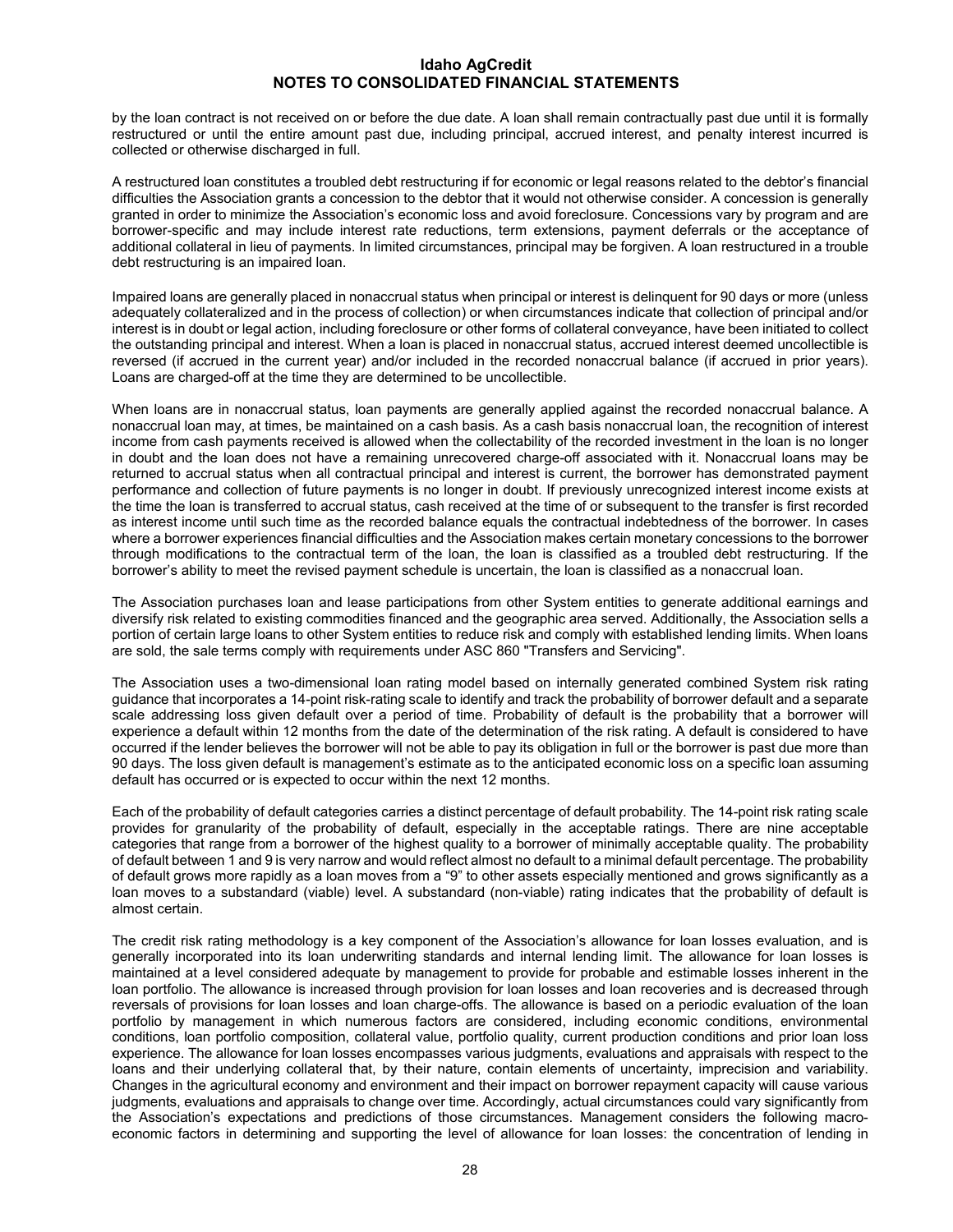by the loan contract is not received on or before the due date. A loan shall remain contractually past due until it is formally restructured or until the entire amount past due, including principal, accrued interest, and penalty interest incurred is collected or otherwise discharged in full.

A restructured loan constitutes a troubled debt restructuring if for economic or legal reasons related to the debtor's financial difficulties the Association grants a concession to the debtor that it would not otherwise consider. A concession is generally granted in order to minimize the Association's economic loss and avoid foreclosure. Concessions vary by program and are borrower-specific and may include interest rate reductions, term extensions, payment deferrals or the acceptance of additional collateral in lieu of payments. In limited circumstances, principal may be forgiven. A loan restructured in a trouble debt restructuring is an impaired loan.

Impaired loans are generally placed in nonaccrual status when principal or interest is delinquent for 90 days or more (unless adequately collateralized and in the process of collection) or when circumstances indicate that collection of principal and/or interest is in doubt or legal action, including foreclosure or other forms of collateral conveyance, have been initiated to collect the outstanding principal and interest. When a loan is placed in nonaccrual status, accrued interest deemed uncollectible is reversed (if accrued in the current year) and/or included in the recorded nonaccrual balance (if accrued in prior years). Loans are charged-off at the time they are determined to be uncollectible.

When loans are in nonaccrual status, loan payments are generally applied against the recorded nonaccrual balance. A nonaccrual loan may, at times, be maintained on a cash basis. As a cash basis nonaccrual loan, the recognition of interest income from cash payments received is allowed when the collectability of the recorded investment in the loan is no longer in doubt and the loan does not have a remaining unrecovered charge-off associated with it. Nonaccrual loans may be returned to accrual status when all contractual principal and interest is current, the borrower has demonstrated payment performance and collection of future payments is no longer in doubt. If previously unrecognized interest income exists at the time the loan is transferred to accrual status, cash received at the time of or subsequent to the transfer is first recorded as interest income until such time as the recorded balance equals the contractual indebtedness of the borrower. In cases where a borrower experiences financial difficulties and the Association makes certain monetary concessions to the borrower through modifications to the contractual term of the loan, the loan is classified as a troubled debt restructuring. If the borrower's ability to meet the revised payment schedule is uncertain, the loan is classified as a nonaccrual loan.

The Association purchases loan and lease participations from other System entities to generate additional earnings and diversify risk related to existing commodities financed and the geographic area served. Additionally, the Association sells a portion of certain large loans to other System entities to reduce risk and comply with established lending limits. When loans are sold, the sale terms comply with requirements under ASC 860 "Transfers and Servicing".

The Association uses a two-dimensional loan rating model based on internally generated combined System risk rating guidance that incorporates a 14-point risk-rating scale to identify and track the probability of borrower default and a separate scale addressing loss given default over a period of time. Probability of default is the probability that a borrower will experience a default within 12 months from the date of the determination of the risk rating. A default is considered to have occurred if the lender believes the borrower will not be able to pay its obligation in full or the borrower is past due more than 90 days. The loss given default is management's estimate as to the anticipated economic loss on a specific loan assuming default has occurred or is expected to occur within the next 12 months.

Each of the probability of default categories carries a distinct percentage of default probability. The 14-point risk rating scale provides for granularity of the probability of default, especially in the acceptable ratings. There are nine acceptable categories that range from a borrower of the highest quality to a borrower of minimally acceptable quality. The probability of default between 1 and 9 is very narrow and would reflect almost no default to a minimal default percentage. The probability of default grows more rapidly as a loan moves from a "9" to other assets especially mentioned and grows significantly as a loan moves to a substandard (viable) level. A substandard (non-viable) rating indicates that the probability of default is almost certain.

The credit risk rating methodology is a key component of the Association's allowance for loan losses evaluation, and is generally incorporated into its loan underwriting standards and internal lending limit. The allowance for loan losses is maintained at a level considered adequate by management to provide for probable and estimable losses inherent in the loan portfolio. The allowance is increased through provision for loan losses and loan recoveries and is decreased through reversals of provisions for loan losses and loan charge-offs. The allowance is based on a periodic evaluation of the loan portfolio by management in which numerous factors are considered, including economic conditions, environmental conditions, loan portfolio composition, collateral value, portfolio quality, current production conditions and prior loan loss experience. The allowance for loan losses encompasses various judgments, evaluations and appraisals with respect to the loans and their underlying collateral that, by their nature, contain elements of uncertainty, imprecision and variability. Changes in the agricultural economy and environment and their impact on borrower repayment capacity will cause various judgments, evaluations and appraisals to change over time. Accordingly, actual circumstances could vary significantly from the Association's expectations and predictions of those circumstances. Management considers the following macroeconomic factors in determining and supporting the level of allowance for loan losses: the concentration of lending in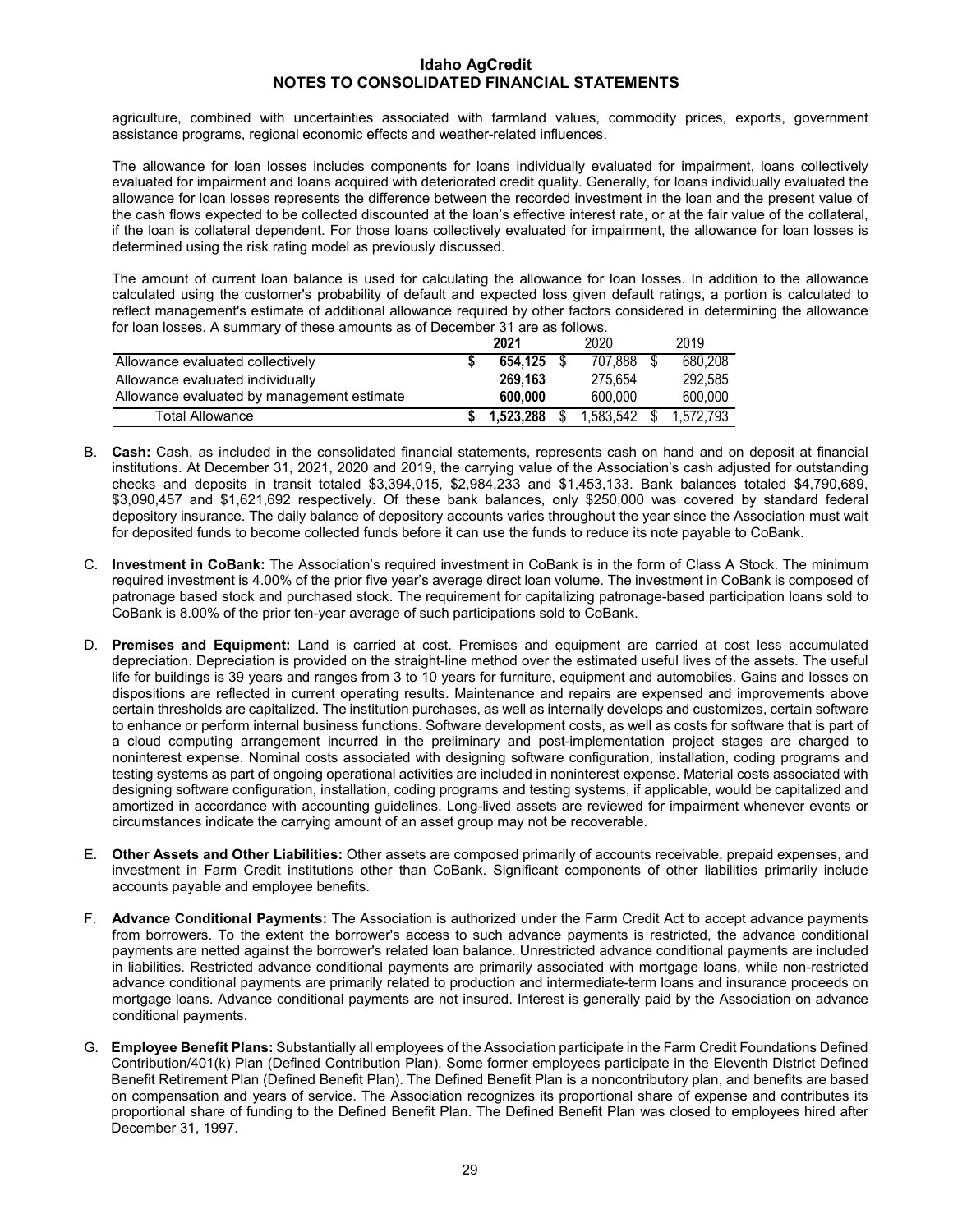agriculture, combined with uncertainties associated with farmland values, commodity prices, exports, government assistance programs, regional economic effects and weather-related influences.

The allowance for loan losses includes components for loans individually evaluated for impairment, loans collectively evaluated for impairment and loans acquired with deteriorated credit quality. Generally, for loans individually evaluated the allowance for loan losses represents the difference between the recorded investment in the loan and the present value of the cash flows expected to be collected discounted at the loan's effective interest rate, or at the fair value of the collateral, if the loan is collateral dependent. For those loans collectively evaluated for impairment, the allowance for loan losses is determined using the risk rating model as previously discussed.

The amount of current loan balance is used for calculating the allowance for loan losses. In addition to the allowance calculated using the customer's probability of default and expected loss given default ratings, a portion is calculated to reflect management's estimate of additional allowance required by other factors considered in determining the allowance for loan losses. A summary of these amounts as of December 31 are as follows.

|                                            | 2021       |     | 2020      | 2019      |
|--------------------------------------------|------------|-----|-----------|-----------|
| Allowance evaluated collectively           | 654.125 \$ |     | 707.888   | 680.208   |
| Allowance evaluated individually           | 269.163    |     | 275.654   | 292.585   |
| Allowance evaluated by management estimate | 600.000    |     | 600.000   | 600.000   |
| <b>Total Allowance</b>                     | 1.523.288  | \$. | 1,583,542 | 1.572.793 |

- B. **Cash:** Cash, as included in the consolidated financial statements, represents cash on hand and on deposit at financial institutions. At December 31, 2021, 2020 and 2019, the carrying value of the Association's cash adjusted for outstanding checks and deposits in transit totaled \$3,394,015, \$2,984,233 and \$1,453,133. Bank balances totaled \$4,790,689, \$3,090,457 and \$1,621,692 respectively. Of these bank balances, only \$250,000 was covered by standard federal depository insurance. The daily balance of depository accounts varies throughout the year since the Association must wait for deposited funds to become collected funds before it can use the funds to reduce its note payable to CoBank.
- C. **Investment in CoBank:** The Association's required investment in CoBank is in the form of Class A Stock. The minimum required investment is 4.00% of the prior five year's average direct loan volume. The investment in CoBank is composed of patronage based stock and purchased stock. The requirement for capitalizing patronage-based participation loans sold to CoBank is 8.00% of the prior ten-year average of such participations sold to CoBank.
- D. **Premises and Equipment:** Land is carried at cost. Premises and equipment are carried at cost less accumulated depreciation. Depreciation is provided on the straight-line method over the estimated useful lives of the assets. The useful life for buildings is 39 years and ranges from 3 to 10 years for furniture, equipment and automobiles. Gains and losses on dispositions are reflected in current operating results. Maintenance and repairs are expensed and improvements above certain thresholds are capitalized. The institution purchases, as well as internally develops and customizes, certain software to enhance or perform internal business functions. Software development costs, as well as costs for software that is part of a cloud computing arrangement incurred in the preliminary and post-implementation project stages are charged to noninterest expense. Nominal costs associated with designing software configuration, installation, coding programs and testing systems as part of ongoing operational activities are included in noninterest expense. Material costs associated with designing software configuration, installation, coding programs and testing systems, if applicable, would be capitalized and amortized in accordance with accounting guidelines. Long-lived assets are reviewed for impairment whenever events or circumstances indicate the carrying amount of an asset group may not be recoverable.
- E. **Other Assets and Other Liabilities:** Other assets are composed primarily of accounts receivable, prepaid expenses, and investment in Farm Credit institutions other than CoBank. Significant components of other liabilities primarily include accounts payable and employee benefits.
- F. **Advance Conditional Payments:** The Association is authorized under the Farm Credit Act to accept advance payments from borrowers. To the extent the borrower's access to such advance payments is restricted, the advance conditional payments are netted against the borrower's related loan balance. Unrestricted advance conditional payments are included in liabilities. Restricted advance conditional payments are primarily associated with mortgage loans, while non-restricted advance conditional payments are primarily related to production and intermediate-term loans and insurance proceeds on mortgage loans. Advance conditional payments are not insured. Interest is generally paid by the Association on advance conditional payments.
- G. **Employee Benefit Plans:** Substantially all employees of the Association participate in the Farm Credit Foundations Defined Contribution/401(k) Plan (Defined Contribution Plan). Some former employees participate in the Eleventh District Defined Benefit Retirement Plan (Defined Benefit Plan). The Defined Benefit Plan is a noncontributory plan, and benefits are based on compensation and years of service. The Association recognizes its proportional share of expense and contributes its proportional share of funding to the Defined Benefit Plan. The Defined Benefit Plan was closed to employees hired after December 31, 1997.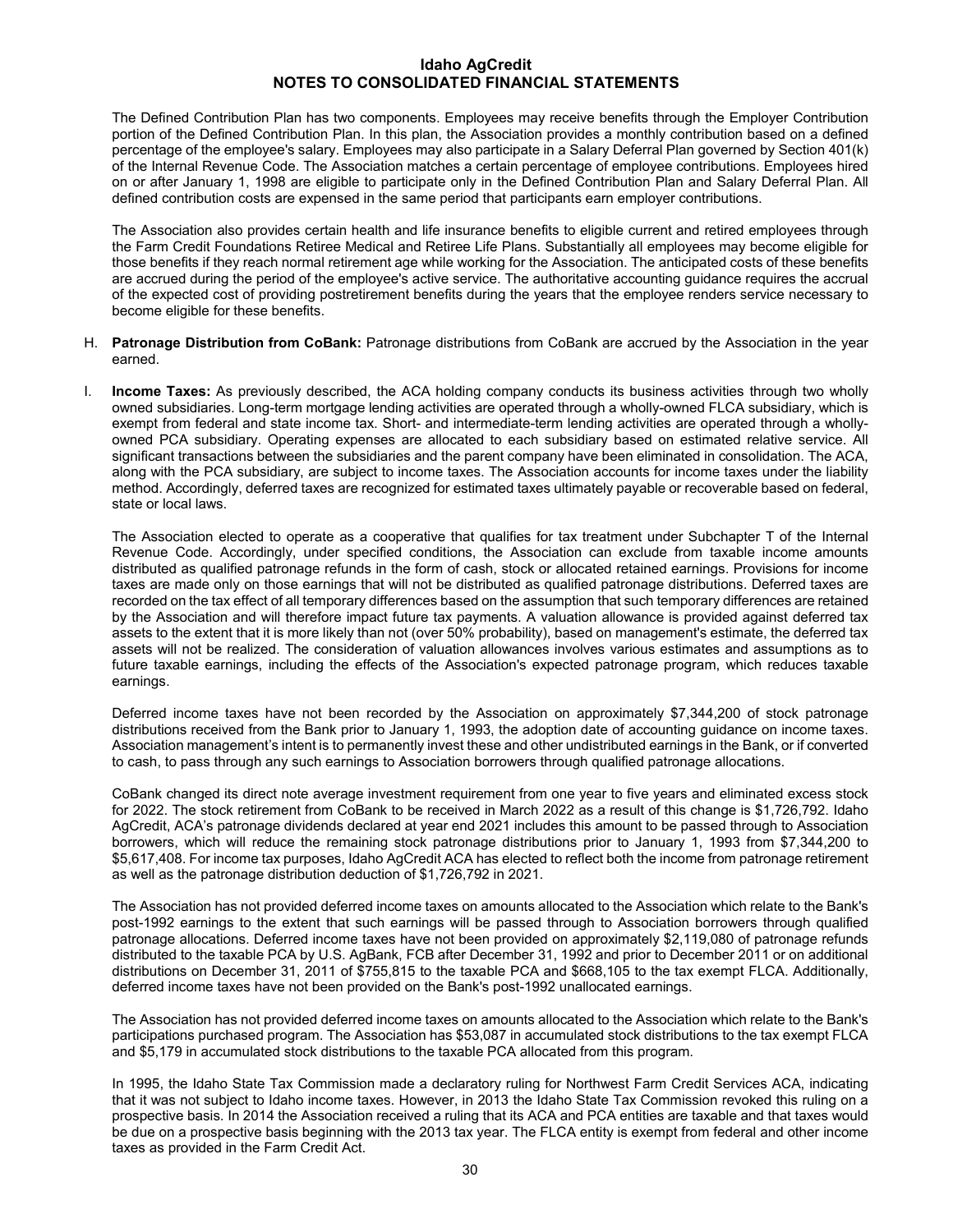The Defined Contribution Plan has two components. Employees may receive benefits through the Employer Contribution portion of the Defined Contribution Plan. In this plan, the Association provides a monthly contribution based on a defined percentage of the employee's salary. Employees may also participate in a Salary Deferral Plan governed by Section 401(k) of the Internal Revenue Code. The Association matches a certain percentage of employee contributions. Employees hired on or after January 1, 1998 are eligible to participate only in the Defined Contribution Plan and Salary Deferral Plan. All defined contribution costs are expensed in the same period that participants earn employer contributions.

The Association also provides certain health and life insurance benefits to eligible current and retired employees through the Farm Credit Foundations Retiree Medical and Retiree Life Plans. Substantially all employees may become eligible for those benefits if they reach normal retirement age while working for the Association. The anticipated costs of these benefits are accrued during the period of the employee's active service. The authoritative accounting guidance requires the accrual of the expected cost of providing postretirement benefits during the years that the employee renders service necessary to become eligible for these benefits.

- H. **Patronage Distribution from CoBank:** Patronage distributions from CoBank are accrued by the Association in the year earned.
- I. **Income Taxes:** As previously described, the ACA holding company conducts its business activities through two wholly owned subsidiaries. Long-term mortgage lending activities are operated through a wholly-owned FLCA subsidiary, which is exempt from federal and state income tax. Short- and intermediate-term lending activities are operated through a whollyowned PCA subsidiary. Operating expenses are allocated to each subsidiary based on estimated relative service. All significant transactions between the subsidiaries and the parent company have been eliminated in consolidation. The ACA, along with the PCA subsidiary, are subject to income taxes. The Association accounts for income taxes under the liability method. Accordingly, deferred taxes are recognized for estimated taxes ultimately payable or recoverable based on federal, state or local laws.

The Association elected to operate as a cooperative that qualifies for tax treatment under Subchapter T of the Internal Revenue Code. Accordingly, under specified conditions, the Association can exclude from taxable income amounts distributed as qualified patronage refunds in the form of cash, stock or allocated retained earnings. Provisions for income taxes are made only on those earnings that will not be distributed as qualified patronage distributions. Deferred taxes are recorded on the tax effect of all temporary differences based on the assumption that such temporary differences are retained by the Association and will therefore impact future tax payments. A valuation allowance is provided against deferred tax assets to the extent that it is more likely than not (over 50% probability), based on management's estimate, the deferred tax assets will not be realized. The consideration of valuation allowances involves various estimates and assumptions as to future taxable earnings, including the effects of the Association's expected patronage program, which reduces taxable earnings.

Deferred income taxes have not been recorded by the Association on approximately \$7,344,200 of stock patronage distributions received from the Bank prior to January 1, 1993, the adoption date of accounting guidance on income taxes. Association management's intent is to permanently invest these and other undistributed earnings in the Bank, or if converted to cash, to pass through any such earnings to Association borrowers through qualified patronage allocations.

CoBank changed its direct note average investment requirement from one year to five years and eliminated excess stock for 2022. The stock retirement from CoBank to be received in March 2022 as a result of this change is \$1,726,792. Idaho AgCredit, ACA's patronage dividends declared at year end 2021 includes this amount to be passed through to Association borrowers, which will reduce the remaining stock patronage distributions prior to January 1, 1993 from \$7,344,200 to \$5,617,408. For income tax purposes, Idaho AgCredit ACA has elected to reflect both the income from patronage retirement as well as the patronage distribution deduction of \$1,726,792 in 2021.

The Association has not provided deferred income taxes on amounts allocated to the Association which relate to the Bank's post-1992 earnings to the extent that such earnings will be passed through to Association borrowers through qualified patronage allocations. Deferred income taxes have not been provided on approximately \$2,119,080 of patronage refunds distributed to the taxable PCA by U.S. AgBank, FCB after December 31, 1992 and prior to December 2011 or on additional distributions on December 31, 2011 of \$755,815 to the taxable PCA and \$668,105 to the tax exempt FLCA. Additionally, deferred income taxes have not been provided on the Bank's post-1992 unallocated earnings.

The Association has not provided deferred income taxes on amounts allocated to the Association which relate to the Bank's participations purchased program. The Association has \$53,087 in accumulated stock distributions to the tax exempt FLCA and \$5,179 in accumulated stock distributions to the taxable PCA allocated from this program.

In 1995, the Idaho State Tax Commission made a declaratory ruling for Northwest Farm Credit Services ACA, indicating that it was not subject to Idaho income taxes. However, in 2013 the Idaho State Tax Commission revoked this ruling on a prospective basis. In 2014 the Association received a ruling that its ACA and PCA entities are taxable and that taxes would be due on a prospective basis beginning with the 2013 tax year. The FLCA entity is exempt from federal and other income taxes as provided in the Farm Credit Act.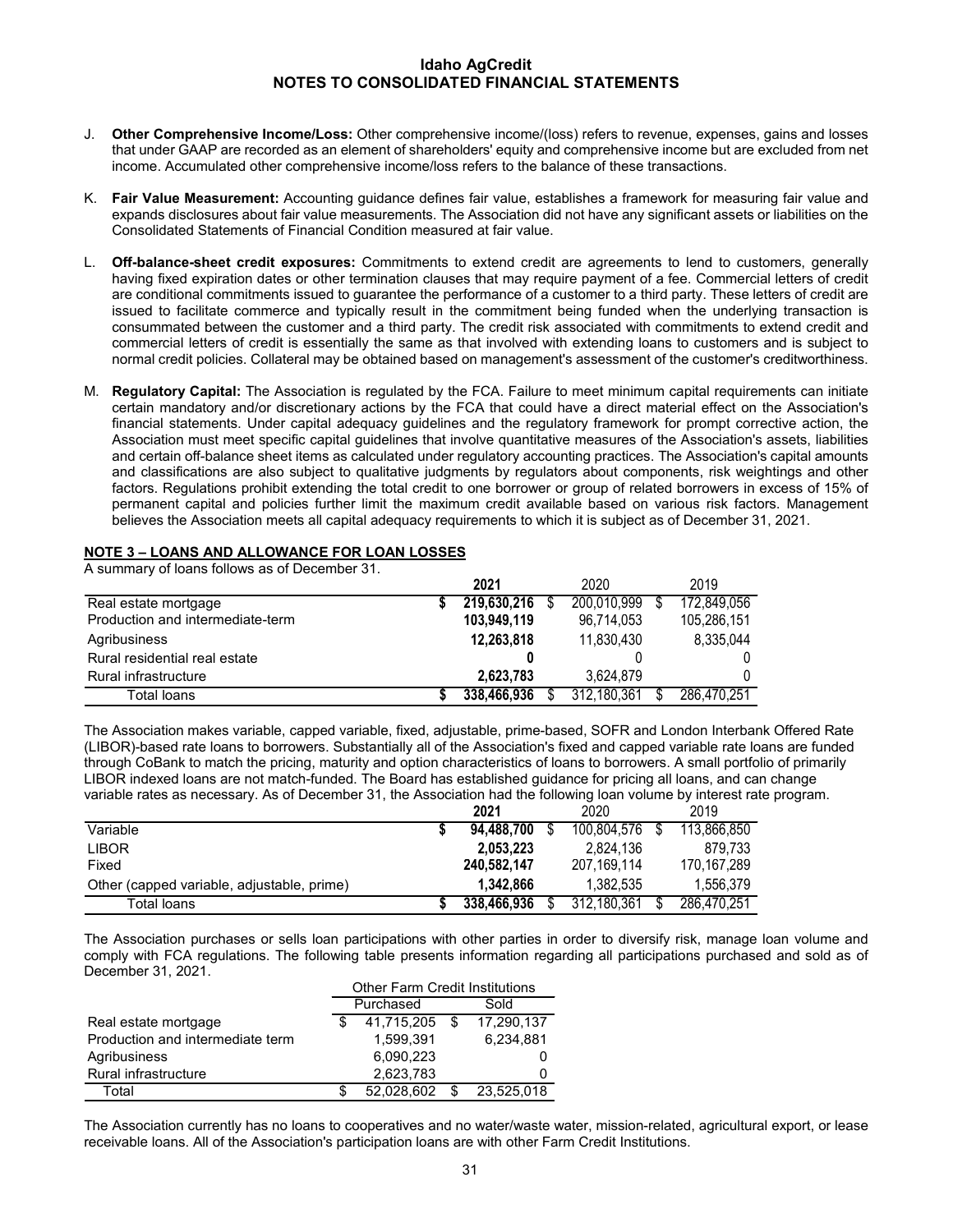- J. **Other Comprehensive Income/Loss:** Other comprehensive income/(loss) refers to revenue, expenses, gains and losses that under GAAP are recorded as an element of shareholders' equity and comprehensive income but are excluded from net income. Accumulated other comprehensive income/loss refers to the balance of these transactions.
- K. **Fair Value Measurement:** Accounting guidance defines fair value, establishes a framework for measuring fair value and expands disclosures about fair value measurements. The Association did not have any significant assets or liabilities on the Consolidated Statements of Financial Condition measured at fair value.
- L. **Off-balance-sheet credit exposures:** Commitments to extend credit are agreements to lend to customers, generally having fixed expiration dates or other termination clauses that may require payment of a fee. Commercial letters of credit are conditional commitments issued to guarantee the performance of a customer to a third party. These letters of credit are issued to facilitate commerce and typically result in the commitment being funded when the underlying transaction is consummated between the customer and a third party. The credit risk associated with commitments to extend credit and commercial letters of credit is essentially the same as that involved with extending loans to customers and is subject to normal credit policies. Collateral may be obtained based on management's assessment of the customer's creditworthiness.
- M. **Regulatory Capital:** The Association is regulated by the FCA. Failure to meet minimum capital requirements can initiate certain mandatory and/or discretionary actions by the FCA that could have a direct material effect on the Association's financial statements. Under capital adequacy guidelines and the regulatory framework for prompt corrective action, the Association must meet specific capital guidelines that involve quantitative measures of the Association's assets, liabilities and certain off-balance sheet items as calculated under regulatory accounting practices. The Association's capital amounts and classifications are also subject to qualitative judgments by regulators about components, risk weightings and other factors. Regulations prohibit extending the total credit to one borrower or group of related borrowers in excess of 15% of permanent capital and policies further limit the maximum credit available based on various risk factors. Management believes the Association meets all capital adequacy requirements to which it is subject as of December 31, 2021.

## **NOTE 3 – LOANS AND ALLOWANCE FOR LOAN LOSSES**

A summary of loans follows as of December 31.

|                                  | 2021        | 2020        | 2019        |
|----------------------------------|-------------|-------------|-------------|
| Real estate mortgage             | 219,630,216 | 200,010,999 | 172,849,056 |
| Production and intermediate-term | 103.949.119 | 96.714.053  | 105,286,151 |
| Agribusiness                     | 12,263,818  | 11,830,430  | 8,335,044   |
| Rural residential real estate    |             |             |             |
| Rural infrastructure             | 2.623.783   | 3,624,879   |             |
| Total loans                      | 338,466,936 | 312,180,361 | 286,470,251 |

The Association makes variable, capped variable, fixed, adjustable, prime-based, SOFR and London Interbank Offered Rate (LIBOR)-based rate loans to borrowers. Substantially all of the Association's fixed and capped variable rate loans are funded through CoBank to match the pricing, maturity and option characteristics of loans to borrowers. A small portfolio of primarily LIBOR indexed loans are not match-funded. The Board has established guidance for pricing all loans, and can change variable rates as necessary. As of December 31, the Association had the following loan volume by interest rate program.

|                                            | 2021        | 2020        | 2019        |
|--------------------------------------------|-------------|-------------|-------------|
| Variable                                   | 94.488.700  | 100,804,576 | 113,866,850 |
| <b>LIBOR</b>                               | 2.053.223   | 2.824.136   | 879.733     |
| Fixed                                      | 240.582.147 | 207.169.114 | 170.167.289 |
| Other (capped variable, adjustable, prime) | 1.342.866   | 1.382.535   | 1.556.379   |
| Total loans                                | 338,466,936 | 312.180.361 | 286.470.251 |

The Association purchases or sells loan participations with other parties in order to diversify risk, manage loan volume and comply with FCA regulations. The following table presents information regarding all participations purchased and sold as of December 31, 2021.

|                                  | <b>Other Farm Credit Institutions</b> |               |  |            |  |  |  |  |  |
|----------------------------------|---------------------------------------|---------------|--|------------|--|--|--|--|--|
|                                  |                                       | Purchased     |  | Sold       |  |  |  |  |  |
| Real estate mortgage             |                                       | 41,715,205 \$ |  | 17,290,137 |  |  |  |  |  |
| Production and intermediate term |                                       | 1.599.391     |  | 6.234.881  |  |  |  |  |  |
| Agribusiness                     |                                       | 6,090,223     |  |            |  |  |  |  |  |
| Rural infrastructure             |                                       | 2,623,783     |  |            |  |  |  |  |  |
| Total                            |                                       | 52.028.602    |  | 23,525,018 |  |  |  |  |  |

The Association currently has no loans to cooperatives and no water/waste water, mission-related, agricultural export, or lease receivable loans. All of the Association's participation loans are with other Farm Credit Institutions.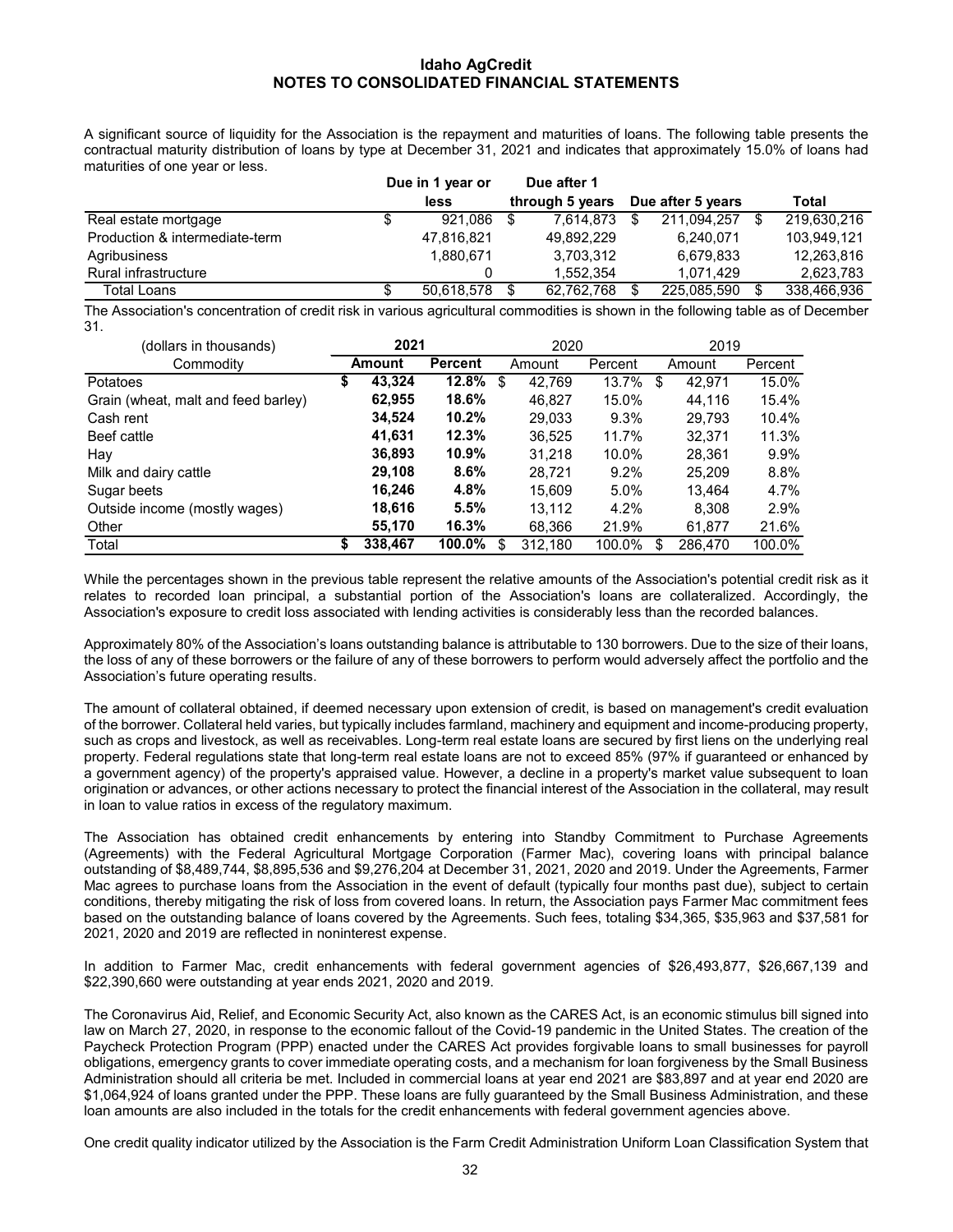A significant source of liquidity for the Association is the repayment and maturities of loans. The following table presents the contractual maturity distribution of loans by type at December 31, 2021 and indicates that approximately 15.0% of loans had maturities of one year or less.

|                                |   | Due in 1 year or |  | Due after 1     |                   |             |  |             |
|--------------------------------|---|------------------|--|-----------------|-------------------|-------------|--|-------------|
|                                |   | less             |  | through 5 years | Due after 5 years |             |  | Total       |
| Real estate mortgage           | S | 921.086          |  | 7.614.873       |                   | 211.094.257 |  | 219,630,216 |
| Production & intermediate-term |   | 47.816.821       |  | 49.892.229      |                   | 6.240.071   |  | 103,949,121 |
| Agribusiness                   |   | 1.880.671        |  | 3.703.312       |                   | 6.679.833   |  | 12,263,816  |
| Rural infrastructure           |   | 0                |  | 1.552.354       |                   | 1.071.429   |  | 2,623,783   |
| Total Loans                    |   | 50.618.578       |  | 62.762.768      |                   | 225.085.590 |  | 338.466.936 |

The Association's concentration of credit risk in various agricultural commodities is shown in the following table as of December 31.

| (dollars in thousands)              | 2021 |         |                |   | 2020    |         | 2019 |         |         |  |
|-------------------------------------|------|---------|----------------|---|---------|---------|------|---------|---------|--|
| Commodity                           |      | Amount  | <b>Percent</b> |   | Amount  | Percent |      | Amount  | Percent |  |
| Potatoes                            | \$   | 43,324  | 12.8%          | S | 42,769  | 13.7%   | S    | 42,971  | 15.0%   |  |
| Grain (wheat, malt and feed barley) |      | 62,955  | 18.6%          |   | 46.827  | 15.0%   |      | 44.116  | 15.4%   |  |
| Cash rent                           |      | 34,524  | 10.2%          |   | 29,033  | $9.3\%$ |      | 29,793  | 10.4%   |  |
| Beef cattle                         |      | 41,631  | 12.3%          |   | 36.525  | 11.7%   |      | 32.371  | 11.3%   |  |
| Hay                                 |      | 36,893  | $10.9\%$       |   | 31,218  | 10.0%   |      | 28.361  | 9.9%    |  |
| Milk and dairy cattle               |      | 29,108  | 8.6%           |   | 28.721  | $9.2\%$ |      | 25.209  | 8.8%    |  |
| Sugar beets                         |      | 16,246  | 4.8%           |   | 15,609  | $5.0\%$ |      | 13.464  | 4.7%    |  |
| Outside income (mostly wages)       |      | 18,616  | 5.5%           |   | 13.112  | 4.2%    |      | 8,308   | 2.9%    |  |
| Other                               |      | 55,170  | 16.3%          |   | 68,366  | 21.9%   |      | 61,877  | 21.6%   |  |
| Total                               | S    | 338,467 | 100.0%         | S | 312,180 | 100.0%  | S    | 286.470 | 100.0%  |  |

While the percentages shown in the previous table represent the relative amounts of the Association's potential credit risk as it relates to recorded loan principal, a substantial portion of the Association's loans are collateralized. Accordingly, the Association's exposure to credit loss associated with lending activities is considerably less than the recorded balances.

Approximately 80% of the Association's loans outstanding balance is attributable to 130 borrowers. Due to the size of their loans, the loss of any of these borrowers or the failure of any of these borrowers to perform would adversely affect the portfolio and the Association's future operating results.

The amount of collateral obtained, if deemed necessary upon extension of credit, is based on management's credit evaluation of the borrower. Collateral held varies, but typically includes farmland, machinery and equipment and income-producing property, such as crops and livestock, as well as receivables. Long-term real estate loans are secured by first liens on the underlying real property. Federal regulations state that long-term real estate loans are not to exceed 85% (97% if guaranteed or enhanced by a government agency) of the property's appraised value. However, a decline in a property's market value subsequent to loan origination or advances, or other actions necessary to protect the financial interest of the Association in the collateral, may result in loan to value ratios in excess of the regulatory maximum.

The Association has obtained credit enhancements by entering into Standby Commitment to Purchase Agreements (Agreements) with the Federal Agricultural Mortgage Corporation (Farmer Mac), covering loans with principal balance outstanding of \$8,489,744, \$8,895,536 and \$9,276,204 at December 31, 2021, 2020 and 2019. Under the Agreements, Farmer Mac agrees to purchase loans from the Association in the event of default (typically four months past due), subject to certain conditions, thereby mitigating the risk of loss from covered loans. In return, the Association pays Farmer Mac commitment fees based on the outstanding balance of loans covered by the Agreements. Such fees, totaling \$34,365, \$35,963 and \$37,581 for 2021, 2020 and 2019 are reflected in noninterest expense.

In addition to Farmer Mac, credit enhancements with federal government agencies of \$26,493,877, \$26,667,139 and \$22,390,660 were outstanding at year ends 2021, 2020 and 2019.

The Coronavirus Aid, Relief, and Economic Security Act, also known as the CARES Act, is an economic stimulus bill signed into law on March 27, 2020, in response to the economic fallout of the Covid-19 pandemic in the United States. The creation of the Paycheck Protection Program (PPP) enacted under the CARES Act provides forgivable loans to small businesses for payroll obligations, emergency grants to cover immediate operating costs, and a mechanism for loan forgiveness by the Small Business Administration should all criteria be met. Included in commercial loans at year end 2021 are \$83,897 and at year end 2020 are \$1,064,924 of loans granted under the PPP. These loans are fully guaranteed by the Small Business Administration, and these loan amounts are also included in the totals for the credit enhancements with federal government agencies above.

One credit quality indicator utilized by the Association is the Farm Credit Administration Uniform Loan Classification System that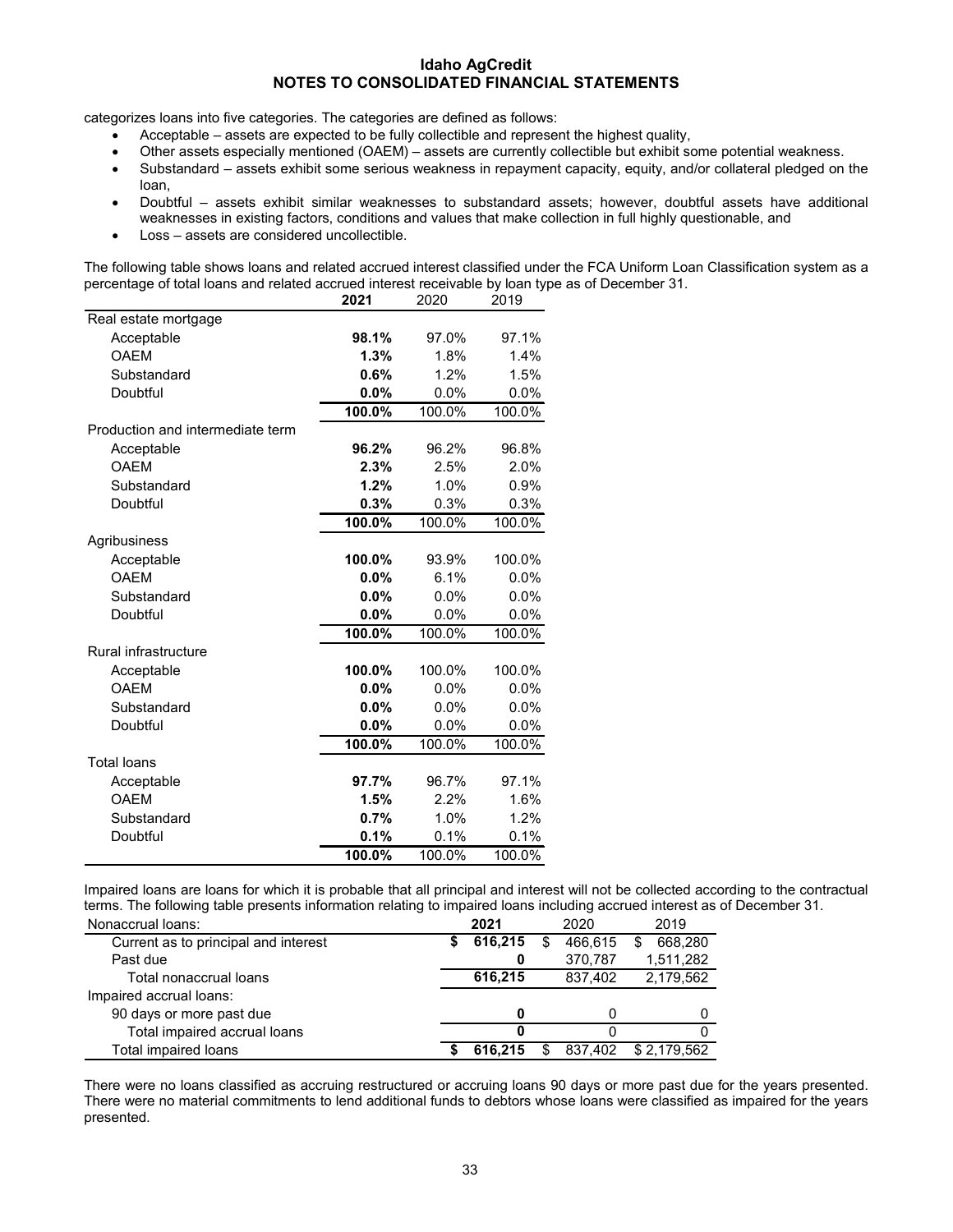categorizes loans into five categories. The categories are defined as follows:

- Acceptable assets are expected to be fully collectible and represent the highest quality,
- Other assets especially mentioned (OAEM) assets are currently collectible but exhibit some potential weakness.
- Substandard assets exhibit some serious weakness in repayment capacity, equity, and/or collateral pledged on the loan,
- Doubtful assets exhibit similar weaknesses to substandard assets; however, doubtful assets have additional weaknesses in existing factors, conditions and values that make collection in full highly questionable, and
- Loss assets are considered uncollectible.

The following table shows loans and related accrued interest classified under the FCA Uniform Loan Classification system as a percentage of total loans and related accrued interest receivable by loan type as of December 31.

|                                  | 2021   | 2020    | 2019    |
|----------------------------------|--------|---------|---------|
| Real estate mortgage             |        |         |         |
| Acceptable                       | 98.1%  | 97.0%   | 97.1%   |
| <b>OAEM</b>                      | 1.3%   | 1.8%    | 1.4%    |
| Substandard                      | 0.6%   | 1.2%    | 1.5%    |
| Doubtful                         | 0.0%   | 0.0%    | $0.0\%$ |
|                                  | 100.0% | 100.0%  | 100.0%  |
| Production and intermediate term |        |         |         |
| Acceptable                       | 96.2%  | 96.2%   | 96.8%   |
| <b>OAEM</b>                      | 2.3%   | 2.5%    | 2.0%    |
| Substandard                      | 1.2%   | 1.0%    | 0.9%    |
| Doubtful                         | 0.3%   | 0.3%    | 0.3%    |
|                                  | 100.0% | 100.0%  | 100.0%  |
| Agribusiness                     |        |         |         |
| Acceptable                       | 100.0% | 93.9%   | 100.0%  |
| <b>OAEM</b>                      | 0.0%   | 6.1%    | $0.0\%$ |
| Substandard                      | 0.0%   | $0.0\%$ | 0.0%    |
| Doubtful                         | 0.0%   | 0.0%    | 0.0%    |
|                                  | 100.0% | 100.0%  | 100.0%  |
| <b>Rural infrastructure</b>      |        |         |         |
| Acceptable                       | 100.0% | 100.0%  | 100.0%  |
| <b>OAEM</b>                      | 0.0%   | 0.0%    | $0.0\%$ |
| Substandard                      | 0.0%   | 0.0%    | 0.0%    |
| Doubtful                         | 0.0%   | 0.0%    | 0.0%    |
|                                  | 100.0% | 100.0%  | 100.0%  |
| <b>Total loans</b>               |        |         |         |
| Acceptable                       | 97.7%  | 96.7%   | 97.1%   |
| <b>OAEM</b>                      | 1.5%   | 2.2%    | 1.6%    |
| Substandard                      | 0.7%   | 1.0%    | 1.2%    |
| Doubtful                         | 0.1%   | 0.1%    | 0.1%    |
|                                  | 100.0% | 100.0%  | 100.0%  |

Impaired loans are loans for which it is probable that all principal and interest will not be collected according to the contractual terms. The following table presents information relating to impaired loans including accrued interest as of December 31.

| Nonaccrual loans:                    | 2021    |    | 2020    | 2019        |
|--------------------------------------|---------|----|---------|-------------|
| Current as to principal and interest | 616,215 | \$ | 466.615 | 668.280     |
| Past due                             |         |    | 370,787 | 1,511,282   |
| Total nonaccrual loans               | 616.215 |    | 837.402 | 2,179,562   |
| Impaired accrual loans:              |         |    |         |             |
| 90 days or more past due             |         |    |         |             |
| Total impaired accrual loans         |         |    |         |             |
| Total impaired loans                 | 616.215 | S  | 837.402 | \$2.179.562 |

There were no loans classified as accruing restructured or accruing loans 90 days or more past due for the years presented. There were no material commitments to lend additional funds to debtors whose loans were classified as impaired for the years presented.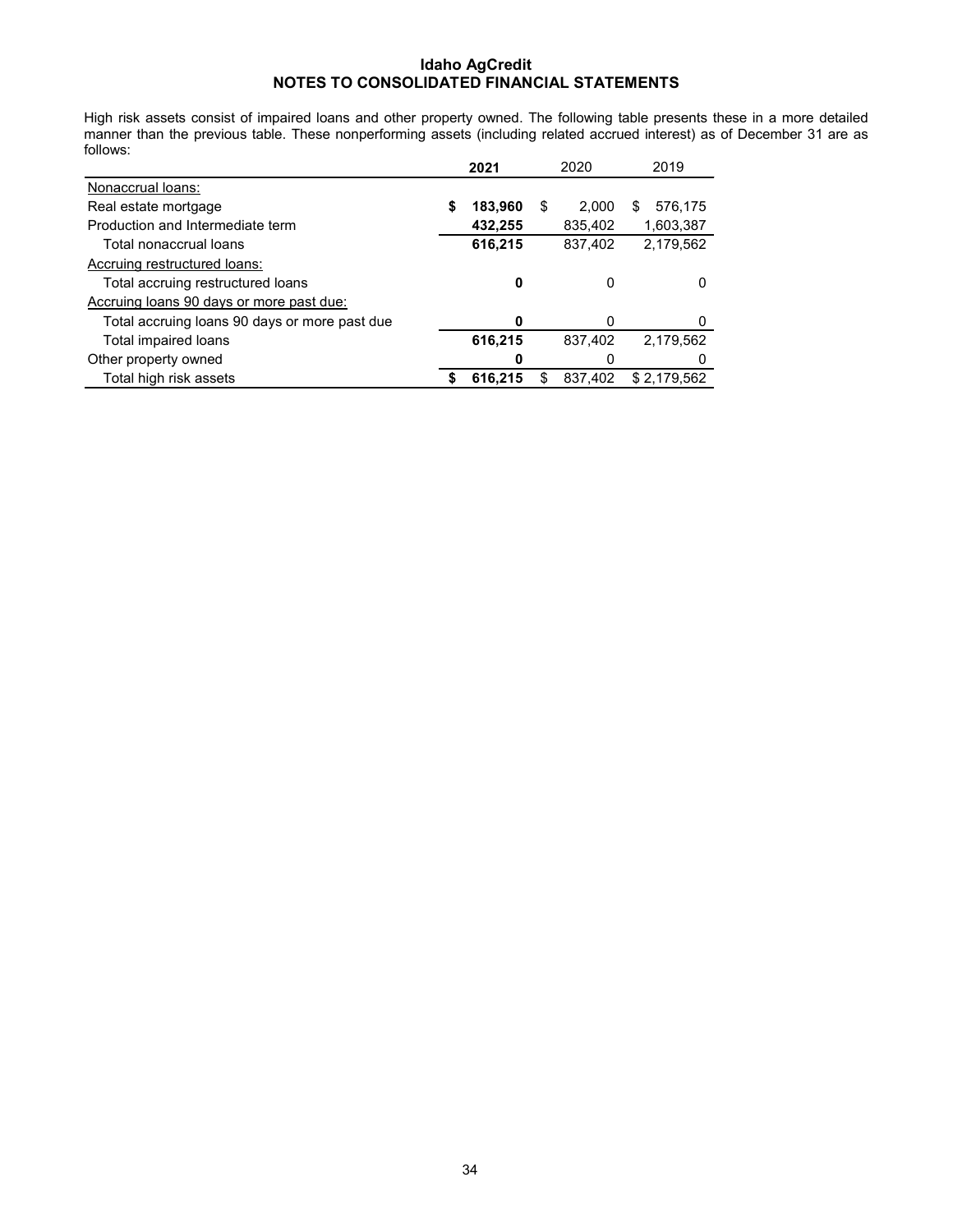High risk assets consist of impaired loans and other property owned. The following table presents these in a more detailed manner than the previous table. These nonperforming assets (including related accrued interest) as of December 31 are as follows:

|                                               |   | 2021    |    | 2020    | 2019         |
|-----------------------------------------------|---|---------|----|---------|--------------|
| Nonaccrual loans:                             |   |         |    |         |              |
| Real estate mortgage                          | S | 183,960 | \$ | 2.000   | 576,175<br>S |
| Production and Intermediate term              |   | 432,255 |    | 835,402 | 1,603,387    |
| Total nonaccrual loans                        |   | 616,215 |    | 837,402 | 2,179,562    |
| Accruing restructured loans:                  |   |         |    |         |              |
| Total accruing restructured loans             |   | 0       |    | 0       |              |
| Accruing loans 90 days or more past due:      |   |         |    |         |              |
| Total accruing loans 90 days or more past due |   | ŋ       |    | 0       |              |
| Total impaired loans                          |   | 616,215 |    | 837,402 | 2,179,562    |
| Other property owned                          |   | 0       |    | 0       |              |
| Total high risk assets                        |   | 616.215 | S  | 837.402 | \$2.179.562  |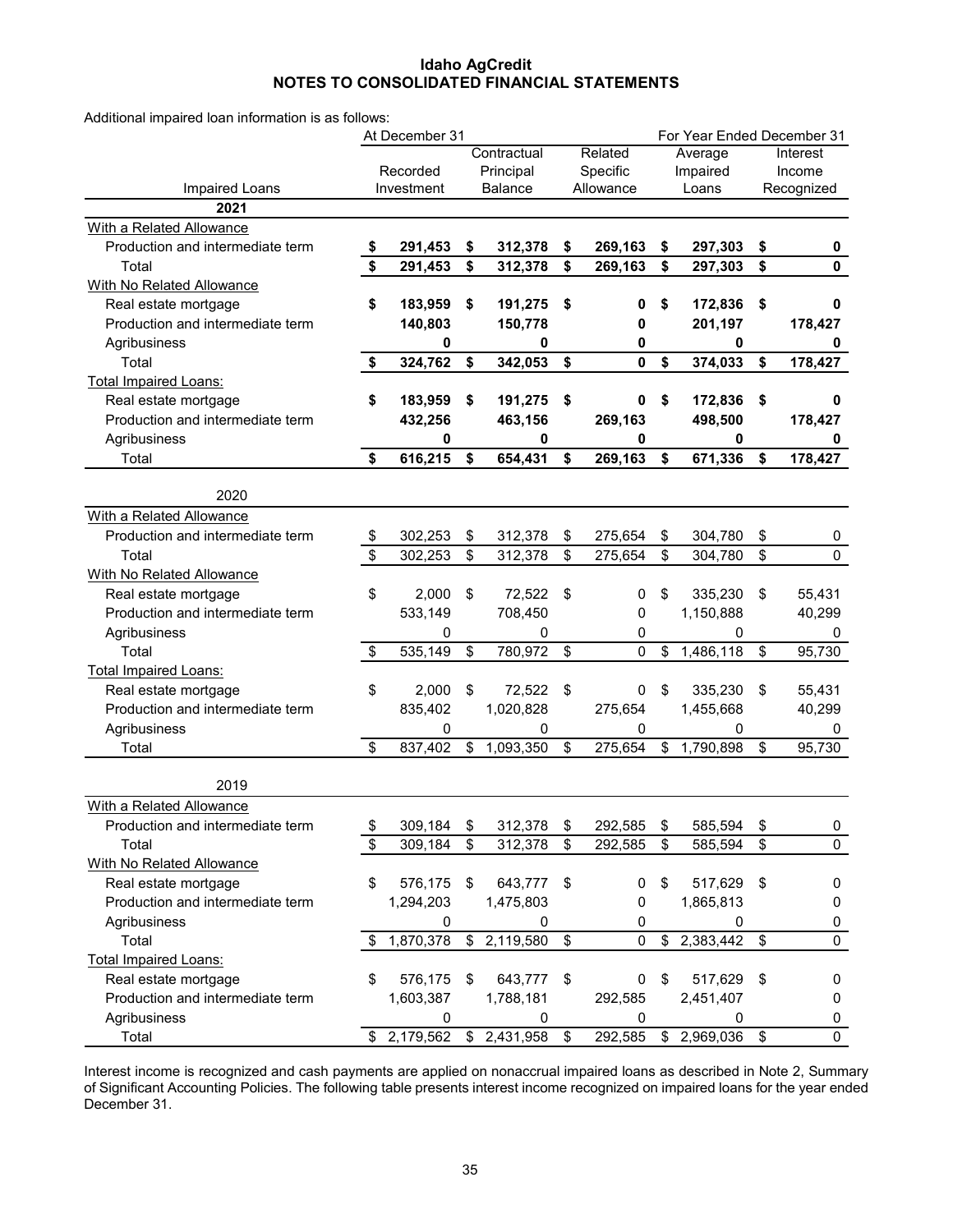Additional impaired loan information is as follows:

|                                  | At December 31            |            |    |                |    |             | For Year Ended December 31 |           |        |             |  |  |
|----------------------------------|---------------------------|------------|----|----------------|----|-------------|----------------------------|-----------|--------|-------------|--|--|
|                                  |                           |            |    | Contractual    |    | Related     |                            | Average   |        | Interest    |  |  |
|                                  |                           | Recorded   |    | Principal      |    | Specific    |                            | Impaired  | Income |             |  |  |
| Impaired Loans                   |                           | Investment |    | <b>Balance</b> |    | Allowance   |                            | Loans     |        | Recognized  |  |  |
| 2021                             |                           |            |    |                |    |             |                            |           |        |             |  |  |
| With a Related Allowance         |                           |            |    |                |    |             |                            |           |        |             |  |  |
| Production and intermediate term | $\boldsymbol{\hat{\ast}}$ | 291,453    | \$ | 312,378        | \$ | 269,163     | \$                         | 297,303   | \$     | 0           |  |  |
| Total                            | \$                        | 291,453    | \$ | 312,378        | \$ | 269,163     | \$                         | 297,303   | \$     | 0           |  |  |
| With No Related Allowance        |                           |            |    |                |    |             |                            |           |        |             |  |  |
| Real estate mortgage             | \$                        | 183,959    | \$ | 191,275        | \$ | 0           | \$                         | 172,836   | \$     | 0           |  |  |
| Production and intermediate term |                           | 140,803    |    | 150,778        |    | 0           |                            | 201,197   |        | 178,427     |  |  |
| Agribusiness                     |                           | 0          |    | 0              |    | 0           |                            | 0         |        | 0           |  |  |
| Total                            | \$                        | 324,762    | \$ | 342,053        | \$ | 0           | \$                         | 374,033   | \$     | 178,427     |  |  |
| <b>Total Impaired Loans:</b>     |                           |            |    |                |    |             |                            |           |        |             |  |  |
| Real estate mortgage             | \$                        | 183,959    | \$ | 191,275        | \$ | 0           | \$                         | 172,836   | \$     | 0           |  |  |
| Production and intermediate term |                           | 432,256    |    | 463,156        |    | 269,163     |                            | 498,500   |        | 178,427     |  |  |
| Agribusiness                     |                           | 0          |    | 0              |    | 0           |                            | 0         |        | 0           |  |  |
| Total                            | \$                        | 616,215    | \$ | 654,431        | \$ | 269,163     | \$                         | 671,336   | \$     | 178,427     |  |  |
| 2020                             |                           |            |    |                |    |             |                            |           |        |             |  |  |
| With a Related Allowance         |                           |            |    |                |    |             |                            |           |        |             |  |  |
| Production and intermediate term | \$                        | 302,253    | \$ | 312,378        | \$ | 275,654     | \$                         | 304,780   | \$     | 0           |  |  |
| Total                            | \$                        | 302,253    | \$ | 312,378        | \$ | 275,654     | \$                         | 304,780   | \$     | $\mathbf 0$ |  |  |
| With No Related Allowance        |                           |            |    |                |    |             |                            |           |        |             |  |  |
| Real estate mortgage             | \$                        | 2,000      | \$ | 72,522         | \$ | 0           | \$                         | 335,230   | \$     | 55,431      |  |  |
| Production and intermediate term |                           | 533,149    |    | 708,450        |    | 0           |                            | 1,150,888 |        | 40,299      |  |  |
| Agribusiness                     |                           | 0          |    | 0              |    | 0           |                            | 0         |        | 0           |  |  |
| Total                            | $\boldsymbol{\mathsf{S}}$ | 535,149    | \$ | 780,972        | \$ | 0           | \$                         | 1,486,118 | \$     | 95,730      |  |  |
| <b>Total Impaired Loans:</b>     |                           |            |    |                |    |             |                            |           |        |             |  |  |
| Real estate mortgage             | \$                        | 2,000      | \$ | 72,522         | \$ | $\mathbf 0$ | \$                         | 335,230   | \$     | 55,431      |  |  |
| Production and intermediate term |                           | 835,402    |    | 1,020,828      |    | 275,654     |                            | 1,455,668 |        | 40,299      |  |  |
| Agribusiness                     |                           | 0          |    | 0              |    | 0           |                            | 0         |        | 0           |  |  |
| Total                            | \$                        | 837,402    | \$ | 1,093,350      | \$ | 275,654     | \$                         | 1,790,898 | \$     | 95,730      |  |  |
|                                  |                           |            |    |                |    |             |                            |           |        |             |  |  |
| 2019                             |                           |            |    |                |    |             |                            |           |        |             |  |  |
| With a Related Allowance         |                           |            |    |                |    |             |                            |           |        |             |  |  |
| Production and intermediate term | \$                        | 309,184    | \$ | 312,378        | \$ | 292,585     | \$                         | 585,594   | \$     | $\mathbf 0$ |  |  |
| Total                            | \$                        | 309,184    | \$ | 312,378        | \$ | 292,585     | \$                         | 585,594   | \$     | 0           |  |  |
| With No Related Allowance        |                           |            |    |                |    |             |                            |           |        |             |  |  |
| Real estate mortgage             | \$                        | 576,175    | \$ | 643,777        | \$ | 0           | \$                         | 517,629   | \$     | 0           |  |  |
| Production and intermediate term |                           | 1,294,203  |    | 1,475,803      |    | 0           |                            | 1,865,813 |        | 0           |  |  |
| Agribusiness                     |                           | 0          |    | 0              |    | 0           |                            | 0         |        | 0           |  |  |
| Total                            | \$                        | 1,870,378  |    | \$2,119,580    | \$ | $\pmb{0}$   | \$                         | 2,383,442 | \$     | $\mathbf 0$ |  |  |
| <b>Total Impaired Loans:</b>     |                           |            |    |                |    |             |                            |           |        |             |  |  |
| Real estate mortgage             | \$                        | 576,175    | \$ | 643,777        | \$ | 0           | \$                         | 517,629   | \$     | 0           |  |  |
| Production and intermediate term |                           | 1,603,387  |    | 1,788,181      |    | 292,585     |                            | 2,451,407 |        | 0           |  |  |
| Agribusiness                     |                           | 0          |    | 0              |    | 0           |                            | 0         |        | 0           |  |  |
| Total                            |                           | 2,179,562  |    | \$2,431,958    | \$ | 292,585     | \$                         | 2,969,036 | \$     | 0           |  |  |

Interest income is recognized and cash payments are applied on nonaccrual impaired loans as described in Note 2, Summary of Significant Accounting Policies. The following table presents interest income recognized on impaired loans for the year ended December 31.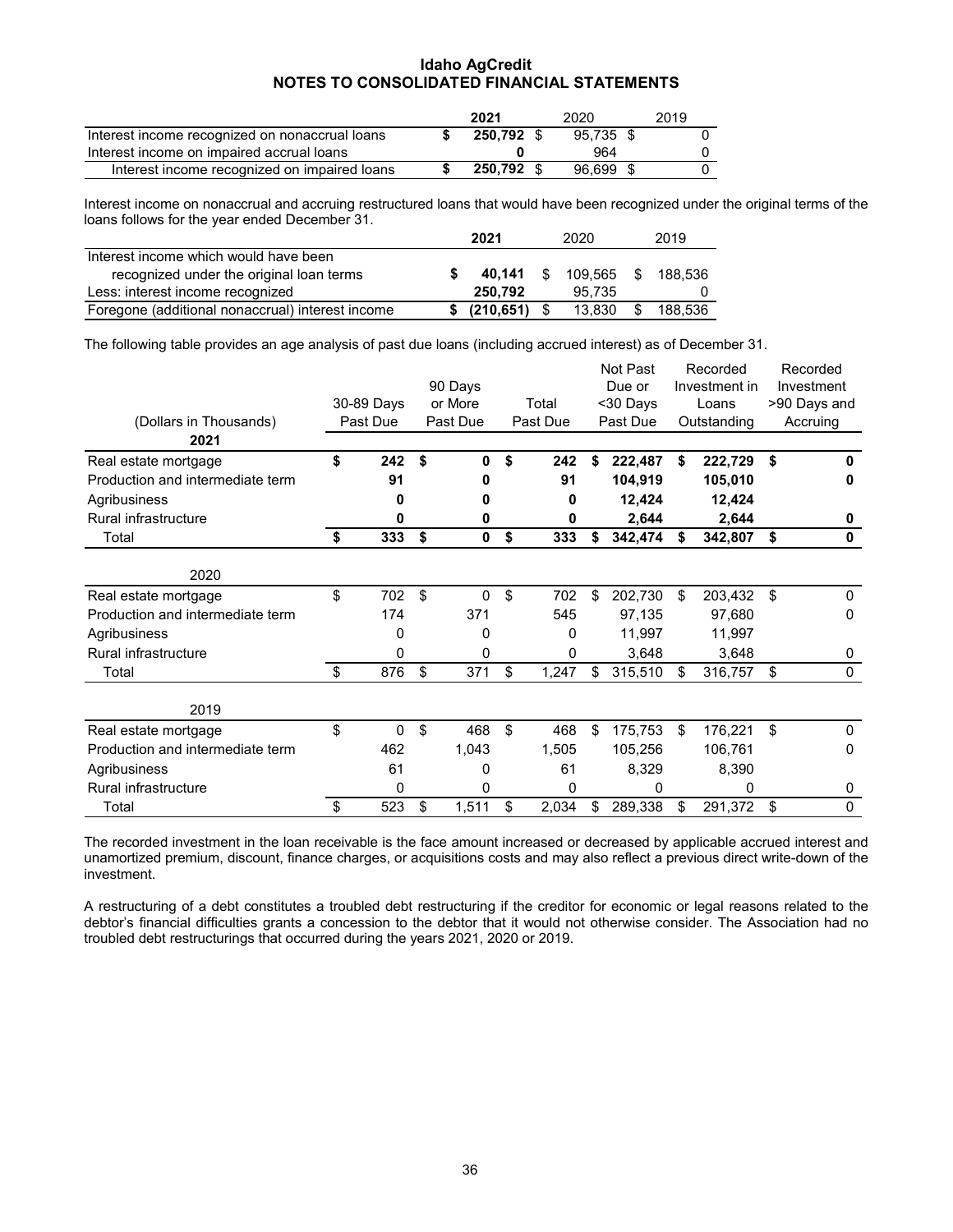|                                                | 2021       | 2020      | 2019 |
|------------------------------------------------|------------|-----------|------|
| Interest income recognized on nonaccrual loans | 250.792 \$ | 95.735 \$ |      |
| Interest income on impaired accrual loans      |            | 964       |      |
| Interest income recognized on impaired loans   | 250.792 \$ | 96.699 \$ |      |

Interest income on nonaccrual and accruing restructured loans that would have been recognized under the original terms of the loans follows for the year ended December 31.

|                                                  | 2021            |      | 2020    | 2019          |
|--------------------------------------------------|-----------------|------|---------|---------------|
| Interest income which would have been            |                 |      |         |               |
| recognized under the original loan terms         | 40.141          | - \$ | 109.565 | \$188.536     |
| Less: interest income recognized                 | 250.792         |      | 95.735  |               |
| Foregone (additional nonaccrual) interest income | \$ (210.651) \$ |      | 13.830  | \$<br>188.536 |

The following table provides an age analysis of past due loans (including accrued interest) as of December 31.

|                                  |            |    |             |    |          |    | Not Past      |    | Recorded    |    | Recorded     |
|----------------------------------|------------|----|-------------|----|----------|----|---------------|----|-------------|----|--------------|
|                                  | 90 Days    |    |             |    | Due or   |    | Investment in |    | Investment  |    |              |
|                                  | 30-89 Days |    | or More     |    | Total    |    | <30 Days      |    | Loans       |    | >90 Days and |
| (Dollars in Thousands)           | Past Due   |    | Past Due    |    | Past Due |    | Past Due      |    | Outstanding |    | Accruing     |
| 2021                             |            |    |             |    |          |    |               |    |             |    |              |
| Real estate mortgage             | \$<br>242  | \$ | 0           | \$ | 242      | \$ | 222,487       | \$ | 222,729     | \$ | O            |
| Production and intermediate term | 91         |    |             |    | 91       |    | 104,919       |    | 105,010     |    | o            |
| Agribusiness                     | o          |    | n           |    | O        |    | 12,424        |    | 12,424      |    |              |
| Rural infrastructure             | 0          |    | 0           |    | 0        |    | 2,644         |    | 2,644       |    | 0            |
| Total                            | \$<br>333  | \$ | $\mathbf 0$ | \$ | 333      | \$ | 342,474       | \$ | 342,807     | \$ | $\mathbf{0}$ |
| 2020                             |            |    |             |    |          |    |               |    |             |    |              |
| Real estate mortgage             | \$<br>702  | \$ | 0           | \$ | 702      | \$ | 202,730       | \$ | 203,432     | \$ | $\Omega$     |
| Production and intermediate term | 174        |    | 371         |    | 545      |    | 97,135        |    | 97,680      |    | 0            |
| Agribusiness                     | 0          |    | 0           |    | 0        |    | 11,997        |    | 11,997      |    |              |
| Rural infrastructure             | 0          |    | 0           |    | 0        |    | 3,648         |    | 3,648       |    | 0            |
| Total                            | \$<br>876  | \$ | 371         | \$ | 1,247    | \$ | 315,510       | \$ | 316,757     | \$ | $\mathbf{0}$ |
| 2019                             |            |    |             |    |          |    |               |    |             |    |              |
| Real estate mortgage             | \$<br>0    | \$ | 468         | \$ | 468      | \$ | 175,753       | \$ | 176,221     | \$ | $\Omega$     |
| Production and intermediate term | 462        |    | 1,043       |    | 1,505    |    | 105,256       |    | 106,761     |    | 0            |
| Agribusiness                     | 61         |    | 0           |    | 61       |    | 8,329         |    | 8,390       |    |              |
| Rural infrastructure             | 0          |    | 0           |    | 0        |    | 0             |    | 0           |    | 0            |
| Total                            | \$<br>523  | \$ | 1,511       | \$ | 2,034    | \$ | 289,338       | \$ | 291,372     | \$ | 0            |

The recorded investment in the loan receivable is the face amount increased or decreased by applicable accrued interest and unamortized premium, discount, finance charges, or acquisitions costs and may also reflect a previous direct write-down of the investment.

A restructuring of a debt constitutes a troubled debt restructuring if the creditor for economic or legal reasons related to the debtor's financial difficulties grants a concession to the debtor that it would not otherwise consider. The Association had no troubled debt restructurings that occurred during the years 2021, 2020 or 2019.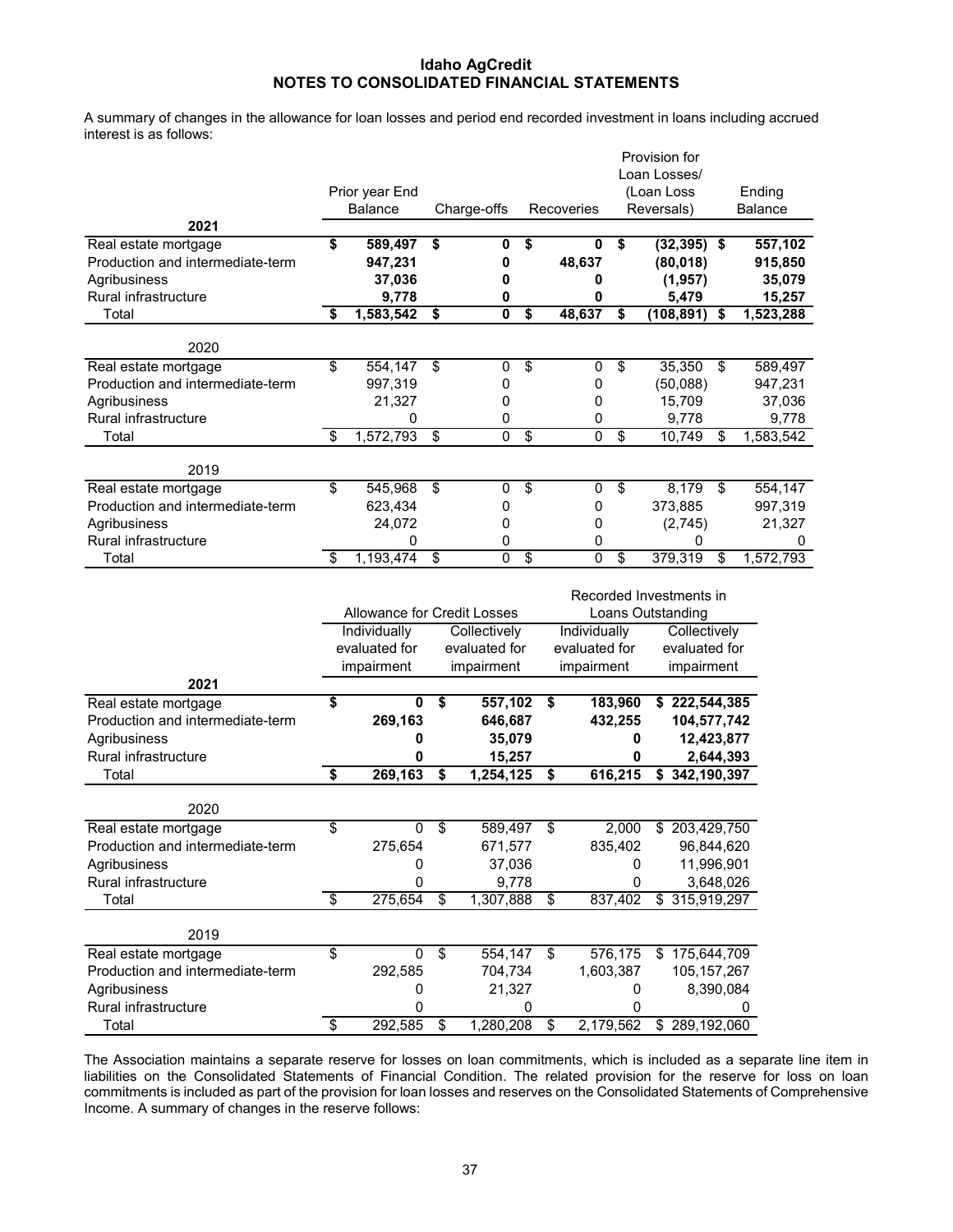A summary of changes in the allowance for loan losses and period end recorded investment in loans including accrued interest is as follows:

|                                  |                          |                             |                          |                     |                                      |                     |                 | Provision for             |                          |
|----------------------------------|--------------------------|-----------------------------|--------------------------|---------------------|--------------------------------------|---------------------|-----------------|---------------------------|--------------------------|
|                                  |                          |                             |                          |                     |                                      |                     |                 | Loan Losses/              |                          |
|                                  |                          | Prior year End              |                          |                     |                                      |                     |                 | (Loan Loss                | Ending                   |
| 2021                             |                          | <b>Balance</b>              |                          | Charge-offs         |                                      | Recoveries          |                 | Reversals)                | <b>Balance</b>           |
| Real estate mortgage             | \$                       | 589,497                     | \$                       | 0                   | \$                                   | 0                   | \$              | $(32, 395)$ \$            | 557,102                  |
| Production and intermediate-term |                          | 947,231                     |                          | 0                   |                                      | 48,637              |                 | (80, 018)                 | 915,850                  |
| Agribusiness                     |                          | 37,036                      |                          | 0                   |                                      | 0                   |                 | (1, 957)                  | 35,079                   |
| Rural infrastructure             |                          | 9,778                       |                          | 0                   |                                      | 0                   |                 | 5,479                     | 15,257                   |
| Total                            | \$                       | 1,583,542                   | \$                       | 0                   | $\overline{\boldsymbol{\mathsf{s}}}$ | 48,637              | \$              | (108, 891)                | \$<br>1,523,288          |
|                                  |                          |                             |                          |                     |                                      |                     |                 |                           |                          |
| 2020                             |                          |                             |                          |                     |                                      |                     |                 |                           |                          |
| Real estate mortgage             | \$                       | 554,147                     | \$                       | 0                   | \$                                   | 0                   | $\overline{\$}$ | 35,350                    | \$<br>589,497            |
| Production and intermediate-term |                          | 997,319                     |                          | 0                   |                                      | 0                   |                 | (50,088)                  | 947,231                  |
| Agribusiness                     |                          | 21,327                      |                          | 0                   |                                      | 0                   |                 | 15,709                    | 37,036                   |
| Rural infrastructure<br>Total    | \$                       | 0<br>1,572,793              | \$                       | 0<br>$\overline{0}$ | \$                                   | 0<br>$\overline{0}$ | $\overline{\$}$ | 9,778<br>10,749           | \$<br>9,778<br>1,583,542 |
|                                  |                          |                             |                          |                     |                                      |                     |                 |                           |                          |
| 2019                             |                          |                             |                          |                     |                                      |                     |                 |                           |                          |
| Real estate mortgage             | $\overline{\mathcal{E}}$ | 545,968                     | $\overline{\mathbf{e}}$  | 0                   | $\overline{\boldsymbol{\theta}}$     | $\mathbf 0$         | \$              | 8,179                     | \$<br>554,147            |
| Production and intermediate-term |                          | 623,434                     |                          | 0                   |                                      | 0                   |                 | 373,885                   | 997,319                  |
| Agribusiness                     |                          | 24,072                      |                          | 0                   |                                      | 0                   |                 | (2,745)                   | 21,327                   |
| Rural infrastructure             |                          | 0                           |                          | 0                   |                                      | 0                   |                 | 0                         | 0                        |
| Total                            | \$                       | 1,193,474                   | $\overline{\$}$          | 0                   | \$                                   | 0                   | \$              | 379,319                   | \$<br>1,572,793          |
|                                  |                          |                             |                          |                     |                                      |                     |                 | Recorded Investments in   |                          |
|                                  |                          | Allowance for Credit Losses |                          |                     |                                      |                     |                 | Loans Outstanding         |                          |
|                                  |                          | Individually                |                          | Collectively        |                                      | Individually        |                 | Collectively              |                          |
|                                  |                          | evaluated for               |                          | evaluated for       |                                      | evaluated for       |                 | evaluated for             |                          |
|                                  |                          | impairment                  |                          | impairment          |                                      | impairment          |                 | impairment                |                          |
| 2021                             |                          |                             |                          |                     |                                      |                     |                 |                           |                          |
| Real estate mortgage             | \$                       | 0                           | \$                       | 557,102             |                                      | \$                  | 183,960         | \$222,544,385             |                          |
| Production and intermediate-term |                          | 269,163                     |                          | 646,687             |                                      |                     | 432,255         | 104,577,742               |                          |
| Agribusiness                     |                          | 0                           |                          | 35,079              |                                      |                     | 0               | 12,423,877                |                          |
| Rural infrastructure             |                          | 0                           |                          | 15,257              |                                      |                     | 0               | 2,644,393                 |                          |
| Total                            | S                        | 269,163                     | \$                       | 1,254,125           |                                      | \$                  | 616,215         | \$342,190,397             |                          |
| 2020                             |                          |                             |                          |                     |                                      |                     |                 |                           |                          |
| Real estate mortgage             | \$                       | 0                           | $\overline{\$}$          | 589,497             |                                      | $\overline{\$}$     | 2,000           | $\sqrt{$}$ 203,429,750    |                          |
| Production and intermediate-term |                          | 275,654                     |                          | 671,577             |                                      |                     | 835,402         | 96,844,620                |                          |
| Agribusiness                     |                          | 0                           |                          | 37,036              |                                      |                     | 0               | 11,996,901                |                          |
| Rural infrastructure             |                          | 0                           |                          | 9,778               |                                      |                     | 0               | 3,648,026                 |                          |
| Total                            | $\overline{\mathcal{S}}$ | 275,654                     | $\overline{\mathcal{S}}$ | 1,307,888           |                                      | \$                  | 837,402         | $\overline{$}315,919,297$ |                          |
|                                  |                          |                             |                          |                     |                                      |                     |                 |                           |                          |
| 2019                             |                          |                             |                          |                     |                                      |                     |                 |                           |                          |
| Real estate mortgage             | \$                       | 0                           | \$                       | 554,147             |                                      | $\mathfrak s$       | 576,175         | \$175,644,709             |                          |
| Production and intermediate-term |                          | 292,585                     |                          | 704,734             |                                      |                     | 1,603,387       | 105, 157, 267             |                          |
| Agribusiness                     |                          | 0                           |                          | 21,327              |                                      |                     | 0               | 8,390,084                 |                          |
| Rural infrastructure             |                          | 0                           |                          |                     | 0                                    |                     | 0               |                           | 0                        |

The Association maintains a separate reserve for losses on loan commitments, which is included as a separate line item in liabilities on the Consolidated Statements of Financial Condition. The related provision for the reserve for loss on loan commitments is included as part of the provision for loan losses and reserves on the Consolidated Statements of Comprehensive Income. A summary of changes in the reserve follows:

Total \$ 292,585 \$ 1,280,208 \$ 2,179,562 \$ 289,192,060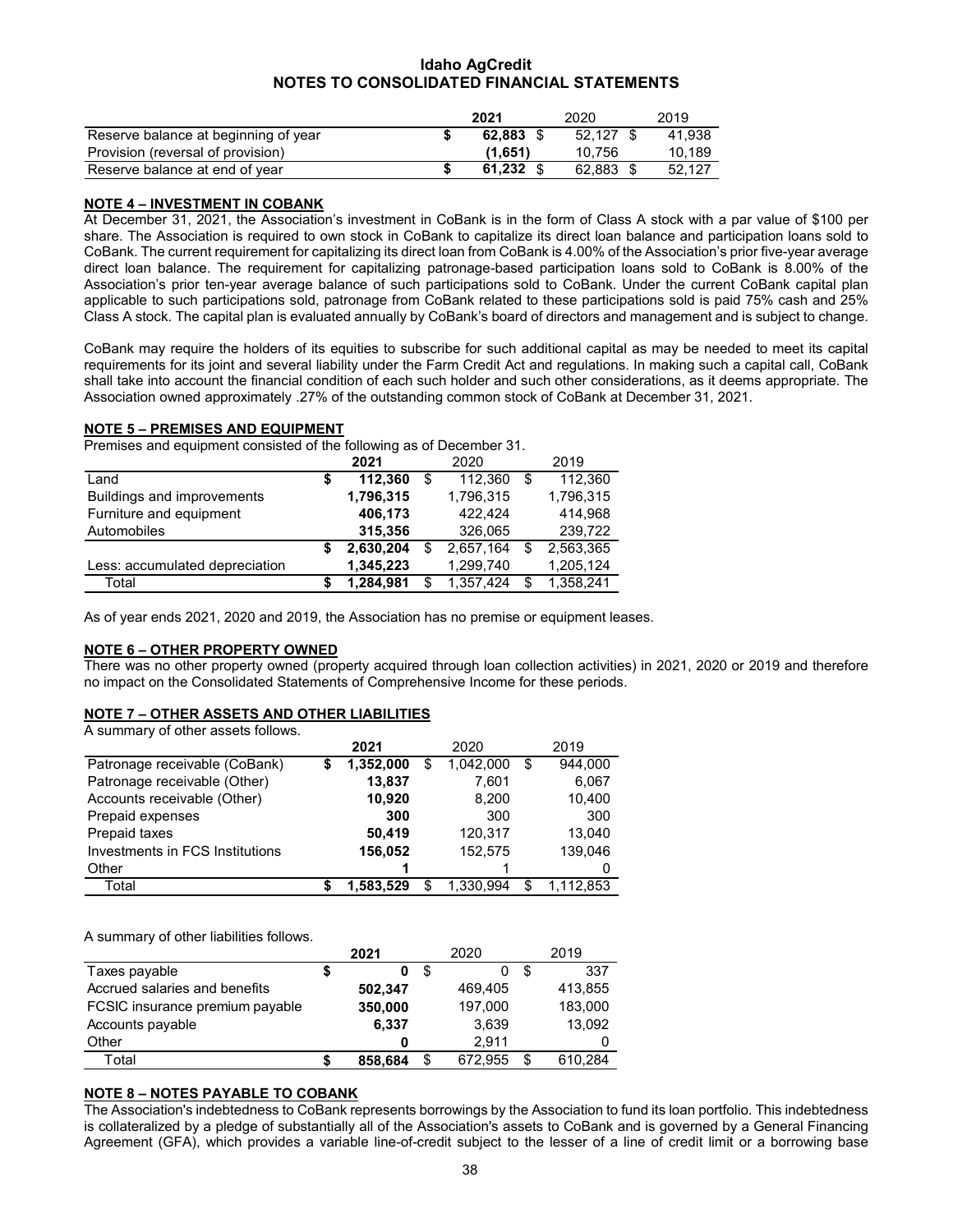|                                      | 2021        | 2020      | 2019   |
|--------------------------------------|-------------|-----------|--------|
| Reserve balance at beginning of year | 62.883 S    | 52.127 \$ | 41.938 |
| Provision (reversal of provision)    | (1.651)     | 10.756    | 10.189 |
| Reserve balance at end of year       | $61.232$ \$ | 62.883 \$ | 52.127 |

## **NOTE 4 – INVESTMENT IN COBANK**

At December 31, 2021, the Association's investment in CoBank is in the form of Class A stock with a par value of \$100 per share. The Association is required to own stock in CoBank to capitalize its direct loan balance and participation loans sold to CoBank. The current requirement for capitalizing its direct loan from CoBank is 4.00% of the Association's prior five-year average direct loan balance. The requirement for capitalizing patronage-based participation loans sold to CoBank is 8.00% of the Association's prior ten-year average balance of such participations sold to CoBank. Under the current CoBank capital plan applicable to such participations sold, patronage from CoBank related to these participations sold is paid 75% cash and 25% Class A stock. The capital plan is evaluated annually by CoBank's board of directors and management and is subject to change.

CoBank may require the holders of its equities to subscribe for such additional capital as may be needed to meet its capital requirements for its joint and several liability under the Farm Credit Act and regulations. In making such a capital call, CoBank shall take into account the financial condition of each such holder and such other considerations, as it deems appropriate. The Association owned approximately .27% of the outstanding common stock of CoBank at December 31, 2021.

## **NOTE 5 – PREMISES AND EQUIPMENT**

Premises and equipment consisted of the following as of December 31.

|                                |   | 2021      |    | 2020      |   | 2019      |
|--------------------------------|---|-----------|----|-----------|---|-----------|
| Land                           | S | 112,360   | \$ | 112,360   | S | 112,360   |
| Buildings and improvements     |   | 1,796,315 |    | 1,796,315 |   | 1,796,315 |
| Furniture and equipment        |   | 406,173   |    | 422.424   |   | 414.968   |
| Automobiles                    |   | 315,356   |    | 326,065   |   | 239,722   |
|                                | S | 2,630,204 |    | 2,657,164 |   | 2,563,365 |
| Less: accumulated depreciation |   | 1,345,223 |    | 1,299,740 |   | 1,205,124 |
| Total                          |   | 1,284,981 | S  | 1,357,424 | S | 1,358,241 |
|                                |   |           |    |           |   |           |

As of year ends 2021, 2020 and 2019, the Association has no premise or equipment leases.

## **NOTE 6 – OTHER PROPERTY OWNED**

There was no other property owned (property acquired through loan collection activities) in 2021, 2020 or 2019 and therefore no impact on the Consolidated Statements of Comprehensive Income for these periods.

## **NOTE 7 – OTHER ASSETS AND OTHER LIABILITIES**

A summary of other assets follows.

|                                 |   | 2021      | 2020 |           |    | 2019      |
|---------------------------------|---|-----------|------|-----------|----|-----------|
| Patronage receivable (CoBank)   | S | 1,352,000 | S    | 1,042,000 | S  | 944.000   |
| Patronage receivable (Other)    |   | 13,837    |      | 7,601     |    | 6,067     |
| Accounts receivable (Other)     |   | 10,920    |      | 8,200     |    | 10,400    |
| Prepaid expenses                |   | 300       |      | 300       |    | 300       |
| Prepaid taxes                   |   | 50,419    |      | 120,317   |    | 13,040    |
| Investments in FCS Institutions |   | 156,052   |      | 152,575   |    | 139,046   |
| Other                           |   |           |      |           |    |           |
| Total                           |   | 1,583,529 | \$   | 1.330.994 | \$ | 1.112.853 |

A summary of other liabilities follows.

|                                 | 2021    |    | 2020    | 2019    |
|---------------------------------|---------|----|---------|---------|
| Taxes payable                   | \$<br>0 | S  |         | 337     |
| Accrued salaries and benefits   | 502.347 |    | 469,405 | 413,855 |
| FCSIC insurance premium payable | 350,000 |    | 197.000 | 183,000 |
| Accounts payable                | 6.337   |    | 3.639   | 13,092  |
| Other                           |         |    | 2.911   | 0       |
| Total                           | 858,684 | \$ | 672.955 | 610.284 |

## **NOTE 8 – NOTES PAYABLE TO COBANK**

The Association's indebtedness to CoBank represents borrowings by the Association to fund its loan portfolio. This indebtedness is collateralized by a pledge of substantially all of the Association's assets to CoBank and is governed by a General Financing Agreement (GFA), which provides a variable line-of-credit subject to the lesser of a line of credit limit or a borrowing base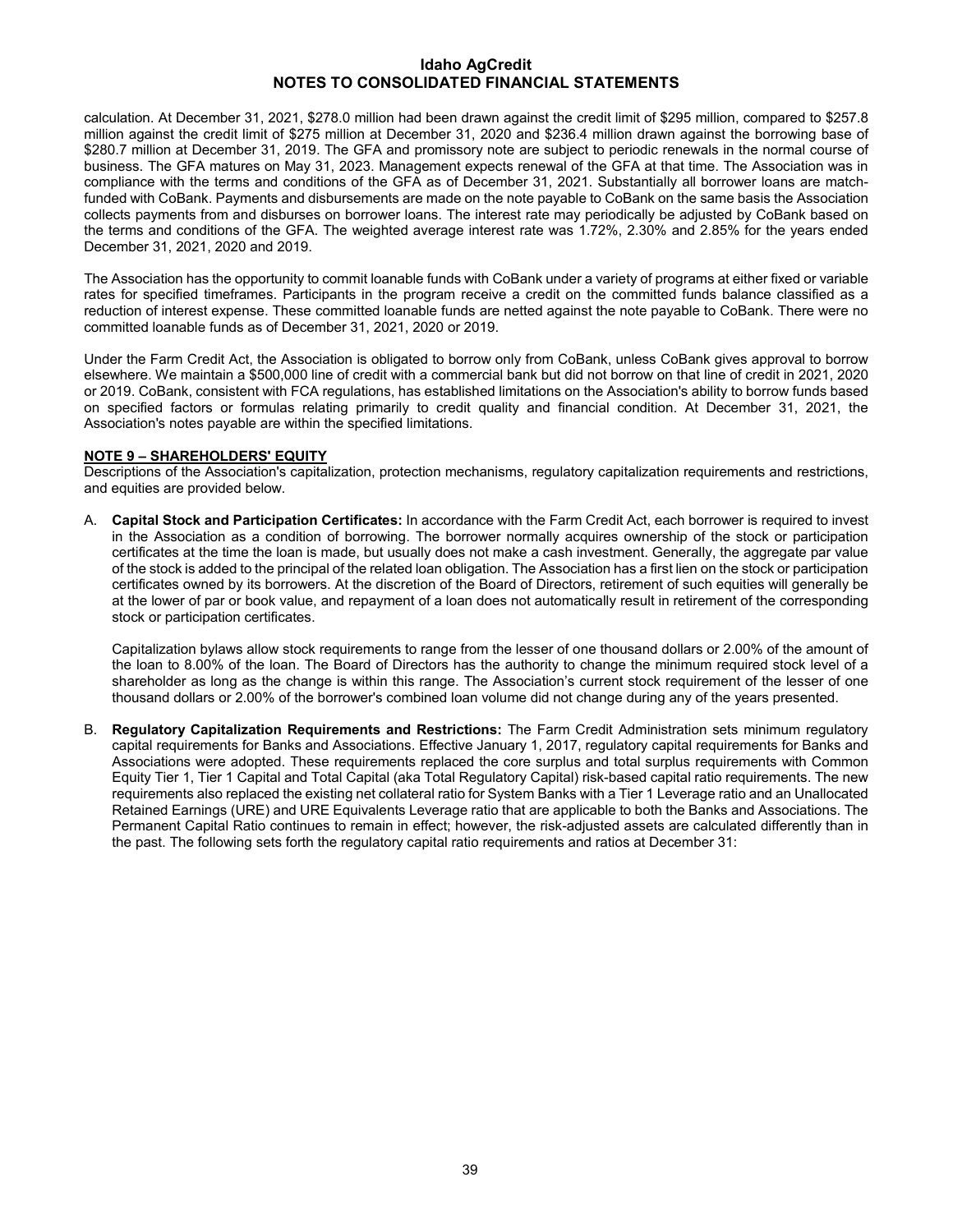calculation. At December 31, 2021, \$278.0 million had been drawn against the credit limit of \$295 million, compared to \$257.8 million against the credit limit of \$275 million at December 31, 2020 and \$236.4 million drawn against the borrowing base of \$280.7 million at December 31, 2019. The GFA and promissory note are subject to periodic renewals in the normal course of business. The GFA matures on May 31, 2023. Management expects renewal of the GFA at that time. The Association was in compliance with the terms and conditions of the GFA as of December 31, 2021. Substantially all borrower loans are matchfunded with CoBank. Payments and disbursements are made on the note payable to CoBank on the same basis the Association collects payments from and disburses on borrower loans. The interest rate may periodically be adjusted by CoBank based on the terms and conditions of the GFA. The weighted average interest rate was 1.72%, 2.30% and 2.85% for the years ended December 31, 2021, 2020 and 2019.

The Association has the opportunity to commit loanable funds with CoBank under a variety of programs at either fixed or variable rates for specified timeframes. Participants in the program receive a credit on the committed funds balance classified as a reduction of interest expense. These committed loanable funds are netted against the note payable to CoBank. There were no committed loanable funds as of December 31, 2021, 2020 or 2019.

Under the Farm Credit Act, the Association is obligated to borrow only from CoBank, unless CoBank gives approval to borrow elsewhere. We maintain a \$500,000 line of credit with a commercial bank but did not borrow on that line of credit in 2021, 2020 or 2019. CoBank, consistent with FCA regulations, has established limitations on the Association's ability to borrow funds based on specified factors or formulas relating primarily to credit quality and financial condition. At December 31, 2021, the Association's notes payable are within the specified limitations.

## **NOTE 9 – SHAREHOLDERS' EQUITY**

Descriptions of the Association's capitalization, protection mechanisms, regulatory capitalization requirements and restrictions, and equities are provided below.

A. **Capital Stock and Participation Certificates:** In accordance with the Farm Credit Act, each borrower is required to invest in the Association as a condition of borrowing. The borrower normally acquires ownership of the stock or participation certificates at the time the loan is made, but usually does not make a cash investment. Generally, the aggregate par value of the stock is added to the principal of the related loan obligation. The Association has a first lien on the stock or participation certificates owned by its borrowers. At the discretion of the Board of Directors, retirement of such equities will generally be at the lower of par or book value, and repayment of a loan does not automatically result in retirement of the corresponding stock or participation certificates.

Capitalization bylaws allow stock requirements to range from the lesser of one thousand dollars or 2.00% of the amount of the loan to 8.00% of the loan. The Board of Directors has the authority to change the minimum required stock level of a shareholder as long as the change is within this range. The Association's current stock requirement of the lesser of one thousand dollars or 2.00% of the borrower's combined loan volume did not change during any of the years presented.

B. **Regulatory Capitalization Requirements and Restrictions:** The Farm Credit Administration sets minimum regulatory capital requirements for Banks and Associations. Effective January 1, 2017, regulatory capital requirements for Banks and Associations were adopted. These requirements replaced the core surplus and total surplus requirements with Common Equity Tier 1, Tier 1 Capital and Total Capital (aka Total Regulatory Capital) risk-based capital ratio requirements. The new requirements also replaced the existing net collateral ratio for System Banks with a Tier 1 Leverage ratio and an Unallocated Retained Earnings (URE) and URE Equivalents Leverage ratio that are applicable to both the Banks and Associations. The Permanent Capital Ratio continues to remain in effect; however, the risk-adjusted assets are calculated differently than in the past. The following sets forth the regulatory capital ratio requirements and ratios at December 31: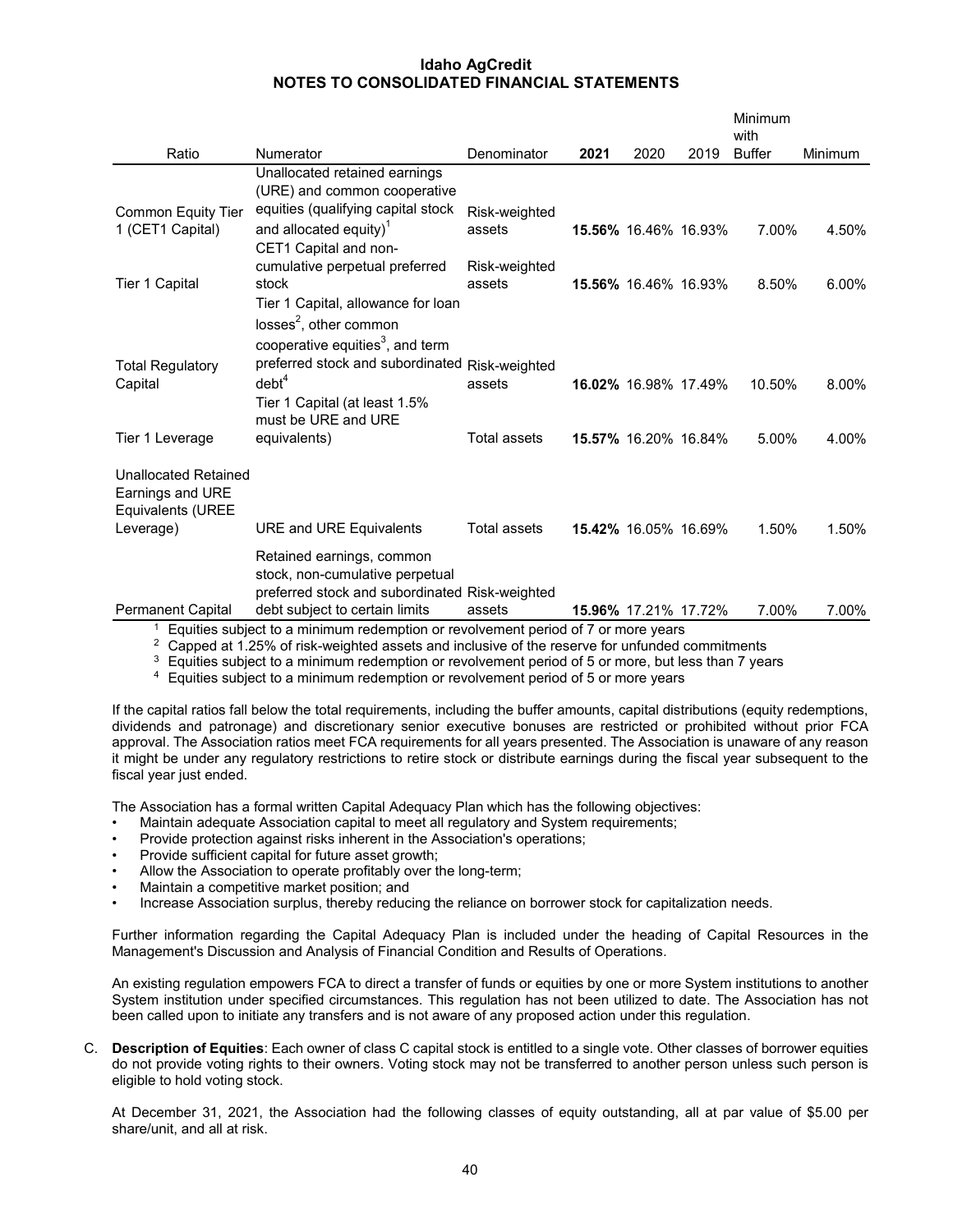|                                                                                   |                                                                                                                                                  |                         |      |                             |      | Minimum<br>with |                |
|-----------------------------------------------------------------------------------|--------------------------------------------------------------------------------------------------------------------------------------------------|-------------------------|------|-----------------------------|------|-----------------|----------------|
| Ratio                                                                             | Numerator                                                                                                                                        | Denominator             | 2021 | 2020                        | 2019 | <b>Buffer</b>   | <b>Minimum</b> |
| Common Equity Tier                                                                | Unallocated retained earnings<br>(URE) and common cooperative<br>equities (qualifying capital stock                                              | Risk-weighted           |      |                             |      |                 |                |
| 1 (CET1 Capital)                                                                  | and allocated equity) <sup>1</sup><br>CET1 Capital and non-<br>cumulative perpetual preferred                                                    | assets<br>Risk-weighted |      | 15.56% 16.46% 16.93%        |      | 7.00%           | 4.50%          |
| Tier 1 Capital                                                                    | stock<br>Tier 1 Capital, allowance for loan<br>losses <sup>2</sup> , other common<br>cooperative equities <sup>3</sup> , and term                | assets                  |      | <b>15.56%</b> 16.46% 16.93% |      | 8.50%           | 6.00%          |
| <b>Total Regulatory</b><br>Capital                                                | preferred stock and subordinated Risk-weighted<br>debt <sup>4</sup><br>Tier 1 Capital (at least 1.5%<br>must be URE and URE                      | assets                  |      | 16.02% 16.98% 17.49%        |      | 10.50%          | 8.00%          |
| Tier 1 Leverage                                                                   | equivalents)                                                                                                                                     | <b>Total assets</b>     |      | 15.57% 16.20% 16.84%        |      | 5.00%           | 4.00%          |
| <b>Unallocated Retained</b><br>Earnings and URE<br>Equivalents (UREE<br>Leverage) | <b>URE and URE Equivalents</b>                                                                                                                   | <b>Total assets</b>     |      | <b>15.42%</b> 16.05% 16.69% |      | 1.50%           | 1.50%          |
| <b>Permanent Capital</b>                                                          | Retained earnings, common<br>stock, non-cumulative perpetual<br>preferred stock and subordinated Risk-weighted<br>debt subject to certain limits | assets                  |      | 15.96% 17.21% 17.72%        |      | 7.00%           | 7.00%          |
| 1                                                                                 | Equities subject to a minimum redemption or revolvement period of 7 or more years                                                                |                         |      |                             |      |                 |                |

<sup>2</sup> Capped at 1.25% of risk-weighted assets and inclusive of the reserve for unfunded commitments

 $3$  Equities subject to a minimum redemption or revolvement period of 5 or more, but less than 7 years

<sup>4</sup> Equities subject to a minimum redemption or revolvement period of 5 or more years

If the capital ratios fall below the total requirements, including the buffer amounts, capital distributions (equity redemptions, dividends and patronage) and discretionary senior executive bonuses are restricted or prohibited without prior FCA approval. The Association ratios meet FCA requirements for all years presented. The Association is unaware of any reason it might be under any regulatory restrictions to retire stock or distribute earnings during the fiscal year subsequent to the fiscal year just ended.

The Association has a formal written Capital Adequacy Plan which has the following objectives:

- Maintain adequate Association capital to meet all regulatory and System requirements;
- Provide protection against risks inherent in the Association's operations;
- Provide sufficient capital for future asset growth;
- Allow the Association to operate profitably over the long-term;
- Maintain a competitive market position; and
- Increase Association surplus, thereby reducing the reliance on borrower stock for capitalization needs.

Further information regarding the Capital Adequacy Plan is included under the heading of Capital Resources in the Management's Discussion and Analysis of Financial Condition and Results of Operations.

An existing regulation empowers FCA to direct a transfer of funds or equities by one or more System institutions to another System institution under specified circumstances. This regulation has not been utilized to date. The Association has not been called upon to initiate any transfers and is not aware of any proposed action under this regulation.

C. **Description of Equities**: Each owner of class C capital stock is entitled to a single vote. Other classes of borrower equities do not provide voting rights to their owners. Voting stock may not be transferred to another person unless such person is eligible to hold voting stock.

At December 31, 2021, the Association had the following classes of equity outstanding, all at par value of \$5.00 per share/unit, and all at risk.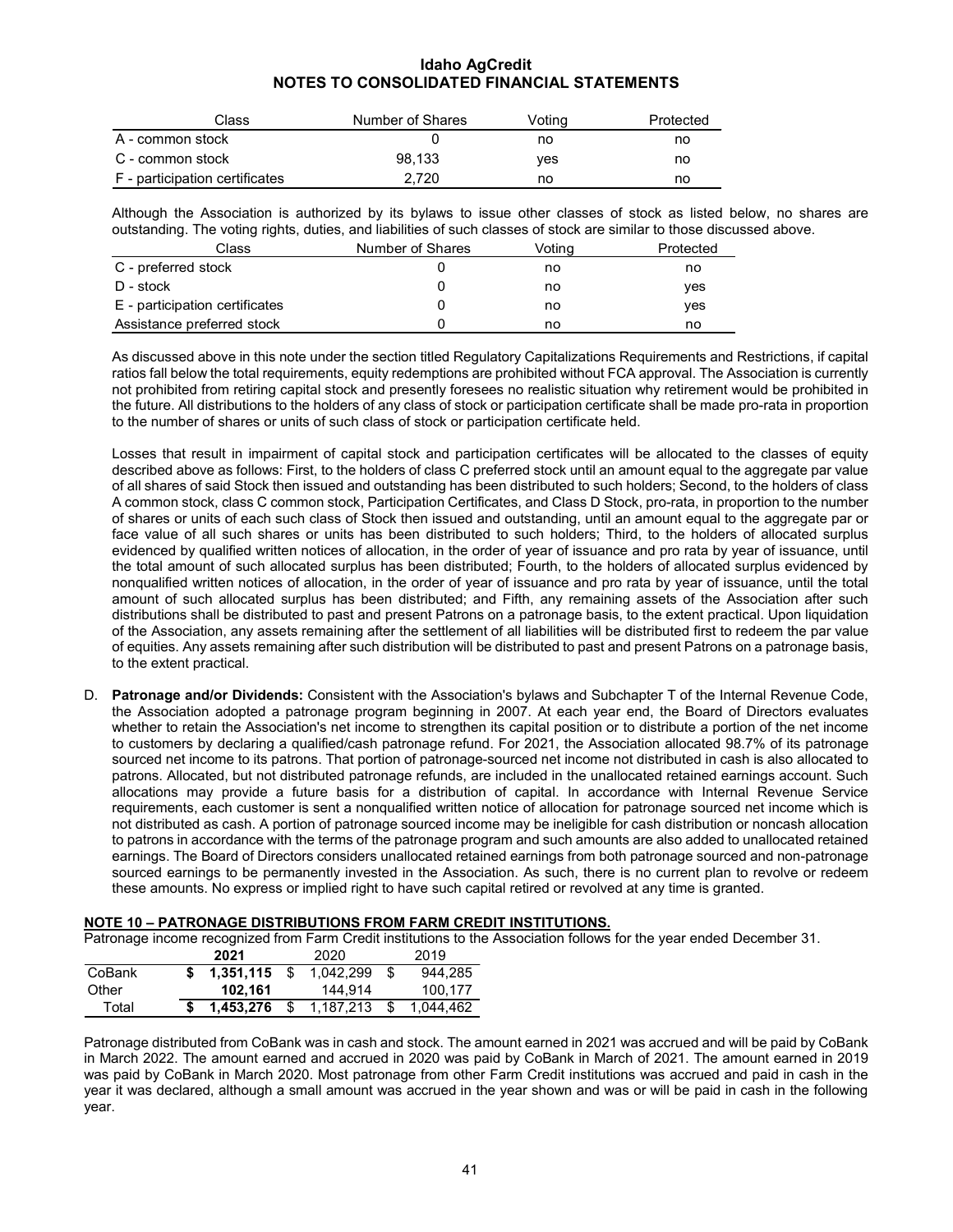| Class                          | Number of Shares | Voting | Protected |
|--------------------------------|------------------|--------|-----------|
| A - common stock               |                  | no     | no        |
| C - common stock               | 98.133           | ves    | no        |
| F - participation certificates | 2.720            | no     | no        |

Although the Association is authorized by its bylaws to issue other classes of stock as listed below, no shares are outstanding. The voting rights, duties, and liabilities of such classes of stock are similar to those discussed above.

| Class                          | Number of Shares | Votina | Protected |
|--------------------------------|------------------|--------|-----------|
| C - preferred stock            |                  | no     | no        |
| D - stock                      |                  | no     | ves       |
| E - participation certificates |                  | no     | ves       |
| Assistance preferred stock     |                  | no     | no        |

As discussed above in this note under the section titled Regulatory Capitalizations Requirements and Restrictions, if capital ratios fall below the total requirements, equity redemptions are prohibited without FCA approval. The Association is currently not prohibited from retiring capital stock and presently foresees no realistic situation why retirement would be prohibited in the future. All distributions to the holders of any class of stock or participation certificate shall be made pro-rata in proportion to the number of shares or units of such class of stock or participation certificate held.

Losses that result in impairment of capital stock and participation certificates will be allocated to the classes of equity described above as follows: First, to the holders of class C preferred stock until an amount equal to the aggregate par value of all shares of said Stock then issued and outstanding has been distributed to such holders; Second, to the holders of class A common stock, class C common stock, Participation Certificates, and Class D Stock, pro-rata, in proportion to the number of shares or units of each such class of Stock then issued and outstanding, until an amount equal to the aggregate par or face value of all such shares or units has been distributed to such holders; Third, to the holders of allocated surplus evidenced by qualified written notices of allocation, in the order of year of issuance and pro rata by year of issuance, until the total amount of such allocated surplus has been distributed; Fourth, to the holders of allocated surplus evidenced by nonqualified written notices of allocation, in the order of year of issuance and pro rata by year of issuance, until the total amount of such allocated surplus has been distributed; and Fifth, any remaining assets of the Association after such distributions shall be distributed to past and present Patrons on a patronage basis, to the extent practical. Upon liquidation of the Association, any assets remaining after the settlement of all liabilities will be distributed first to redeem the par value of equities. Any assets remaining after such distribution will be distributed to past and present Patrons on a patronage basis, to the extent practical.

D. **Patronage and/or Dividends:** Consistent with the Association's bylaws and Subchapter T of the Internal Revenue Code, the Association adopted a patronage program beginning in 2007. At each year end, the Board of Directors evaluates whether to retain the Association's net income to strengthen its capital position or to distribute a portion of the net income to customers by declaring a qualified/cash patronage refund. For 2021, the Association allocated 98.7% of its patronage sourced net income to its patrons. That portion of patronage-sourced net income not distributed in cash is also allocated to patrons. Allocated, but not distributed patronage refunds, are included in the unallocated retained earnings account. Such allocations may provide a future basis for a distribution of capital. In accordance with Internal Revenue Service requirements, each customer is sent a nonqualified written notice of allocation for patronage sourced net income which is not distributed as cash. A portion of patronage sourced income may be ineligible for cash distribution or noncash allocation to patrons in accordance with the terms of the patronage program and such amounts are also added to unallocated retained earnings. The Board of Directors considers unallocated retained earnings from both patronage sourced and non-patronage sourced earnings to be permanently invested in the Association. As such, there is no current plan to revolve or redeem these amounts. No express or implied right to have such capital retired or revolved at any time is granted.

#### **NOTE 10 – PATRONAGE DISTRIBUTIONS FROM FARM CREDIT INSTITUTIONS.**

Patronage income recognized from Farm Credit institutions to the Association follows for the year ended December 31.

| . adonago moonio roodgmada nom r anni oroan moutanono to un |  |           |     |           |  |           |  |  |  |  |
|-------------------------------------------------------------|--|-----------|-----|-----------|--|-----------|--|--|--|--|
|                                                             |  | 2021      |     | 2020      |  | 2019      |  |  |  |  |
| CoBank                                                      |  | 1.351.115 | \$. | 1.042.299 |  | 944.285   |  |  |  |  |
| Other                                                       |  | 102.161   |     | 144.914   |  | 100.177   |  |  |  |  |
| Total                                                       |  | 1.453.276 |     | 1,187,213 |  | 1.044.462 |  |  |  |  |
|                                                             |  |           |     |           |  |           |  |  |  |  |

Patronage distributed from CoBank was in cash and stock. The amount earned in 2021 was accrued and will be paid by CoBank in March 2022. The amount earned and accrued in 2020 was paid by CoBank in March of 2021. The amount earned in 2019 was paid by CoBank in March 2020. Most patronage from other Farm Credit institutions was accrued and paid in cash in the year it was declared, although a small amount was accrued in the year shown and was or will be paid in cash in the following year.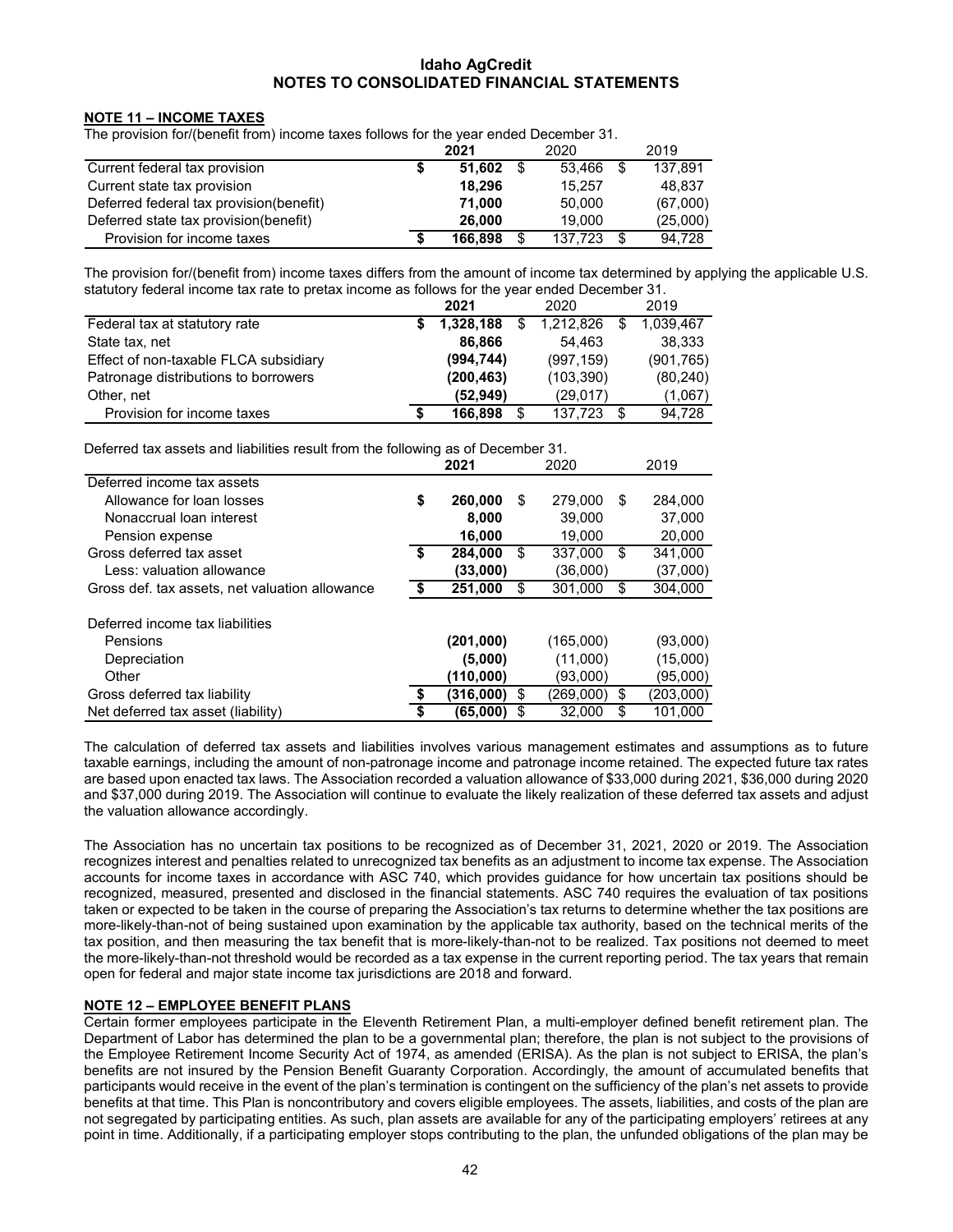## **NOTE 11 – INCOME TAXES**

The provision for/(benefit from) income taxes follows for the year ended December 31.

|                                          | 2021    |      | 2020    |      | 2019     |
|------------------------------------------|---------|------|---------|------|----------|
| Current federal tax provision            | 51.602  | - \$ | 53.466  | -\$  | 137.891  |
| Current state tax provision              | 18.296  |      | 15.257  |      | 48,837   |
| Deferred federal tax provision (benefit) | 71.000  |      | 50.000  |      | (67,000) |
| Deferred state tax provision(benefit)    | 26,000  |      | 19.000  |      | (25,000) |
| Provision for income taxes               | 166.898 | \$   | 137.723 | - \$ | 94.728   |

The provision for/(benefit from) income taxes differs from the amount of income tax determined by applying the applicable U.S. statutory federal income tax rate to pretax income as follows for the year ended December 31.

|                                       | 2021       | 2020          |   | 2019       |
|---------------------------------------|------------|---------------|---|------------|
| Federal tax at statutory rate         | 1,328,188  | 1,212,826     |   | 1,039,467  |
| State tax, net                        | 86,866     | 54.463        |   | 38,333     |
| Effect of non-taxable FLCA subsidiary | (994, 744) | (997, 159)    |   | (901, 765) |
| Patronage distributions to borrowers  | (200, 463) | (103, 390)    |   | (80, 240)  |
| Other, net                            | (52, 949)  | (29,017)      |   | (1,067)    |
| Provision for income taxes            | 166,898    | \$<br>137.723 | S | 94,728     |

Deferred tax assets and liabilities result from the following as of December 31.

|                                                | 2021<br>2020  |    |           | 2019            |  |  |
|------------------------------------------------|---------------|----|-----------|-----------------|--|--|
| Deferred income tax assets                     |               |    |           |                 |  |  |
| Allowance for loan losses                      | \$<br>260,000 | \$ | 279,000   | \$<br>284.000   |  |  |
| Nonaccrual loan interest                       | 8,000         |    | 39,000    | 37,000          |  |  |
| Pension expense                                | 16,000        |    | 19,000    | 20,000          |  |  |
| Gross deferred tax asset                       | \$<br>284,000 | \$ | 337,000   | \$<br>341,000   |  |  |
| Less: valuation allowance                      | (33,000)      |    | (36,000)  | (37,000)        |  |  |
| Gross def. tax assets, net valuation allowance | \$<br>251,000 | \$ | 301,000   | \$<br>304,000   |  |  |
| Deferred income tax liabilities                |               |    |           |                 |  |  |
| Pensions                                       | (201,000)     |    | (165,000) | (93,000)        |  |  |
| Depreciation                                   | (5,000)       |    | (11,000)  | (15,000)        |  |  |
| Other                                          | (110,000)     |    | (93,000)  | (95,000)        |  |  |
| Gross deferred tax liability                   | (316,000)     | \$ | (269,000) | \$<br>(203,000) |  |  |
| Net deferred tax asset (liability)             | (65,000)      | S  | 32,000    | \$<br>101,000   |  |  |

The calculation of deferred tax assets and liabilities involves various management estimates and assumptions as to future taxable earnings, including the amount of non-patronage income and patronage income retained. The expected future tax rates are based upon enacted tax laws. The Association recorded a valuation allowance of \$33,000 during 2021, \$36,000 during 2020 and \$37,000 during 2019. The Association will continue to evaluate the likely realization of these deferred tax assets and adjust the valuation allowance accordingly.

The Association has no uncertain tax positions to be recognized as of December 31, 2021, 2020 or 2019. The Association recognizes interest and penalties related to unrecognized tax benefits as an adjustment to income tax expense. The Association accounts for income taxes in accordance with ASC 740, which provides guidance for how uncertain tax positions should be recognized, measured, presented and disclosed in the financial statements. ASC 740 requires the evaluation of tax positions taken or expected to be taken in the course of preparing the Association's tax returns to determine whether the tax positions are more-likely-than-not of being sustained upon examination by the applicable tax authority, based on the technical merits of the tax position, and then measuring the tax benefit that is more-likely-than-not to be realized. Tax positions not deemed to meet the more-likely-than-not threshold would be recorded as a tax expense in the current reporting period. The tax years that remain open for federal and major state income tax jurisdictions are 2018 and forward.

## **NOTE 12 – EMPLOYEE BENEFIT PLANS**

Certain former employees participate in the Eleventh Retirement Plan, a multi-employer defined benefit retirement plan. The Department of Labor has determined the plan to be a governmental plan; therefore, the plan is not subject to the provisions of the Employee Retirement Income Security Act of 1974, as amended (ERISA). As the plan is not subject to ERISA, the plan's benefits are not insured by the Pension Benefit Guaranty Corporation. Accordingly, the amount of accumulated benefits that participants would receive in the event of the plan's termination is contingent on the sufficiency of the plan's net assets to provide benefits at that time. This Plan is noncontributory and covers eligible employees. The assets, liabilities, and costs of the plan are not segregated by participating entities. As such, plan assets are available for any of the participating employers' retirees at any point in time. Additionally, if a participating employer stops contributing to the plan, the unfunded obligations of the plan may be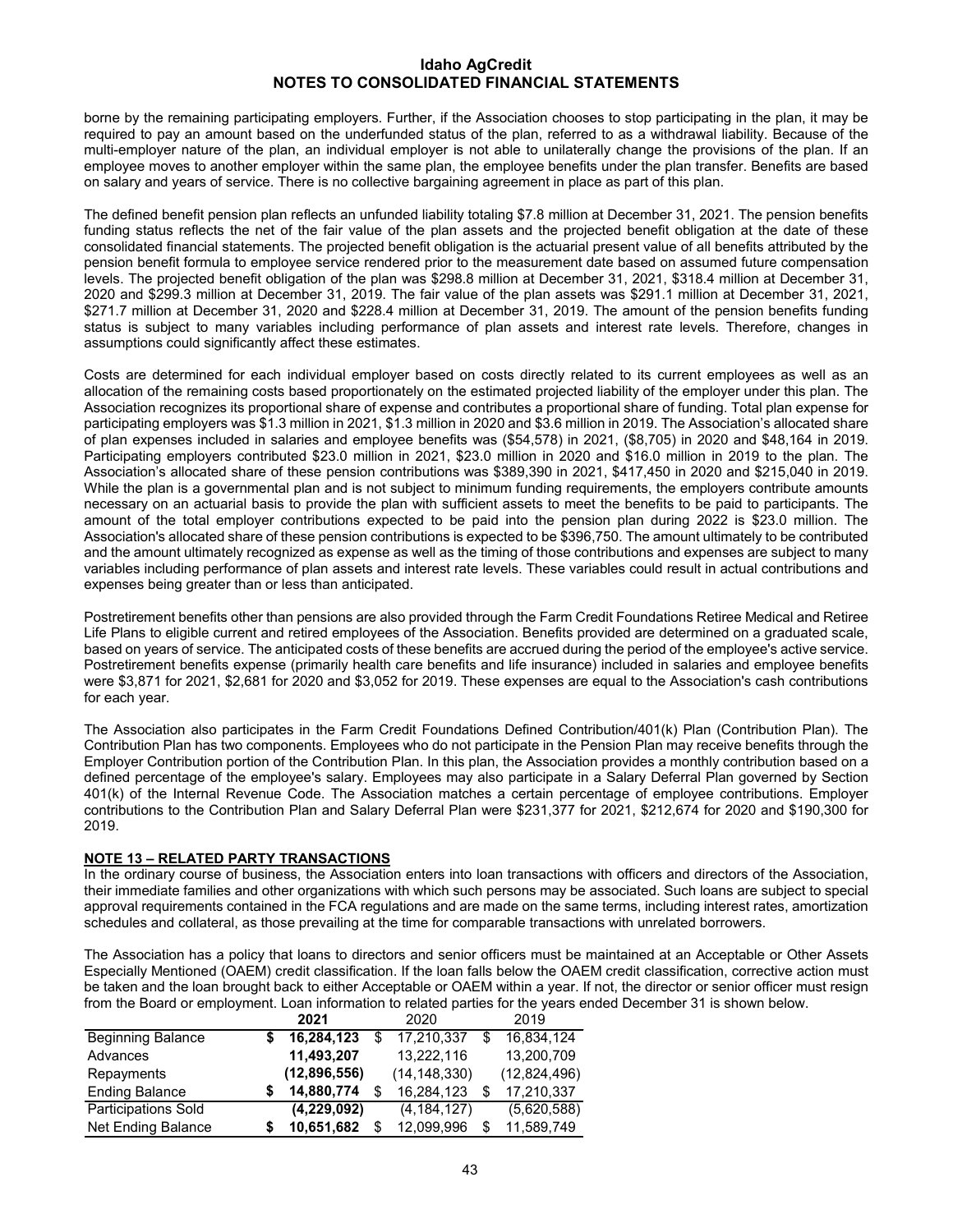borne by the remaining participating employers. Further, if the Association chooses to stop participating in the plan, it may be required to pay an amount based on the underfunded status of the plan, referred to as a withdrawal liability. Because of the multi-employer nature of the plan, an individual employer is not able to unilaterally change the provisions of the plan. If an employee moves to another employer within the same plan, the employee benefits under the plan transfer. Benefits are based on salary and years of service. There is no collective bargaining agreement in place as part of this plan.

The defined benefit pension plan reflects an unfunded liability totaling \$7.8 million at December 31, 2021. The pension benefits funding status reflects the net of the fair value of the plan assets and the projected benefit obligation at the date of these consolidated financial statements. The projected benefit obligation is the actuarial present value of all benefits attributed by the pension benefit formula to employee service rendered prior to the measurement date based on assumed future compensation levels. The projected benefit obligation of the plan was \$298.8 million at December 31, 2021, \$318.4 million at December 31, 2020 and \$299.3 million at December 31, 2019. The fair value of the plan assets was \$291.1 million at December 31, 2021, \$271.7 million at December 31, 2020 and \$228.4 million at December 31, 2019. The amount of the pension benefits funding status is subject to many variables including performance of plan assets and interest rate levels. Therefore, changes in assumptions could significantly affect these estimates.

Costs are determined for each individual employer based on costs directly related to its current employees as well as an allocation of the remaining costs based proportionately on the estimated projected liability of the employer under this plan. The Association recognizes its proportional share of expense and contributes a proportional share of funding. Total plan expense for participating employers was \$1.3 million in 2021, \$1.3 million in 2020 and \$3.6 million in 2019. The Association's allocated share of plan expenses included in salaries and employee benefits was (\$54,578) in 2021, (\$8,705) in 2020 and \$48,164 in 2019. Participating employers contributed \$23.0 million in 2021, \$23.0 million in 2020 and \$16.0 million in 2019 to the plan. The Association's allocated share of these pension contributions was \$389,390 in 2021, \$417,450 in 2020 and \$215,040 in 2019. While the plan is a governmental plan and is not subject to minimum funding requirements, the employers contribute amounts necessary on an actuarial basis to provide the plan with sufficient assets to meet the benefits to be paid to participants. The amount of the total employer contributions expected to be paid into the pension plan during 2022 is \$23.0 million. The Association's allocated share of these pension contributions is expected to be \$396,750. The amount ultimately to be contributed and the amount ultimately recognized as expense as well as the timing of those contributions and expenses are subject to many variables including performance of plan assets and interest rate levels. These variables could result in actual contributions and expenses being greater than or less than anticipated.

Postretirement benefits other than pensions are also provided through the Farm Credit Foundations Retiree Medical and Retiree Life Plans to eligible current and retired employees of the Association. Benefits provided are determined on a graduated scale, based on years of service. The anticipated costs of these benefits are accrued during the period of the employee's active service. Postretirement benefits expense (primarily health care benefits and life insurance) included in salaries and employee benefits were \$3,871 for 2021, \$2,681 for 2020 and \$3,052 for 2019. These expenses are equal to the Association's cash contributions for each year.

The Association also participates in the Farm Credit Foundations Defined Contribution/401(k) Plan (Contribution Plan). The Contribution Plan has two components. Employees who do not participate in the Pension Plan may receive benefits through the Employer Contribution portion of the Contribution Plan. In this plan, the Association provides a monthly contribution based on a defined percentage of the employee's salary. Employees may also participate in a Salary Deferral Plan governed by Section 401(k) of the Internal Revenue Code. The Association matches a certain percentage of employee contributions. Employer contributions to the Contribution Plan and Salary Deferral Plan were \$231,377 for 2021, \$212,674 for 2020 and \$190,300 for 2019.

## **NOTE 13 – RELATED PARTY TRANSACTIONS**

In the ordinary course of business, the Association enters into loan transactions with officers and directors of the Association, their immediate families and other organizations with which such persons may be associated. Such loans are subject to special approval requirements contained in the FCA regulations and are made on the same terms, including interest rates, amortization schedules and collateral, as those prevailing at the time for comparable transactions with unrelated borrowers.

The Association has a policy that loans to directors and senior officers must be maintained at an Acceptable or Other Assets Especially Mentioned (OAEM) credit classification. If the loan falls below the OAEM credit classification, corrective action must be taken and the loan brought back to either Acceptable or OAEM within a year. If not, the director or senior officer must resign from the Board or employment. Loan information to related parties for the years ended December 31 is shown below.

|                            | 2021         | 2020           |   | 2019         |
|----------------------------|--------------|----------------|---|--------------|
| <b>Beginning Balance</b>   | 16,284,123   | 17,210,337     | S | 16,834,124   |
| Advances                   | 11,493,207   | 13,222,116     |   | 13,200,709   |
| Repayments                 | (12,896,556) | (14, 148, 330) |   | (12,824,496) |
| <b>Ending Balance</b>      | 14,880,774   | 16,284,123     |   | 17,210,337   |
| <b>Participations Sold</b> | (4,229,092)  | (4, 184, 127)  |   | (5,620,588)  |
| Net Ending Balance         | 10,651,682   | 12.099.996     | S | 11,589,749   |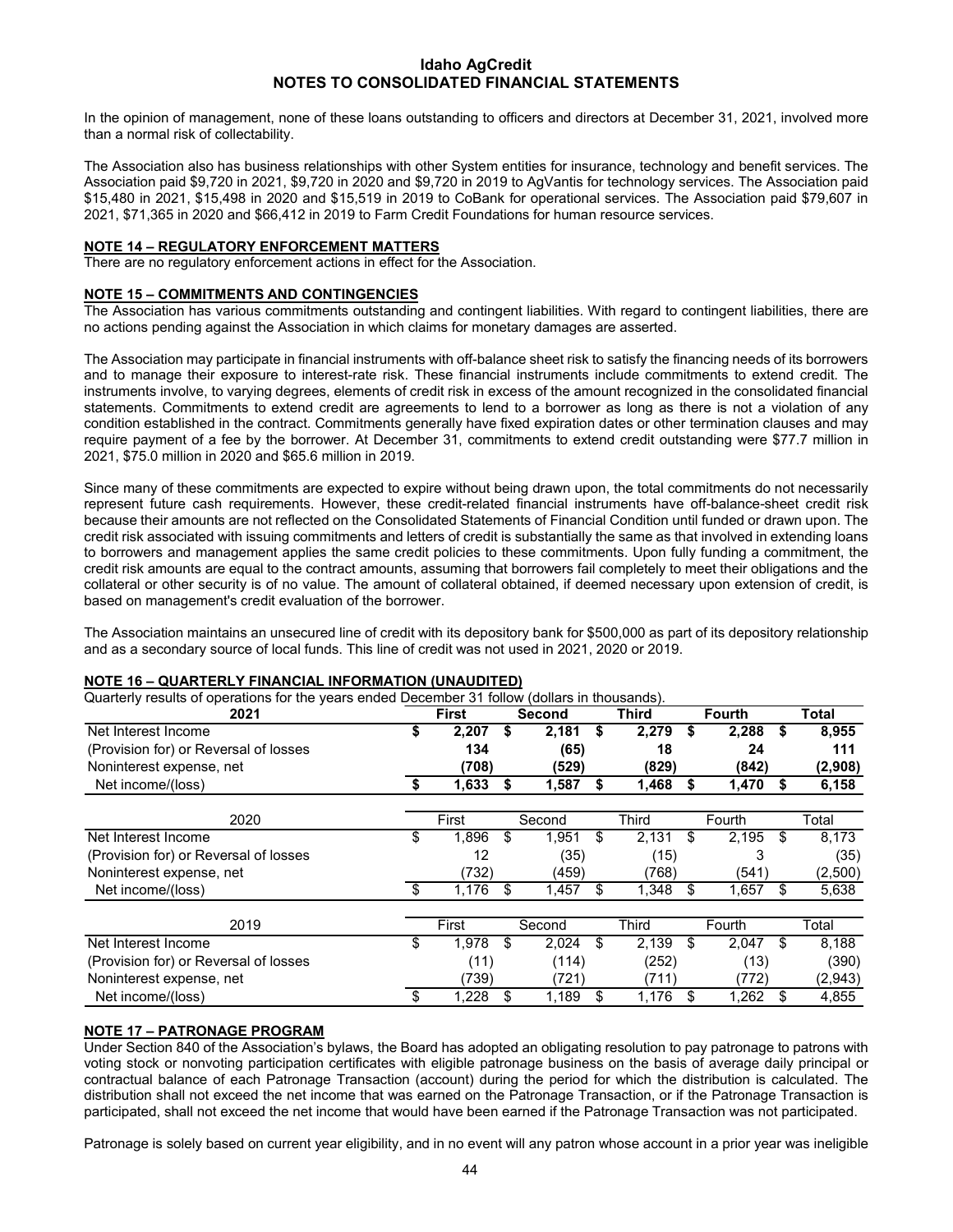In the opinion of management, none of these loans outstanding to officers and directors at December 31, 2021, involved more than a normal risk of collectability.

The Association also has business relationships with other System entities for insurance, technology and benefit services. The Association paid \$9,720 in 2021, \$9,720 in 2020 and \$9,720 in 2019 to AgVantis for technology services. The Association paid \$15,480 in 2021, \$15,498 in 2020 and \$15,519 in 2019 to CoBank for operational services. The Association paid \$79,607 in 2021, \$71,365 in 2020 and \$66,412 in 2019 to Farm Credit Foundations for human resource services.

## **NOTE 14 – REGULATORY ENFORCEMENT MATTERS**

There are no regulatory enforcement actions in effect for the Association.

#### **NOTE 15 – COMMITMENTS AND CONTINGENCIES**

The Association has various commitments outstanding and contingent liabilities. With regard to contingent liabilities, there are no actions pending against the Association in which claims for monetary damages are asserted.

The Association may participate in financial instruments with off-balance sheet risk to satisfy the financing needs of its borrowers and to manage their exposure to interest-rate risk. These financial instruments include commitments to extend credit. The instruments involve, to varying degrees, elements of credit risk in excess of the amount recognized in the consolidated financial statements. Commitments to extend credit are agreements to lend to a borrower as long as there is not a violation of any condition established in the contract. Commitments generally have fixed expiration dates or other termination clauses and may require payment of a fee by the borrower. At December 31, commitments to extend credit outstanding were \$77.7 million in 2021, \$75.0 million in 2020 and \$65.6 million in 2019.

Since many of these commitments are expected to expire without being drawn upon, the total commitments do not necessarily represent future cash requirements. However, these credit-related financial instruments have off-balance-sheet credit risk because their amounts are not reflected on the Consolidated Statements of Financial Condition until funded or drawn upon. The credit risk associated with issuing commitments and letters of credit is substantially the same as that involved in extending loans to borrowers and management applies the same credit policies to these commitments. Upon fully funding a commitment, the credit risk amounts are equal to the contract amounts, assuming that borrowers fail completely to meet their obligations and the collateral or other security is of no value. The amount of collateral obtained, if deemed necessary upon extension of credit, is based on management's credit evaluation of the borrower.

The Association maintains an unsecured line of credit with its depository bank for \$500,000 as part of its depository relationship and as a secondary source of local funds. This line of credit was not used in 2021, 2020 or 2019.

#### **NOTE 16 – QUARTERLY FINANCIAL INFORMATION (UNAUDITED)**

Quarterly results of operations for the years ended December 31 follow (dollars in thousands).

| gaartony roodito of oporations for the years chaca Becomber of Tonom<br>2021 |      | <b>First</b> |    | $\alpha$ onaro in the abandon.<br><b>Second</b> |    | Third        |    | <b>Fourth</b> |    | Total    |
|------------------------------------------------------------------------------|------|--------------|----|-------------------------------------------------|----|--------------|----|---------------|----|----------|
| Net Interest Income                                                          |      | 2,207        | S  | 2,181                                           | S  | 2,279        | S  | 2,288         | \$ | 8,955    |
| (Provision for) or Reversal of losses                                        |      | 134          |    | (65)                                            |    | 18           |    | 24            |    | 111      |
| Noninterest expense, net                                                     |      | (708)        |    | (529)                                           |    | (829)        |    | (842)         |    | (2,908)  |
| Net income/(loss)                                                            | - 56 | 1,633        | S  | 1,587                                           | S  | 1,468        |    | 1,470         | S  | 6,158    |
| 2020                                                                         |      | First        |    | Second                                          |    | <b>Third</b> |    | Fourth        |    | Total    |
| Net Interest Income                                                          | \$   | 1,896        | \$ | 1,951                                           | \$ | 2,131        | \$ | 2,195         | \$ | 8,173    |
| (Provision for) or Reversal of losses                                        |      | 12           |    | (35)                                            |    | (15)         |    | 3             |    | (35)     |
| Noninterest expense, net                                                     |      | (732)        |    | (459)                                           |    | (768)        |    | (541)         |    | (2,500)  |
| Net income/(loss)                                                            | \$   | 1,176        | \$ | 1,457                                           | \$ | 1,348        |    | 1,657         |    | 5,638    |
| 2019                                                                         |      | First        |    | Second                                          |    | Third        |    | Fourth        |    | Total    |
| Net Interest Income                                                          | \$   | 1.978        | \$ | 2.024                                           | \$ | 2.139        |    | 2,047         |    | 8,188    |
| (Provision for) or Reversal of losses                                        |      | (11)         |    | (114)                                           |    | (252)        |    | (13)          |    | (390)    |
| Noninterest expense, net                                                     |      | (739)        |    | (721)                                           |    | (711)        |    | (772)         |    | (2, 943) |
| Net income/(loss)                                                            |      | 1,228        | \$ | 1,189                                           | \$ | 1,176        |    | 1,262         |    | 4,855    |

## **NOTE 17 – PATRONAGE PROGRAM**

Under Section 840 of the Association's bylaws, the Board has adopted an obligating resolution to pay patronage to patrons with voting stock or nonvoting participation certificates with eligible patronage business on the basis of average daily principal or contractual balance of each Patronage Transaction (account) during the period for which the distribution is calculated. The distribution shall not exceed the net income that was earned on the Patronage Transaction, or if the Patronage Transaction is participated, shall not exceed the net income that would have been earned if the Patronage Transaction was not participated.

Patronage is solely based on current year eligibility, and in no event will any patron whose account in a prior year was ineligible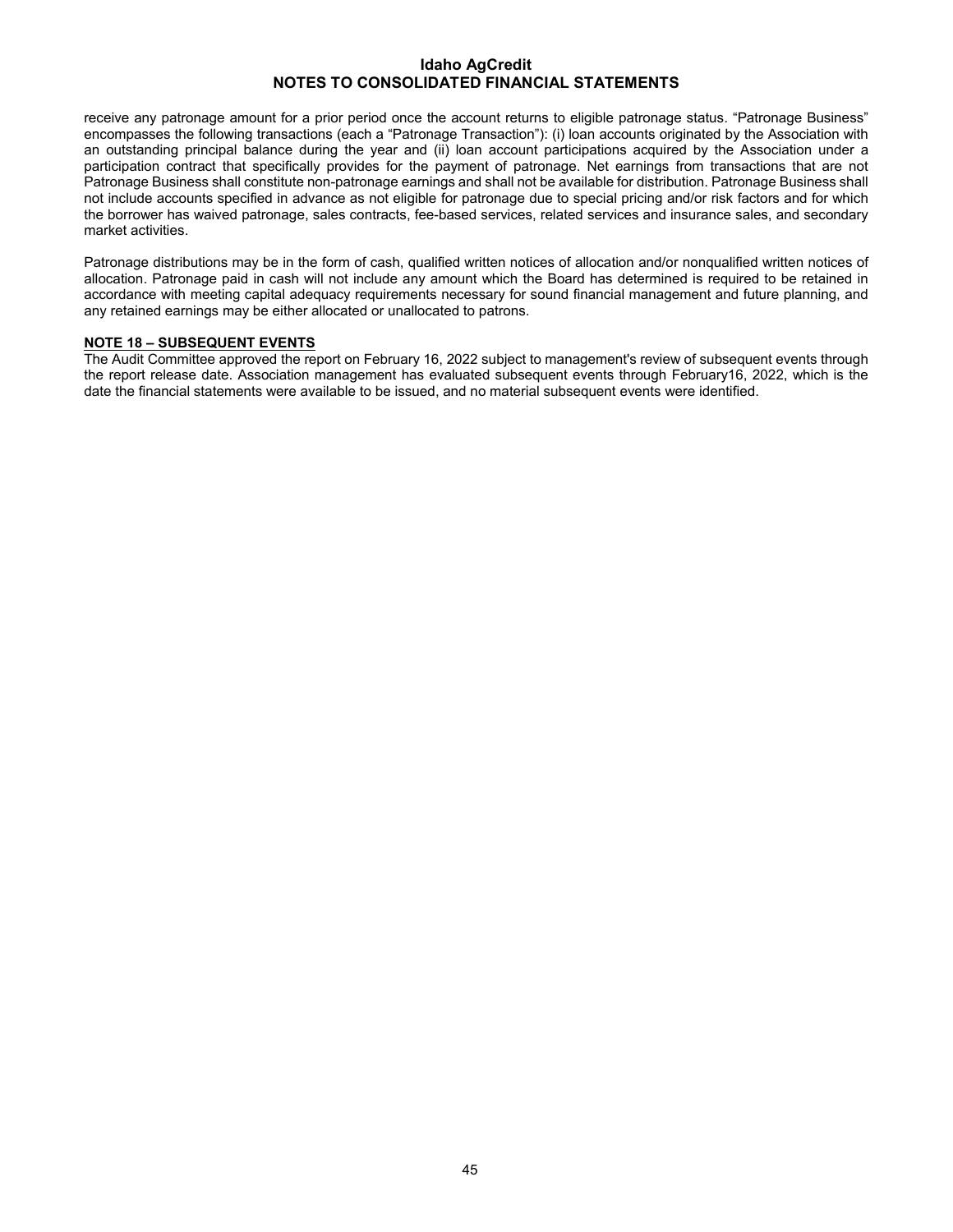receive any patronage amount for a prior period once the account returns to eligible patronage status. "Patronage Business" encompasses the following transactions (each a "Patronage Transaction"): (i) loan accounts originated by the Association with an outstanding principal balance during the year and (ii) loan account participations acquired by the Association under a participation contract that specifically provides for the payment of patronage. Net earnings from transactions that are not Patronage Business shall constitute non-patronage earnings and shall not be available for distribution. Patronage Business shall not include accounts specified in advance as not eligible for patronage due to special pricing and/or risk factors and for which the borrower has waived patronage, sales contracts, fee-based services, related services and insurance sales, and secondary market activities.

Patronage distributions may be in the form of cash, qualified written notices of allocation and/or nonqualified written notices of allocation. Patronage paid in cash will not include any amount which the Board has determined is required to be retained in accordance with meeting capital adequacy requirements necessary for sound financial management and future planning, and any retained earnings may be either allocated or unallocated to patrons.

## **NOTE 18 – SUBSEQUENT EVENTS**

The Audit Committee approved the report on February 16, 2022 subject to management's review of subsequent events through the report release date. Association management has evaluated subsequent events through February16, 2022, which is the date the financial statements were available to be issued, and no material subsequent events were identified.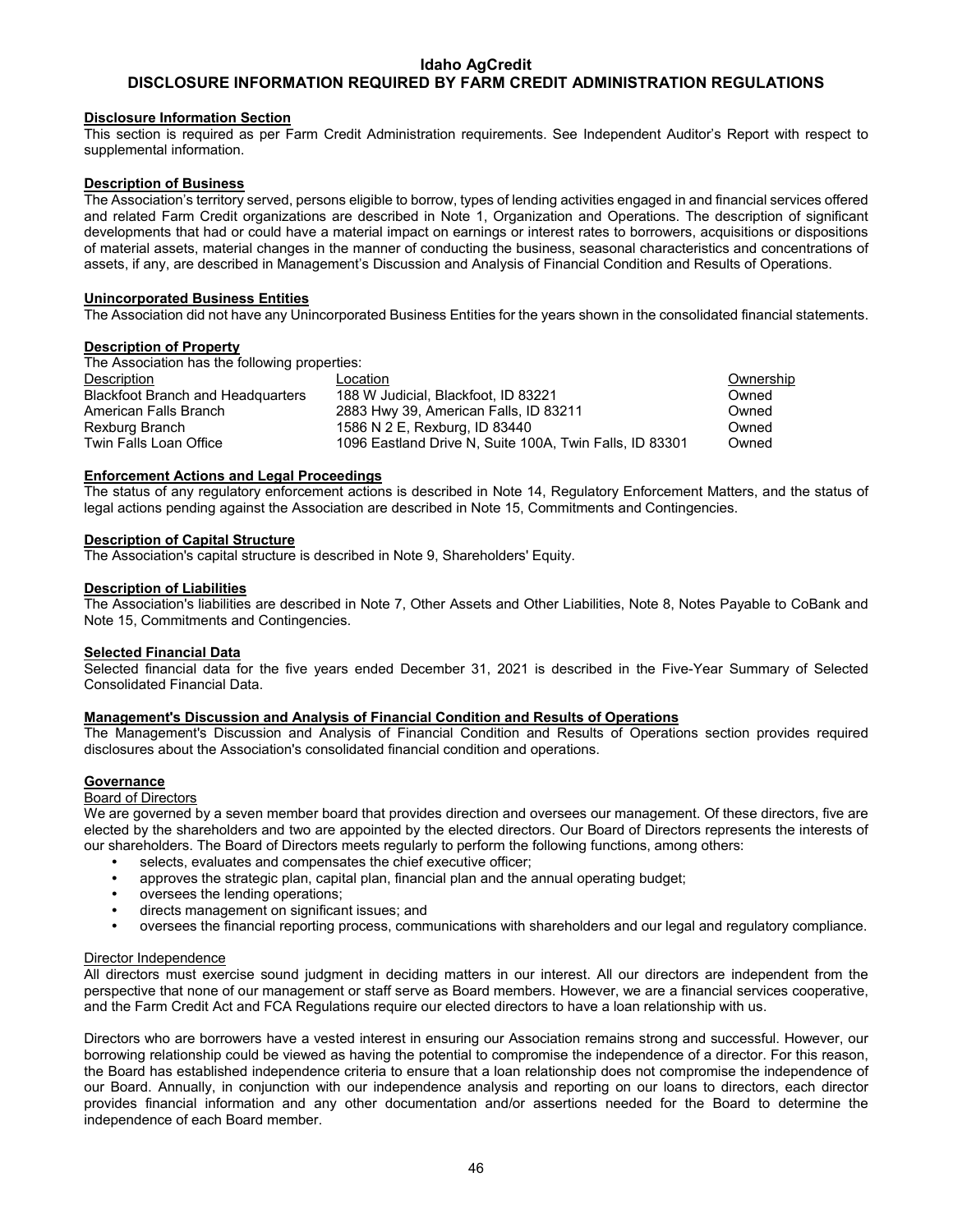## **DISCLOSURE INFORMATION REQUIRED BY FARM CREDIT ADMINISTRATION REGULATIONS**

#### **Disclosure Information Section**

This section is required as per Farm Credit Administration requirements. See Independent Auditor's Report with respect to supplemental information.

#### **Description of Business**

The Association's territory served, persons eligible to borrow, types of lending activities engaged in and financial services offered and related Farm Credit organizations are described in Note 1, Organization and Operations. The description of significant developments that had or could have a material impact on earnings or interest rates to borrowers, acquisitions or dispositions of material assets, material changes in the manner of conducting the business, seasonal characteristics and concentrations of assets, if any, are described in Management's Discussion and Analysis of Financial Condition and Results of Operations.

#### **Unincorporated Business Entities**

The Association did not have any Unincorporated Business Entities for the years shown in the consolidated financial statements.

#### **Description of Property**

The Association has the following properties:

| Description                       | Location                                                | Ownership |
|-----------------------------------|---------------------------------------------------------|-----------|
| Blackfoot Branch and Headquarters | 188 W Judicial, Blackfoot, ID 83221                     | Owned     |
| American Falls Branch             | 2883 Hwy 39, American Falls, ID 83211                   | Owned     |
| Rexburg Branch                    | 1586 N 2 E, Rexburg, ID 83440                           | Owned     |
| Twin Falls Loan Office            | 1096 Eastland Drive N. Suite 100A. Twin Falls. ID 83301 | Owned     |
|                                   |                                                         |           |

#### **Enforcement Actions and Legal Proceedings**

The status of any regulatory enforcement actions is described in Note 14, Regulatory Enforcement Matters, and the status of legal actions pending against the Association are described in Note 15, Commitments and Contingencies.

#### **Description of Capital Structure**

The Association's capital structure is described in Note 9, Shareholders' Equity.

#### **Description of Liabilities**

The Association's liabilities are described in Note 7, Other Assets and Other Liabilities, Note 8, Notes Payable to CoBank and Note 15, Commitments and Contingencies.

#### **Selected Financial Data**

Selected financial data for the five years ended December 31, 2021 is described in the Five-Year Summary of Selected Consolidated Financial Data.

#### **Management's Discussion and Analysis of Financial Condition and Results of Operations**

The Management's Discussion and Analysis of Financial Condition and Results of Operations section provides required disclosures about the Association's consolidated financial condition and operations.

#### **Governance**

## Board of Directors

We are governed by a seven member board that provides direction and oversees our management. Of these directors, five are elected by the shareholders and two are appointed by the elected directors. Our Board of Directors represents the interests of our shareholders. The Board of Directors meets regularly to perform the following functions, among others:

- **•** selects, evaluates and compensates the chief executive officer;
- **•** approves the strategic plan, capital plan, financial plan and the annual operating budget;
- **•** oversees the lending operations;
- **•** directs management on significant issues; and
- **•** oversees the financial reporting process, communications with shareholders and our legal and regulatory compliance.

#### Director Independence

All directors must exercise sound judgment in deciding matters in our interest. All our directors are independent from the perspective that none of our management or staff serve as Board members. However, we are a financial services cooperative, and the Farm Credit Act and FCA Regulations require our elected directors to have a loan relationship with us.

Directors who are borrowers have a vested interest in ensuring our Association remains strong and successful. However, our borrowing relationship could be viewed as having the potential to compromise the independence of a director. For this reason, the Board has established independence criteria to ensure that a loan relationship does not compromise the independence of our Board. Annually, in conjunction with our independence analysis and reporting on our loans to directors, each director provides financial information and any other documentation and/or assertions needed for the Board to determine the independence of each Board member.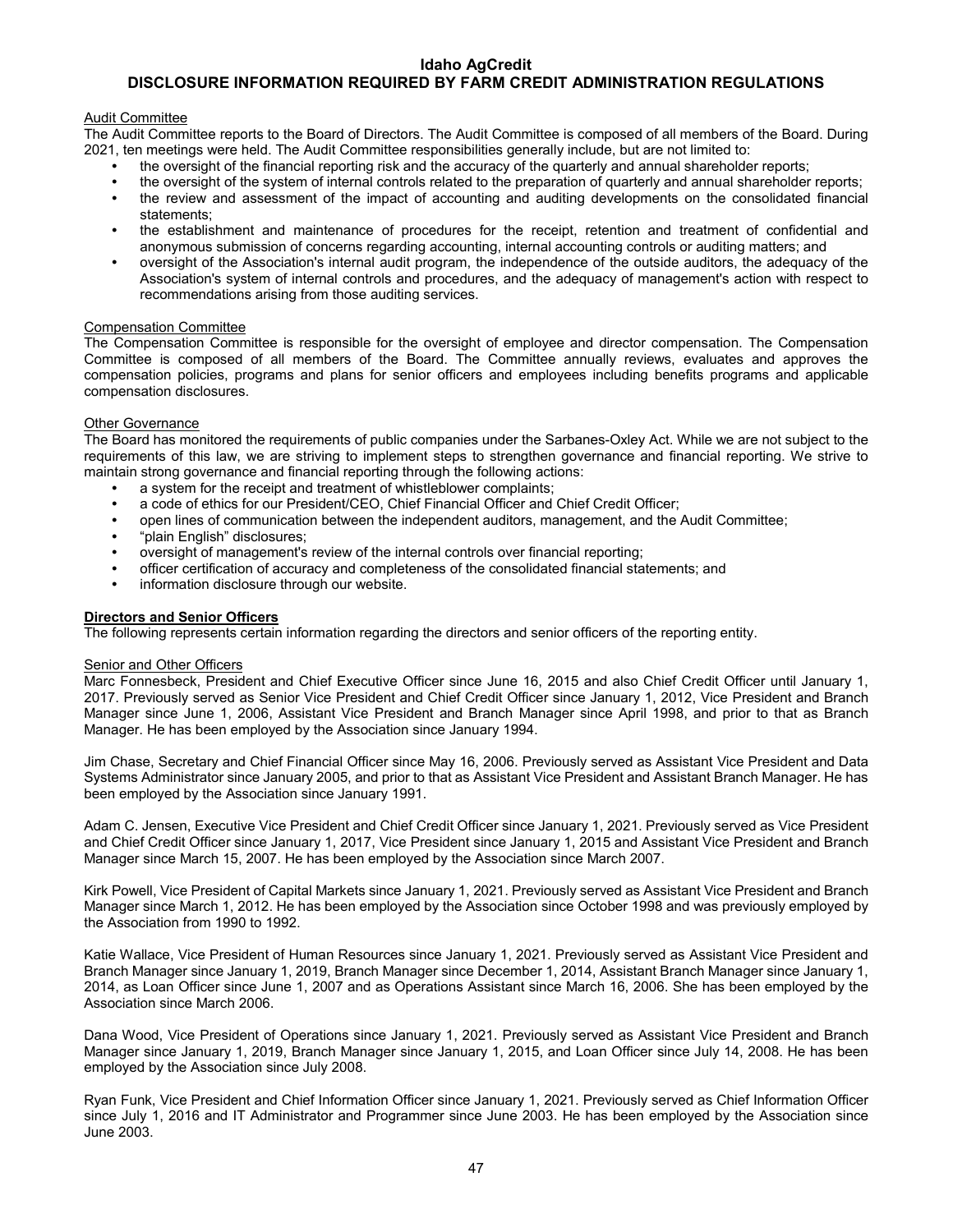## **DISCLOSURE INFORMATION REQUIRED BY FARM CREDIT ADMINISTRATION REGULATIONS**

#### Audit Committee

The Audit Committee reports to the Board of Directors. The Audit Committee is composed of all members of the Board. During 2021, ten meetings were held. The Audit Committee responsibilities generally include, but are not limited to:

- **•** the oversight of the financial reporting risk and the accuracy of the quarterly and annual shareholder reports;
- **•** the oversight of the system of internal controls related to the preparation of quarterly and annual shareholder reports;
- **•** the review and assessment of the impact of accounting and auditing developments on the consolidated financial statements;
- **•** the establishment and maintenance of procedures for the receipt, retention and treatment of confidential and anonymous submission of concerns regarding accounting, internal accounting controls or auditing matters; and
- **•** oversight of the Association's internal audit program, the independence of the outside auditors, the adequacy of the Association's system of internal controls and procedures, and the adequacy of management's action with respect to recommendations arising from those auditing services.

#### Compensation Committee

The Compensation Committee is responsible for the oversight of employee and director compensation. The Compensation Committee is composed of all members of the Board. The Committee annually reviews, evaluates and approves the compensation policies, programs and plans for senior officers and employees including benefits programs and applicable compensation disclosures.

## Other Governance

The Board has monitored the requirements of public companies under the Sarbanes-Oxley Act. While we are not subject to the requirements of this law, we are striving to implement steps to strengthen governance and financial reporting. We strive to maintain strong governance and financial reporting through the following actions:

- **•** a system for the receipt and treatment of whistleblower complaints;
- **•** a code of ethics for our President/CEO, Chief Financial Officer and Chief Credit Officer;
- **•** open lines of communication between the independent auditors, management, and the Audit Committee;
- **•** "plain English" disclosures;
- **•** oversight of management's review of the internal controls over financial reporting;
- **•** officer certification of accuracy and completeness of the consolidated financial statements; and
- **•** information disclosure through our website.

#### **Directors and Senior Officers**

The following represents certain information regarding the directors and senior officers of the reporting entity.

#### Senior and Other Officers

Marc Fonnesbeck, President and Chief Executive Officer since June 16, 2015 and also Chief Credit Officer until January 1, 2017. Previously served as Senior Vice President and Chief Credit Officer since January 1, 2012, Vice President and Branch Manager since June 1, 2006, Assistant Vice President and Branch Manager since April 1998, and prior to that as Branch Manager. He has been employed by the Association since January 1994.

Jim Chase, Secretary and Chief Financial Officer since May 16, 2006. Previously served as Assistant Vice President and Data Systems Administrator since January 2005, and prior to that as Assistant Vice President and Assistant Branch Manager. He has been employed by the Association since January 1991.

Adam C. Jensen, Executive Vice President and Chief Credit Officer since January 1, 2021. Previously served as Vice President and Chief Credit Officer since January 1, 2017, Vice President since January 1, 2015 and Assistant Vice President and Branch Manager since March 15, 2007. He has been employed by the Association since March 2007.

Kirk Powell, Vice President of Capital Markets since January 1, 2021. Previously served as Assistant Vice President and Branch Manager since March 1, 2012. He has been employed by the Association since October 1998 and was previously employed by the Association from 1990 to 1992.

Katie Wallace, Vice President of Human Resources since January 1, 2021. Previously served as Assistant Vice President and Branch Manager since January 1, 2019, Branch Manager since December 1, 2014, Assistant Branch Manager since January 1, 2014, as Loan Officer since June 1, 2007 and as Operations Assistant since March 16, 2006. She has been employed by the Association since March 2006.

Dana Wood, Vice President of Operations since January 1, 2021. Previously served as Assistant Vice President and Branch Manager since January 1, 2019, Branch Manager since January 1, 2015, and Loan Officer since July 14, 2008. He has been employed by the Association since July 2008.

Ryan Funk, Vice President and Chief Information Officer since January 1, 2021. Previously served as Chief Information Officer since July 1, 2016 and IT Administrator and Programmer since June 2003. He has been employed by the Association since June 2003.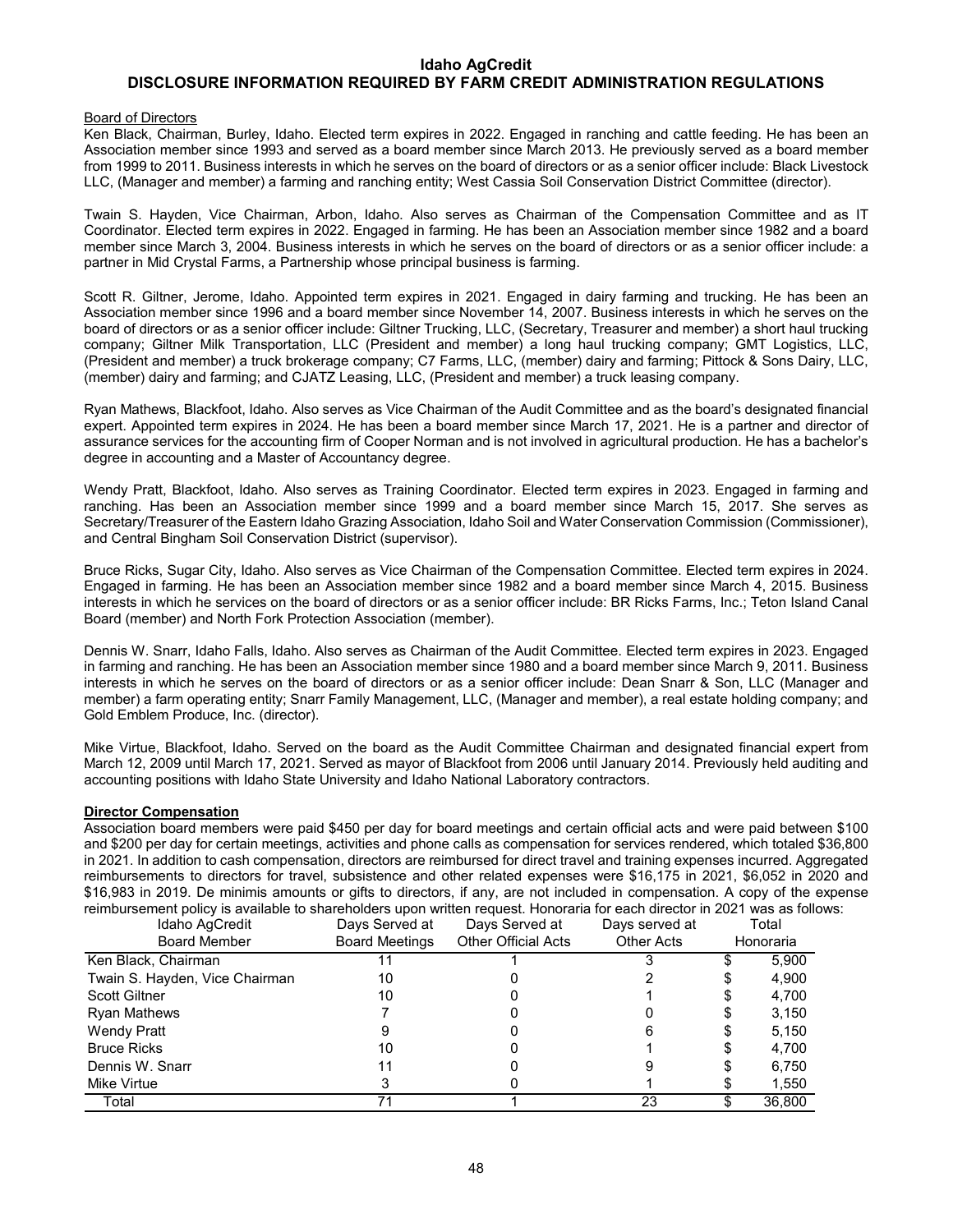## **DISCLOSURE INFORMATION REQUIRED BY FARM CREDIT ADMINISTRATION REGULATIONS**

#### Board of Directors

Ken Black, Chairman, Burley, Idaho. Elected term expires in 2022. Engaged in ranching and cattle feeding. He has been an Association member since 1993 and served as a board member since March 2013. He previously served as a board member from 1999 to 2011. Business interests in which he serves on the board of directors or as a senior officer include: Black Livestock LLC, (Manager and member) a farming and ranching entity; West Cassia Soil Conservation District Committee (director).

Twain S. Hayden, Vice Chairman, Arbon, Idaho. Also serves as Chairman of the Compensation Committee and as IT Coordinator. Elected term expires in 2022. Engaged in farming. He has been an Association member since 1982 and a board member since March 3, 2004. Business interests in which he serves on the board of directors or as a senior officer include: a partner in Mid Crystal Farms, a Partnership whose principal business is farming.

Scott R. Giltner, Jerome, Idaho. Appointed term expires in 2021. Engaged in dairy farming and trucking. He has been an Association member since 1996 and a board member since November 14, 2007. Business interests in which he serves on the board of directors or as a senior officer include: Giltner Trucking, LLC, (Secretary, Treasurer and member) a short haul trucking company; Giltner Milk Transportation, LLC (President and member) a long haul trucking company; GMT Logistics, LLC, (President and member) a truck brokerage company; C7 Farms, LLC, (member) dairy and farming; Pittock & Sons Dairy, LLC, (member) dairy and farming; and CJATZ Leasing, LLC, (President and member) a truck leasing company.

Ryan Mathews, Blackfoot, Idaho. Also serves as Vice Chairman of the Audit Committee and as the board's designated financial expert. Appointed term expires in 2024. He has been a board member since March 17, 2021. He is a partner and director of assurance services for the accounting firm of Cooper Norman and is not involved in agricultural production. He has a bachelor's degree in accounting and a Master of Accountancy degree.

Wendy Pratt, Blackfoot, Idaho. Also serves as Training Coordinator. Elected term expires in 2023. Engaged in farming and ranching. Has been an Association member since 1999 and a board member since March 15, 2017. She serves as Secretary/Treasurer of the Eastern Idaho Grazing Association, Idaho Soil and Water Conservation Commission (Commissioner), and Central Bingham Soil Conservation District (supervisor).

Bruce Ricks, Sugar City, Idaho. Also serves as Vice Chairman of the Compensation Committee. Elected term expires in 2024. Engaged in farming. He has been an Association member since 1982 and a board member since March 4, 2015. Business interests in which he services on the board of directors or as a senior officer include: BR Ricks Farms, Inc.; Teton Island Canal Board (member) and North Fork Protection Association (member).

Dennis W. Snarr, Idaho Falls, Idaho. Also serves as Chairman of the Audit Committee. Elected term expires in 2023. Engaged in farming and ranching. He has been an Association member since 1980 and a board member since March 9, 2011. Business interests in which he serves on the board of directors or as a senior officer include: Dean Snarr & Son, LLC (Manager and member) a farm operating entity; Snarr Family Management, LLC, (Manager and member), a real estate holding company; and Gold Emblem Produce, Inc. (director).

Mike Virtue, Blackfoot, Idaho. Served on the board as the Audit Committee Chairman and designated financial expert from March 12, 2009 until March 17, 2021. Served as mayor of Blackfoot from 2006 until January 2014. Previously held auditing and accounting positions with Idaho State University and Idaho National Laboratory contractors.

## **Director Compensation**

Association board members were paid \$450 per day for board meetings and certain official acts and were paid between \$100 and \$200 per day for certain meetings, activities and phone calls as compensation for services rendered, which totaled \$36,800 in 2021. In addition to cash compensation, directors are reimbursed for direct travel and training expenses incurred. Aggregated reimbursements to directors for travel, subsistence and other related expenses were \$16,175 in 2021, \$6,052 in 2020 and \$16,983 in 2019. De minimis amounts or gifts to directors, if any, are not included in compensation. A copy of the expense reimbursement policy is available to shareholders upon written request. Honoraria for each director in 2021 was as follows:

| Idaho AgCredit                 | Days Served at        | Days Served at             | Days served at    | Total     |        |  |
|--------------------------------|-----------------------|----------------------------|-------------------|-----------|--------|--|
| <b>Board Member</b>            | <b>Board Meetings</b> | <b>Other Official Acts</b> | <b>Other Acts</b> | Honoraria |        |  |
| Ken Black, Chairman            |                       |                            |                   |           | 5,900  |  |
| Twain S. Hayden, Vice Chairman | 10                    |                            |                   |           | 4,900  |  |
| <b>Scott Giltner</b>           | 10                    |                            |                   |           | 4,700  |  |
| <b>Ryan Mathews</b>            |                       |                            |                   |           | 3,150  |  |
| Wendy Pratt                    |                       |                            |                   |           | 5,150  |  |
| <b>Bruce Ricks</b>             | 10                    |                            |                   |           | 4,700  |  |
| Dennis W. Snarr                |                       |                            |                   |           | 6,750  |  |
| Mike Virtue                    |                       |                            |                   |           | 1,550  |  |
| Total                          |                       |                            | 23                |           | 36,800 |  |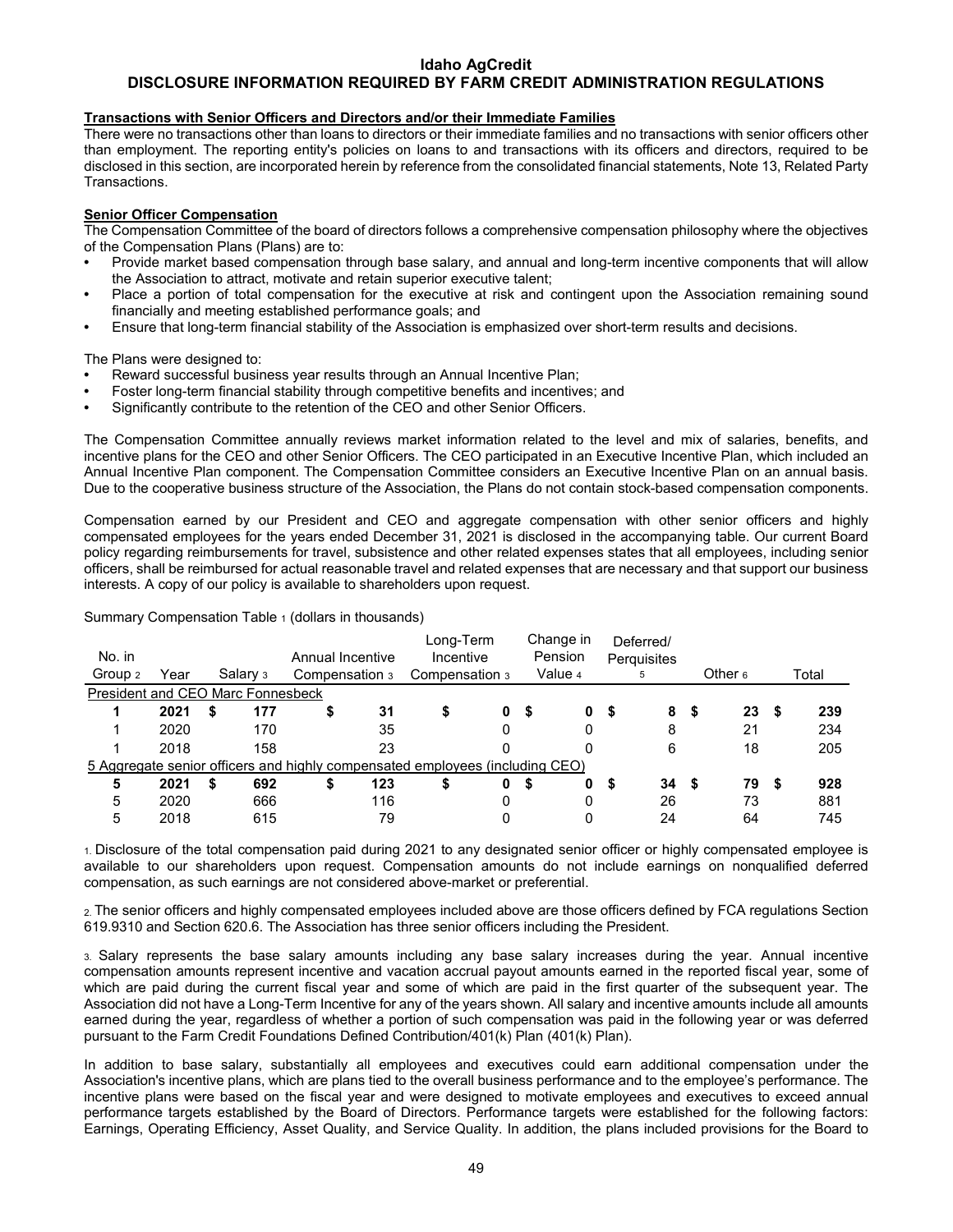## **DISCLOSURE INFORMATION REQUIRED BY FARM CREDIT ADMINISTRATION REGULATIONS**

## **Transactions with Senior Officers and Directors and/or their Immediate Families**

There were no transactions other than loans to directors or their immediate families and no transactions with senior officers other than employment. The reporting entity's policies on loans to and transactions with its officers and directors, required to be disclosed in this section, are incorporated herein by reference from the consolidated financial statements, Note 13, Related Party Transactions.

## **Senior Officer Compensation**

The Compensation Committee of the board of directors follows a comprehensive compensation philosophy where the objectives of the Compensation Plans (Plans) are to:

- **•** Provide market based compensation through base salary, and annual and long-term incentive components that will allow the Association to attract, motivate and retain superior executive talent;
- **•** Place a portion of total compensation for the executive at risk and contingent upon the Association remaining sound financially and meeting established performance goals; and
- **•** Ensure that long-term financial stability of the Association is emphasized over short-term results and decisions.

The Plans were designed to:

- **•** Reward successful business year results through an Annual Incentive Plan;
- **•** Foster long-term financial stability through competitive benefits and incentives; and
- **•** Significantly contribute to the retention of the CEO and other Senior Officers.

The Compensation Committee annually reviews market information related to the level and mix of salaries, benefits, and incentive plans for the CEO and other Senior Officers. The CEO participated in an Executive Incentive Plan, which included an Annual Incentive Plan component. The Compensation Committee considers an Executive Incentive Plan on an annual basis. Due to the cooperative business structure of the Association, the Plans do not contain stock-based compensation components.

Compensation earned by our President and CEO and aggregate compensation with other senior officers and highly compensated employees for the years ended December 31, 2021 is disclosed in the accompanying table. Our current Board policy regarding reimbursements for travel, subsistence and other related expenses states that all employees, including senior officers, shall be reimbursed for actual reasonable travel and related expenses that are necessary and that support our business interests. A copy of our policy is available to shareholders upon request.

| No. in                                                                       |      |    |          | Annual Incentive |    | Long-Term<br>Incentive |  | Change in<br>Pension |   | Deferred/<br>Perguisites |   |         |    |       |    |   |     |
|------------------------------------------------------------------------------|------|----|----------|------------------|----|------------------------|--|----------------------|---|--------------------------|---|---------|----|-------|----|---|-----|
| Group 2                                                                      | Year |    | Salary 3 | Compensation 3   |    | Compensation 3         |  | Value 4              |   | 5                        |   | Other 6 |    | Total |    |   |     |
| President and CEO Marc Fonnesbeck                                            |      |    |          |                  |    |                        |  |                      |   |                          |   |         |    |       |    |   |     |
|                                                                              | 2021 | S  | 177      |                  | \$ | 31                     |  |                      | 0 | S                        | 0 | 5       | 8  | S     | 23 |   | 239 |
|                                                                              | 2020 |    | 170      |                  |    | 35                     |  |                      | 0 |                          |   |         | 8  |       | 21 |   | 234 |
|                                                                              | 2018 |    | 158      |                  |    | 23                     |  |                      |   |                          |   |         | 6  |       | 18 |   | 205 |
| 5 Aggregate senior officers and highly compensated employees (including CEO) |      |    |          |                  |    |                        |  |                      |   |                          |   |         |    |       |    |   |     |
| 5                                                                            | 2021 | \$ | 692      |                  | \$ | 123                    |  |                      | 0 | \$                       | 0 | S       | 34 | S     | 79 | 5 | 928 |
| 5                                                                            | 2020 |    | 666      |                  |    | 116                    |  |                      | 0 |                          | 0 |         | 26 |       | 73 |   | 881 |
| 5                                                                            | 2018 |    | 615      |                  |    | 79                     |  |                      |   |                          |   |         | 24 |       | 64 |   | 745 |

1. Disclosure of the total compensation paid during 2021 to any designated senior officer or highly compensated employee is available to our shareholders upon request. Compensation amounts do not include earnings on nonqualified deferred compensation, as such earnings are not considered above-market or preferential.

2. The senior officers and highly compensated employees included above are those officers defined by FCA regulations Section 619.9310 and Section 620.6. The Association has three senior officers including the President.

3. Salary represents the base salary amounts including any base salary increases during the year. Annual incentive compensation amounts represent incentive and vacation accrual payout amounts earned in the reported fiscal year, some of which are paid during the current fiscal year and some of which are paid in the first quarter of the subsequent year. The Association did not have a Long-Term Incentive for any of the years shown. All salary and incentive amounts include all amounts earned during the year, regardless of whether a portion of such compensation was paid in the following year or was deferred pursuant to the Farm Credit Foundations Defined Contribution/401(k) Plan (401(k) Plan).

In addition to base salary, substantially all employees and executives could earn additional compensation under the Association's incentive plans, which are plans tied to the overall business performance and to the employee's performance. The incentive plans were based on the fiscal year and were designed to motivate employees and executives to exceed annual performance targets established by the Board of Directors. Performance targets were established for the following factors: Earnings, Operating Efficiency, Asset Quality, and Service Quality. In addition, the plans included provisions for the Board to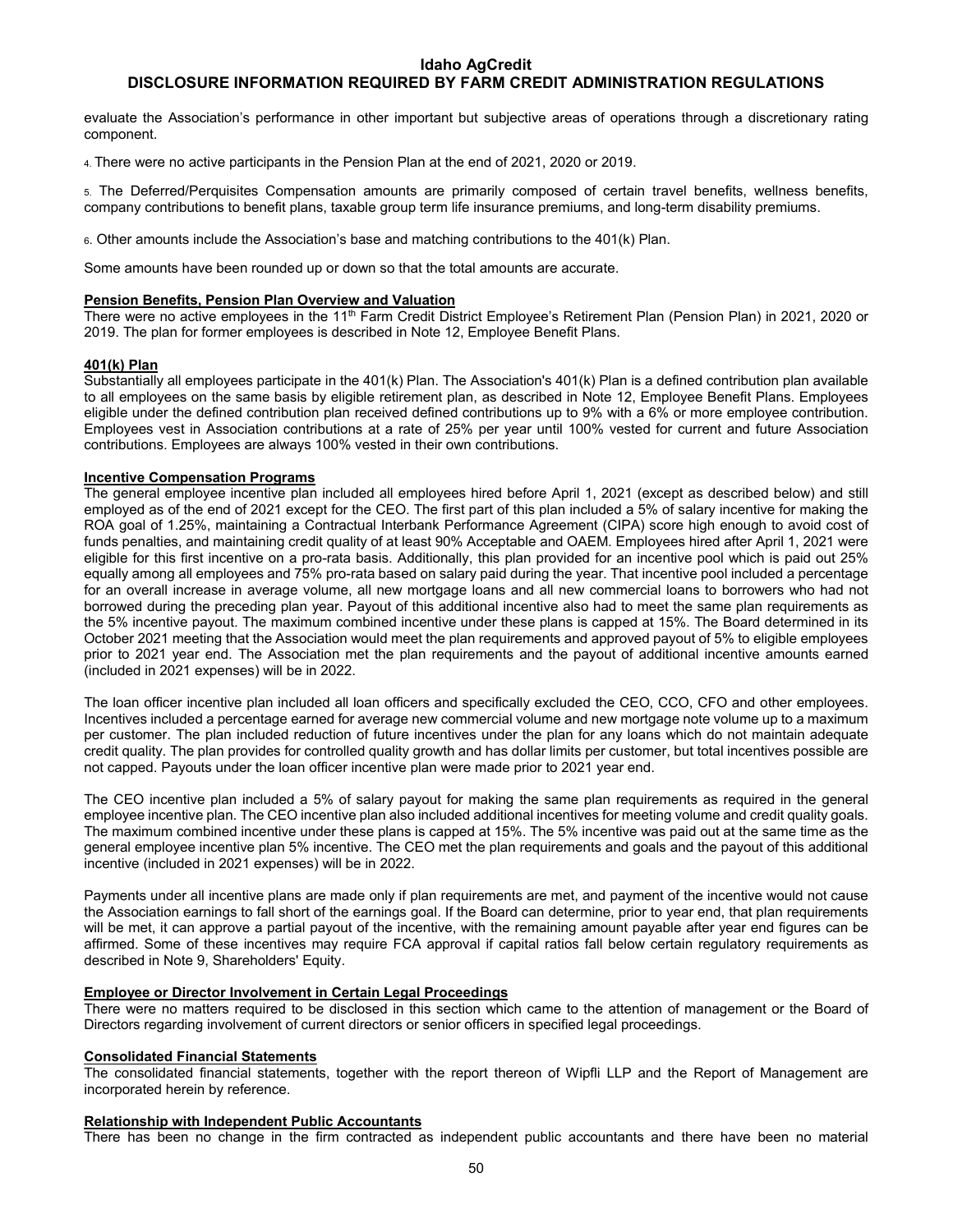## **DISCLOSURE INFORMATION REQUIRED BY FARM CREDIT ADMINISTRATION REGULATIONS**

evaluate the Association's performance in other important but subjective areas of operations through a discretionary rating component.

4. There were no active participants in the Pension Plan at the end of 2021, 2020 or 2019.

5. The Deferred/Perquisites Compensation amounts are primarily composed of certain travel benefits, wellness benefits, company contributions to benefit plans, taxable group term life insurance premiums, and long-term disability premiums.

6. Other amounts include the Association's base and matching contributions to the 401(k) Plan.

Some amounts have been rounded up or down so that the total amounts are accurate.

#### **Pension Benefits, Pension Plan Overview and Valuation**

There were no active employees in the 11<sup>th</sup> Farm Credit District Employee's Retirement Plan (Pension Plan) in 2021, 2020 or 2019. The plan for former employees is described in Note 12, Employee Benefit Plans.

#### **401(k) Plan**

Substantially all employees participate in the 401(k) Plan. The Association's 401(k) Plan is a defined contribution plan available to all employees on the same basis by eligible retirement plan, as described in Note 12, Employee Benefit Plans. Employees eligible under the defined contribution plan received defined contributions up to 9% with a 6% or more employee contribution. Employees vest in Association contributions at a rate of 25% per year until 100% vested for current and future Association contributions. Employees are always 100% vested in their own contributions.

## **Incentive Compensation Programs**

The general employee incentive plan included all employees hired before April 1, 2021 (except as described below) and still employed as of the end of 2021 except for the CEO. The first part of this plan included a 5% of salary incentive for making the ROA goal of 1.25%, maintaining a Contractual Interbank Performance Agreement (CIPA) score high enough to avoid cost of funds penalties, and maintaining credit quality of at least 90% Acceptable and OAEM. Employees hired after April 1, 2021 were eligible for this first incentive on a pro-rata basis. Additionally, this plan provided for an incentive pool which is paid out 25% equally among all employees and 75% pro-rata based on salary paid during the year. That incentive pool included a percentage for an overall increase in average volume, all new mortgage loans and all new commercial loans to borrowers who had not borrowed during the preceding plan year. Payout of this additional incentive also had to meet the same plan requirements as the 5% incentive payout. The maximum combined incentive under these plans is capped at 15%. The Board determined in its October 2021 meeting that the Association would meet the plan requirements and approved payout of 5% to eligible employees prior to 2021 year end. The Association met the plan requirements and the payout of additional incentive amounts earned (included in 2021 expenses) will be in 2022.

The loan officer incentive plan included all loan officers and specifically excluded the CEO, CCO, CFO and other employees. Incentives included a percentage earned for average new commercial volume and new mortgage note volume up to a maximum per customer. The plan included reduction of future incentives under the plan for any loans which do not maintain adequate credit quality. The plan provides for controlled quality growth and has dollar limits per customer, but total incentives possible are not capped. Payouts under the loan officer incentive plan were made prior to 2021 year end.

The CEO incentive plan included a 5% of salary payout for making the same plan requirements as required in the general employee incentive plan. The CEO incentive plan also included additional incentives for meeting volume and credit quality goals. The maximum combined incentive under these plans is capped at 15%. The 5% incentive was paid out at the same time as the general employee incentive plan 5% incentive. The CEO met the plan requirements and goals and the payout of this additional incentive (included in 2021 expenses) will be in 2022.

Payments under all incentive plans are made only if plan requirements are met, and payment of the incentive would not cause the Association earnings to fall short of the earnings goal. If the Board can determine, prior to year end, that plan requirements will be met, it can approve a partial payout of the incentive, with the remaining amount payable after year end figures can be affirmed. Some of these incentives may require FCA approval if capital ratios fall below certain regulatory requirements as described in Note 9, Shareholders' Equity.

## **Employee or Director Involvement in Certain Legal Proceedings**

There were no matters required to be disclosed in this section which came to the attention of management or the Board of Directors regarding involvement of current directors or senior officers in specified legal proceedings.

## **Consolidated Financial Statements**

The consolidated financial statements, together with the report thereon of Wipfli LLP and the Report of Management are incorporated herein by reference.

#### **Relationship with Independent Public Accountants**

There has been no change in the firm contracted as independent public accountants and there have been no material